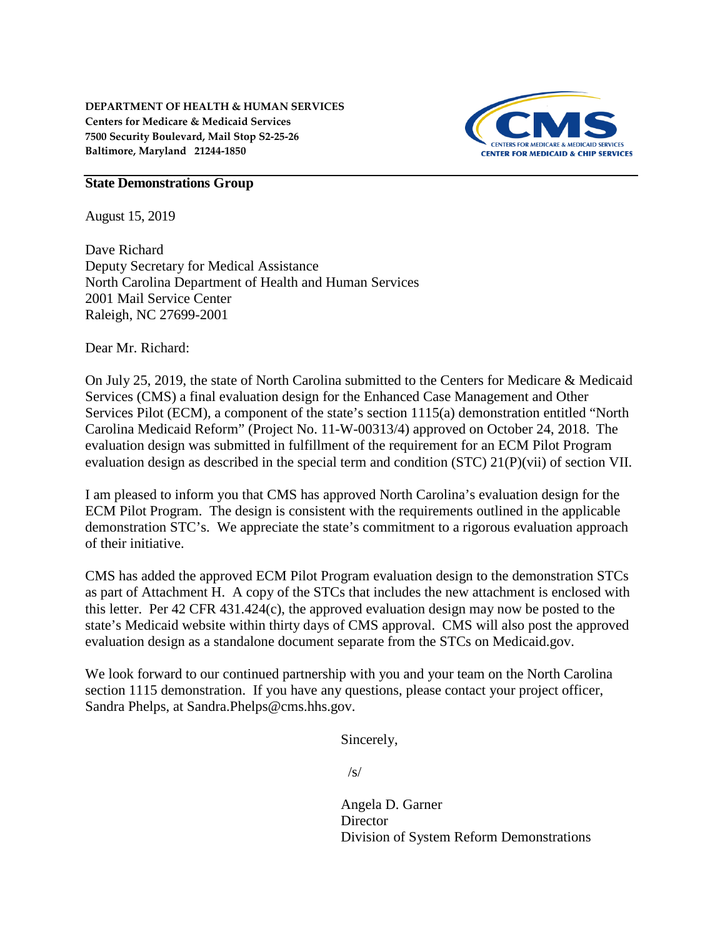

#### **State Demonstrations Group**

August 15, 2019

Dave Richard Deputy Secretary for Medical Assistance North Carolina Department of Health and Human Services 2001 Mail Service Center Raleigh, NC 27699-2001

Dear Mr. Richard:

On July 25, 2019, the state of North Carolina submitted to the Centers for Medicare & Medicaid Services (CMS) a final evaluation design for the Enhanced Case Management and Other Services Pilot (ECM), a component of the state's section 1115(a) demonstration entitled "North Carolina Medicaid Reform" (Project No. 11-W-00313/4) approved on October 24, 2018. The evaluation design was submitted in fulfillment of the requirement for an ECM Pilot Program evaluation design as described in the special term and condition (STC) 21(P)(vii) of section VII.

I am pleased to inform you that CMS has approved North Carolina's evaluation design for the ECM Pilot Program. The design is consistent with the requirements outlined in the applicable demonstration STC's. We appreciate the state's commitment to a rigorous evaluation approach of their initiative.

CMS has added the approved ECM Pilot Program evaluation design to the demonstration STCs as part of Attachment H. A copy of the STCs that includes the new attachment is enclosed with this letter. Per 42 CFR 431.424(c), the approved evaluation design may now be posted to the state's Medicaid website within thirty days of CMS approval. CMS will also post the approved evaluation design as a standalone document separate from the STCs on Medicaid.gov.

We look forward to our continued partnership with you and your team on the North Carolina section 1115 demonstration. If you have any questions, please contact your project officer, Sandra Phelps, at Sandra.Phelps@cms.hhs.gov.

Sincerely,

 $\sqrt{s}$ 

Angela D. Garner **Director** Division of System Reform Demonstrations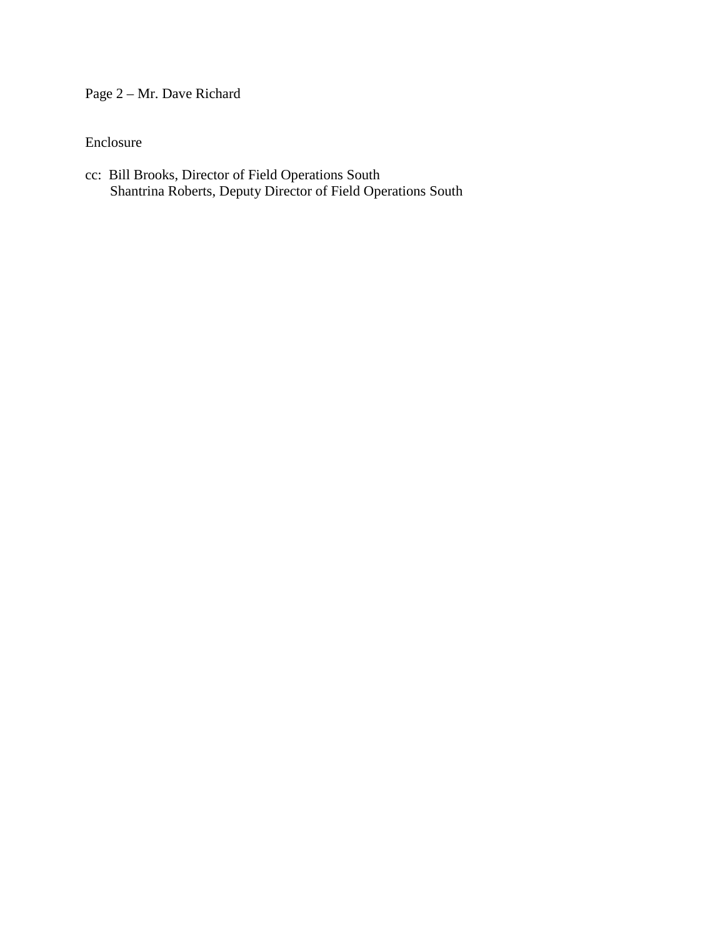Page 2 – Mr. Dave Richard

Enclosure

cc: Bill Brooks, Director of Field Operations South Shantrina Roberts, Deputy Director of Field Operations South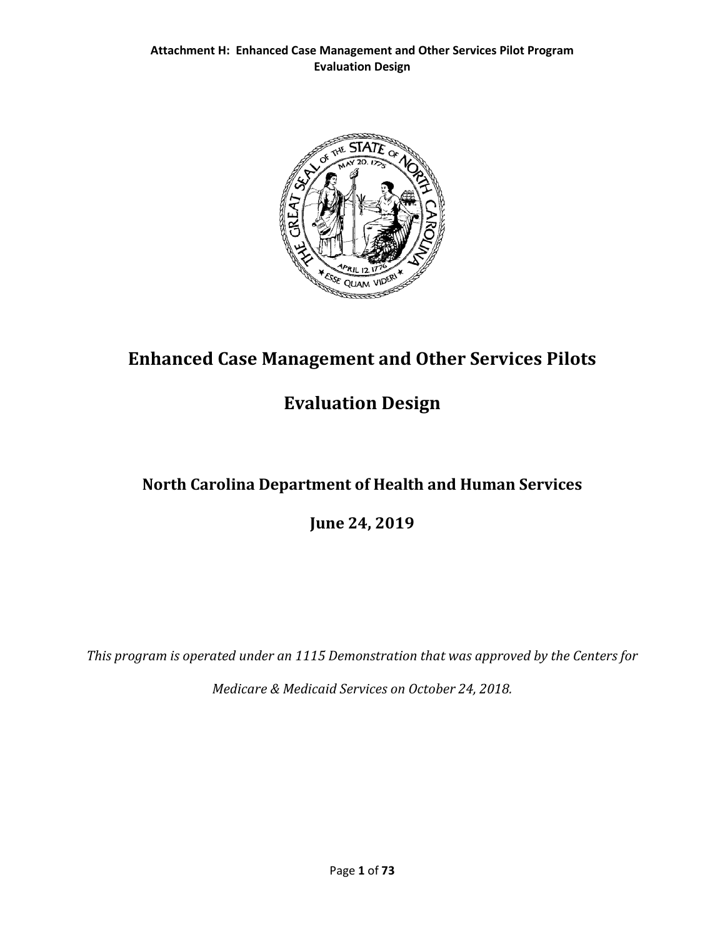

# **Enhanced Case Management and Other Services Pilots**

# **Evaluation Design**

# **North Carolina Department of Health and Human Services**

**June 24, 2019**

*This program is operated under an 1115 Demonstration that was approved by the Centers for* 

*Medicare & Medicaid Services on October 24, 2018.*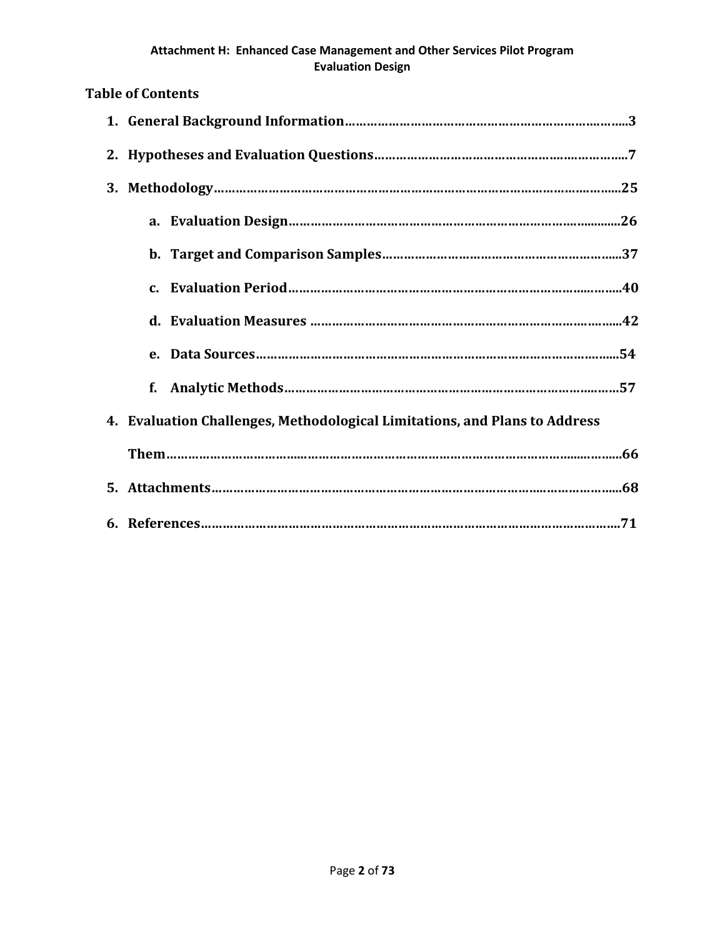# **Table of Contents 1. General Background Information…………………………………………………………….……..3 2. Hypotheses and Evaluation Questions…………………………………………….….…………..7 3. Methodology………………………………………………………………………………………….……...25 a. Evaluation Design…………………………………………………………………….…..........26 b. Target and Comparison Samples………………………………………………………...37 c. Evaluation Period………………………………………………………………………...……..40 d. Evaluation Measures ………………………………………………………………….….…...42 e. Data Sources………………………………………………………………………………….…...54**

## **4. Evaluation Challenges, Methodological Limitations, and Plans to Address**

**f. Analytic Methods…………………………………………………………………………..……57**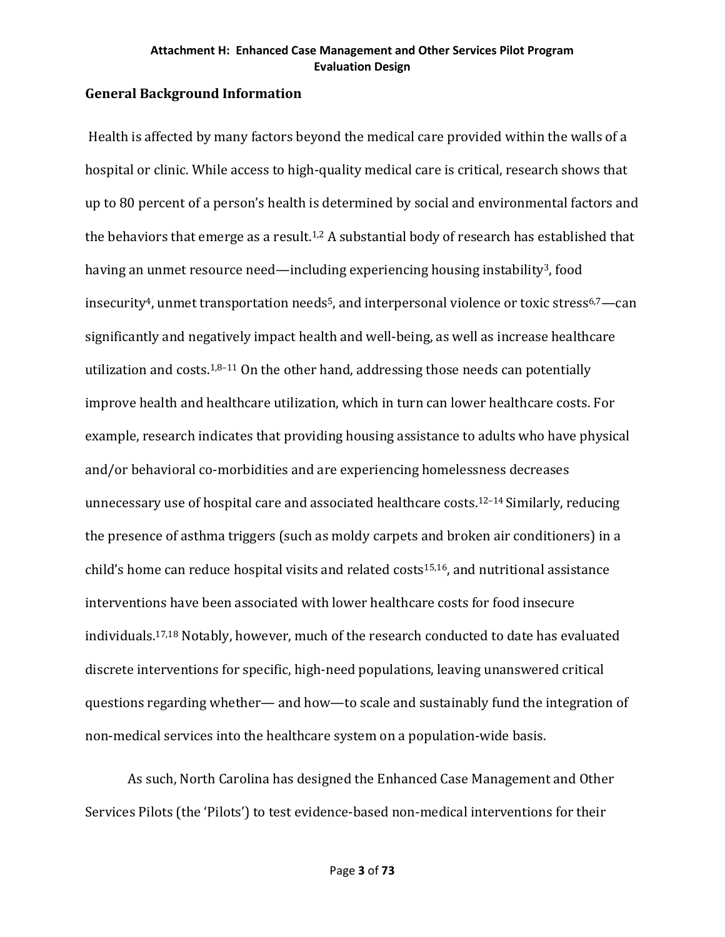## **General Background Information**

Health is affected by many factors beyond the medical care provided within the walls of a hospital or clinic. While access to high-quality medical care is critical, research shows that up to 80 percent of a person's health is determined by social and environmental factors and the behaviors that emerge as a result.<sup>1,2</sup> A substantial body of research has established that having an unmet resource need—including experiencing housing instability<sup>3</sup>, food insecurity<sup>4</sup>, unmet transportation needs<sup>5</sup>, and interpersonal violence or toxic stress<sup>6,7</sup>—can significantly and negatively impact health and well-being, as well as increase healthcare utilization and costs. $1,8-11$  On the other hand, addressing those needs can potentially improve health and healthcare utilization, which in turn can lower healthcare costs. For example, research indicates that providing housing assistance to adults who have physical and/or behavioral co-morbidities and are experiencing homelessness decreases unnecessary use of hospital care and associated healthcare costs.12–14 Similarly, reducing the presence of asthma triggers (such as moldy carpets and broken air conditioners) in a child's home can reduce hospital visits and related costs<sup>15,16</sup>, and nutritional assistance interventions have been associated with lower healthcare costs for food insecure individuals.17,18 Notably, however, much of the research conducted to date has evaluated discrete interventions for specific, high-need populations, leaving unanswered critical questions regarding whether— and how—to scale and sustainably fund the integration of non-medical services into the healthcare system on a population-wide basis.

As such, North Carolina has designed the Enhanced Case Management and Other Services Pilots (the 'Pilots') to test evidence-based non-medical interventions for their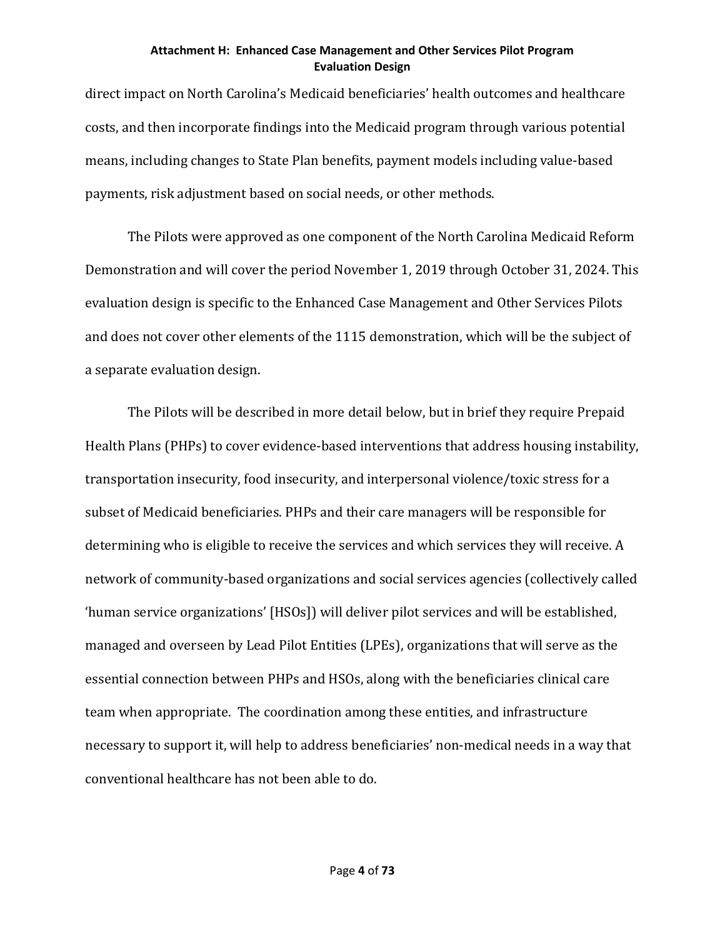direct impact on North Carolina's Medicaid beneficiaries' health outcomes and healthcare costs, and then incorporate findings into the Medicaid program through various potential means, including changes to State Plan benefits, payment models including value-based payments, risk adjustment based on social needs, or other methods.

The Pilots were approved as one component of the North Carolina Medicaid Reform Demonstration and will cover the period November 1, 2019 through October 31, 2024. This evaluation design is specific to the Enhanced Case Management and Other Services Pilots and does not cover other elements of the 1115 demonstration, which will be the subject of a separate evaluation design.

The Pilots will be described in more detail below, but in brief they require Prepaid Health Plans (PHPs) to cover evidence-based interventions that address housing instability, transportation insecurity, food insecurity, and interpersonal violence/toxic stress for a subset of Medicaid beneficiaries. PHPs and their care managers will be responsible for determining who is eligible to receive the services and which services they will receive. A network of community-based organizations and social services agencies (collectively called 'human service organizations' [HSOs]) will deliver pilot services and will be established, managed and overseen by Lead Pilot Entities (LPEs), organizations that will serve as the essential connection between PHPs and HSOs, along with the beneficiaries clinical care team when appropriate. The coordination among these entities, and infrastructure necessary to support it, will help to address beneficiaries' non-medical needs in a way that conventional healthcare has not been able to do.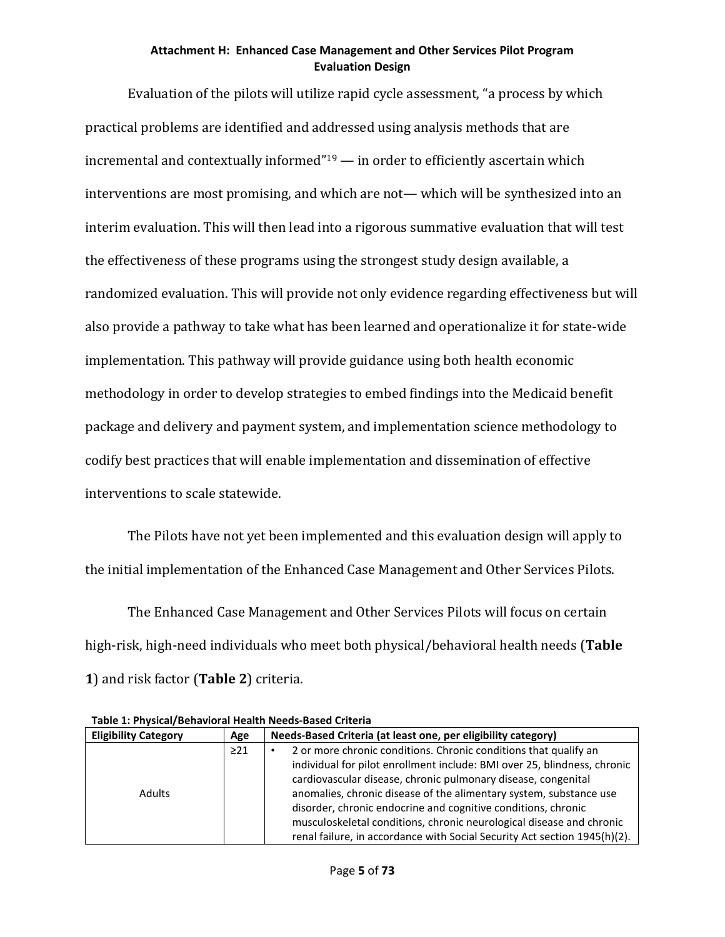Evaluation of the pilots will utilize rapid cycle assessment, "a process by which practical problems are identified and addressed using analysis methods that are incremental and contextually informed"19 — in order to efficiently ascertain which interventions are most promising, and which are not— which will be synthesized into an interim evaluation. This will then lead into a rigorous summative evaluation that will test the effectiveness of these programs using the strongest study design available, a randomized evaluation. This will provide not only evidence regarding effectiveness but will also provide a pathway to take what has been learned and operationalize it for state-wide implementation. This pathway will provide guidance using both health economic methodology in order to develop strategies to embed findings into the Medicaid benefit package and delivery and payment system, and implementation science methodology to codify best practices that will enable implementation and dissemination of effective interventions to scale statewide.

The Pilots have not yet been implemented and this evaluation design will apply to the initial implementation of the Enhanced Case Management and Other Services Pilots.

The Enhanced Case Management and Other Services Pilots will focus on certain high-risk, high-need individuals who meet both physical/behavioral health needs (**Table 1**) and risk factor (**Table 2**) criteria.

| <b>Eligibility Category</b> | Age       | Needs-Based Criteria (at least one, per eligibility category)                                                                                                                                                                                                                                                                                                                                                                                                                                             |
|-----------------------------|-----------|-----------------------------------------------------------------------------------------------------------------------------------------------------------------------------------------------------------------------------------------------------------------------------------------------------------------------------------------------------------------------------------------------------------------------------------------------------------------------------------------------------------|
| <b>Adults</b>               | $\geq$ 21 | 2 or more chronic conditions. Chronic conditions that qualify an<br>individual for pilot enrollment include: BMI over 25, blindness, chronic<br>cardiovascular disease, chronic pulmonary disease, congenital<br>anomalies, chronic disease of the alimentary system, substance use<br>disorder, chronic endocrine and cognitive conditions, chronic<br>musculoskeletal conditions, chronic neurological disease and chronic<br>renal failure, in accordance with Social Security Act section 1945(h)(2). |

**Table 1: Physical/Behavioral Health Needs-Based Criteria**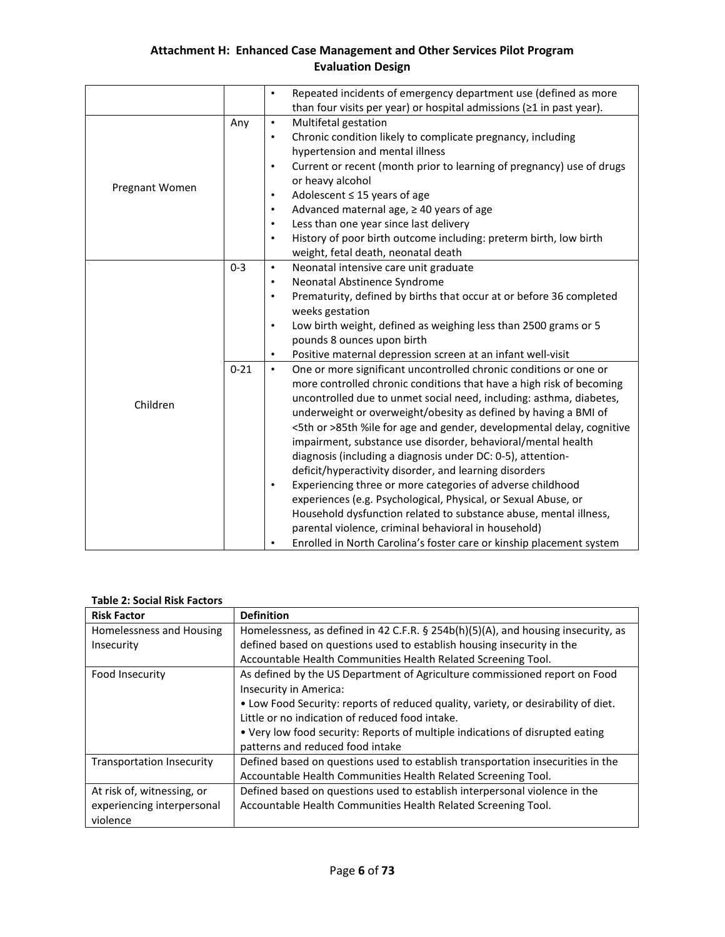|                |          | Repeated incidents of emergency department use (defined as more<br>$\bullet$<br>than four visits per year) or hospital admissions ( $\geq 1$ in past year). |
|----------------|----------|-------------------------------------------------------------------------------------------------------------------------------------------------------------|
|                |          |                                                                                                                                                             |
|                | Any      | Multifetal gestation<br>$\bullet$                                                                                                                           |
|                |          | Chronic condition likely to complicate pregnancy, including<br>$\bullet$                                                                                    |
|                |          | hypertension and mental illness                                                                                                                             |
|                |          | Current or recent (month prior to learning of pregnancy) use of drugs<br>$\bullet$                                                                          |
| Pregnant Women |          | or heavy alcohol                                                                                                                                            |
|                |          | Adolescent $\leq$ 15 years of age<br>$\bullet$                                                                                                              |
|                |          | Advanced maternal age, ≥40 years of age<br>$\bullet$                                                                                                        |
|                |          | Less than one year since last delivery<br>$\bullet$                                                                                                         |
|                |          | History of poor birth outcome including: preterm birth, low birth<br>$\bullet$                                                                              |
|                |          | weight, fetal death, neonatal death                                                                                                                         |
|                | $0 - 3$  | Neonatal intensive care unit graduate<br>$\bullet$                                                                                                          |
|                |          | Neonatal Abstinence Syndrome<br>$\bullet$                                                                                                                   |
|                |          | Prematurity, defined by births that occur at or before 36 completed<br>$\bullet$                                                                            |
|                |          | weeks gestation                                                                                                                                             |
|                |          | Low birth weight, defined as weighing less than 2500 grams or 5<br>$\bullet$                                                                                |
|                |          | pounds 8 ounces upon birth                                                                                                                                  |
|                |          | Positive maternal depression screen at an infant well-visit<br>$\bullet$                                                                                    |
|                | $0 - 21$ | One or more significant uncontrolled chronic conditions or one or<br>$\bullet$                                                                              |
|                |          | more controlled chronic conditions that have a high risk of becoming                                                                                        |
|                |          | uncontrolled due to unmet social need, including: asthma, diabetes,                                                                                         |
| Children       |          | underweight or overweight/obesity as defined by having a BMI of                                                                                             |
|                |          | <5th or >85th %ile for age and gender, developmental delay, cognitive                                                                                       |
|                |          | impairment, substance use disorder, behavioral/mental health                                                                                                |
|                |          | diagnosis (including a diagnosis under DC: 0-5), attention-                                                                                                 |
|                |          | deficit/hyperactivity disorder, and learning disorders                                                                                                      |
|                |          | Experiencing three or more categories of adverse childhood<br>$\bullet$                                                                                     |
|                |          | experiences (e.g. Psychological, Physical, or Sexual Abuse, or                                                                                              |
|                |          |                                                                                                                                                             |
|                |          | Household dysfunction related to substance abuse, mental illness,                                                                                           |
|                |          | parental violence, criminal behavioral in household)                                                                                                        |
|                |          | Enrolled in North Carolina's foster care or kinship placement system<br>$\bullet$                                                                           |

#### **Table 2: Social Risk Factors**

| <b>Risk Factor</b>         | <b>Definition</b>                                                                    |
|----------------------------|--------------------------------------------------------------------------------------|
| Homelessness and Housing   | Homelessness, as defined in 42 C.F.R. $\S$ 254b(h)(5)(A), and housing insecurity, as |
| Insecurity                 | defined based on questions used to establish housing insecurity in the               |
|                            | Accountable Health Communities Health Related Screening Tool.                        |
| Food Insecurity            | As defined by the US Department of Agriculture commissioned report on Food           |
|                            | Insecurity in America:                                                               |
|                            | . Low Food Security: reports of reduced quality, variety, or desirability of diet.   |
|                            | Little or no indication of reduced food intake.                                      |
|                            | • Very low food security: Reports of multiple indications of disrupted eating        |
|                            | patterns and reduced food intake                                                     |
| Transportation Insecurity  | Defined based on questions used to establish transportation insecurities in the      |
|                            | Accountable Health Communities Health Related Screening Tool.                        |
| At risk of, witnessing, or | Defined based on questions used to establish interpersonal violence in the           |
| experiencing interpersonal | Accountable Health Communities Health Related Screening Tool.                        |
| violence                   |                                                                                      |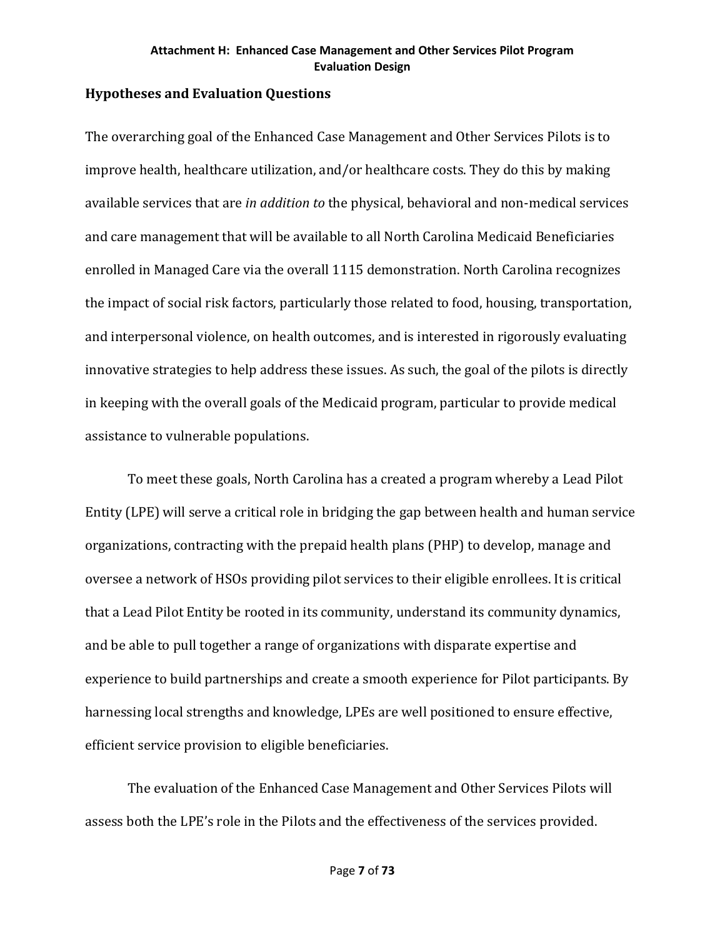## **Hypotheses and Evaluation Questions**

The overarching goal of the Enhanced Case Management and Other Services Pilots is to improve health, healthcare utilization, and/or healthcare costs. They do this by making available services that are *in addition to* the physical, behavioral and non-medical services and care management that will be available to all North Carolina Medicaid Beneficiaries enrolled in Managed Care via the overall 1115 demonstration. North Carolina recognizes the impact of social risk factors, particularly those related to food, housing, transportation, and interpersonal violence, on health outcomes, and is interested in rigorously evaluating innovative strategies to help address these issues. As such, the goal of the pilots is directly in keeping with the overall goals of the Medicaid program, particular to provide medical assistance to vulnerable populations.

To meet these goals, North Carolina has a created a program whereby a Lead Pilot Entity (LPE) will serve a critical role in bridging the gap between health and human service organizations, contracting with the prepaid health plans (PHP) to develop, manage and oversee a network of HSOs providing pilot services to their eligible enrollees. It is critical that a Lead Pilot Entity be rooted in its community, understand its community dynamics, and be able to pull together a range of organizations with disparate expertise and experience to build partnerships and create a smooth experience for Pilot participants. By harnessing local strengths and knowledge, LPEs are well positioned to ensure effective, efficient service provision to eligible beneficiaries.

The evaluation of the Enhanced Case Management and Other Services Pilots will assess both the LPE's role in the Pilots and the effectiveness of the services provided.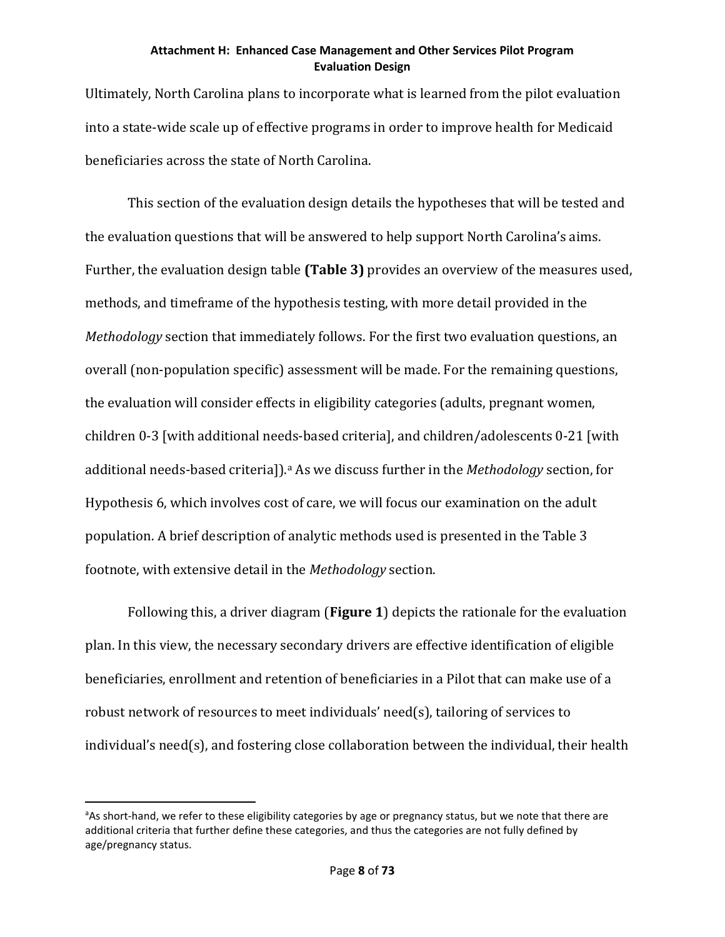Ultimately, North Carolina plans to incorporate what is learned from the pilot evaluation into a state-wide scale up of effective programs in order to improve health for Medicaid beneficiaries across the state of North Carolina.

This section of the evaluation design details the hypotheses that will be tested and the evaluation questions that will be answered to help support North Carolina's aims. Further, the evaluation design table **(Table 3)** provides an overview of the measures used, methods, and timeframe of the hypothesis testing, with more detail provided in the *Methodology* section that immediately follows. For the first two evaluation questions, an overall (non-population specific) assessment will be made. For the remaining questions, the evaluation will consider effects in eligibility categories (adults, pregnant women, children 0-3 [with additional needs-based criteria], and children/adolescents 0-21 [with [a](#page-9-0)dditional needs-based criteria]).<sup>a</sup> As we discuss further in the *Methodology* section, for Hypothesis 6, which involves cost of care, we will focus our examination on the adult population. A brief description of analytic methods used is presented in the Table 3 footnote, with extensive detail in the *Methodology* section.

Following this, a driver diagram (**Figure 1**) depicts the rationale for the evaluation plan. In this view, the necessary secondary drivers are effective identification of eligible beneficiaries, enrollment and retention of beneficiaries in a Pilot that can make use of a robust network of resources to meet individuals' need(s), tailoring of services to individual's need(s), and fostering close collaboration between the individual, their health

<span id="page-9-0"></span>e<br>a <sup>a</sup>As short-hand, we refer to these eligibility categories by age or pregnancy status, but we note that there are additional criteria that further define these categories, and thus the categories are not fully defined by age/pregnancy status.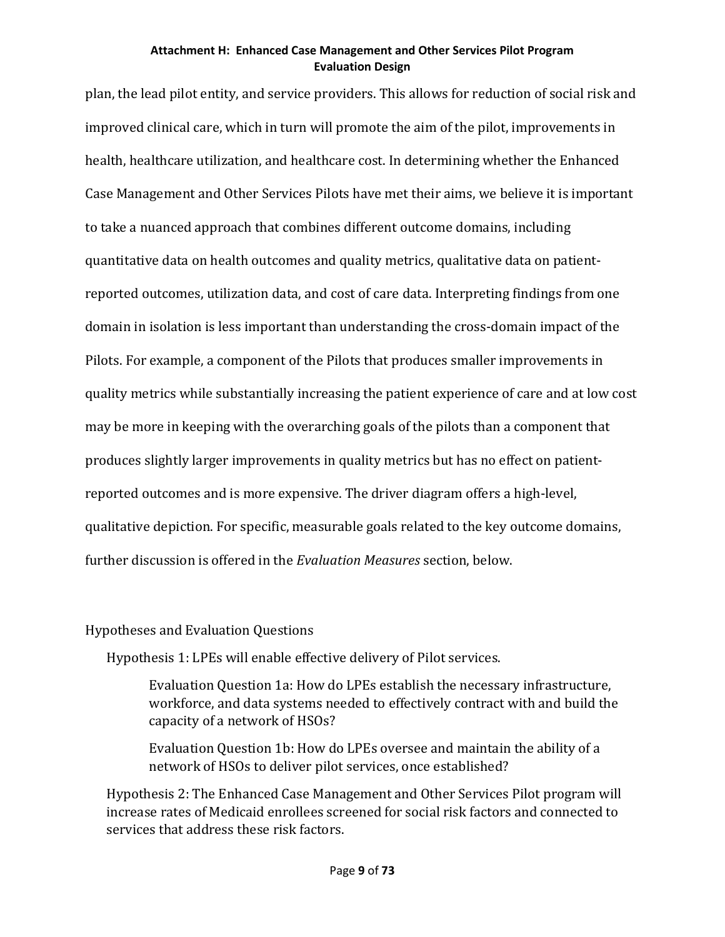plan, the lead pilot entity, and service providers. This allows for reduction of social risk and improved clinical care, which in turn will promote the aim of the pilot, improvements in health, healthcare utilization, and healthcare cost. In determining whether the Enhanced Case Management and Other Services Pilots have met their aims, we believe it is important to take a nuanced approach that combines different outcome domains, including quantitative data on health outcomes and quality metrics, qualitative data on patientreported outcomes, utilization data, and cost of care data. Interpreting findings from one domain in isolation is less important than understanding the cross-domain impact of the Pilots. For example, a component of the Pilots that produces smaller improvements in quality metrics while substantially increasing the patient experience of care and at low cost may be more in keeping with the overarching goals of the pilots than a component that produces slightly larger improvements in quality metrics but has no effect on patientreported outcomes and is more expensive. The driver diagram offers a high-level, qualitative depiction. For specific, measurable goals related to the key outcome domains, further discussion is offered in the *Evaluation Measures* section, below.

## Hypotheses and Evaluation Questions

Hypothesis 1: LPEs will enable effective delivery of Pilot services.

Evaluation Question 1a: How do LPEs establish the necessary infrastructure, workforce, and data systems needed to effectively contract with and build the capacity of a network of HSOs?

Evaluation Question 1b: How do LPEs oversee and maintain the ability of a network of HSOs to deliver pilot services, once established?

Hypothesis 2: The Enhanced Case Management and Other Services Pilot program will increase rates of Medicaid enrollees screened for social risk factors and connected to services that address these risk factors.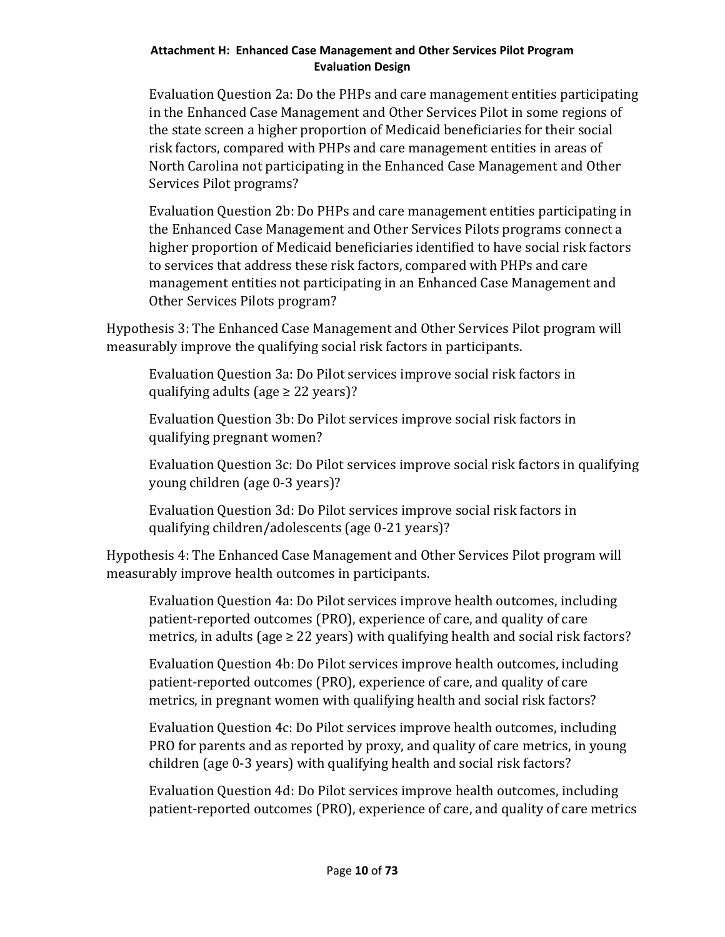Evaluation Question 2a: Do the PHPs and care management entities participating in the Enhanced Case Management and Other Services Pilot in some regions of the state screen a higher proportion of Medicaid beneficiaries for their social risk factors, compared with PHPs and care management entities in areas of North Carolina not participating in the Enhanced Case Management and Other Services Pilot programs?

Evaluation Question 2b: Do PHPs and care management entities participating in the Enhanced Case Management and Other Services Pilots programs connect a higher proportion of Medicaid beneficiaries identified to have social risk factors to services that address these risk factors, compared with PHPs and care management entities not participating in an Enhanced Case Management and Other Services Pilots program?

Hypothesis 3: The Enhanced Case Management and Other Services Pilot program will measurably improve the qualifying social risk factors in participants.

Evaluation Question 3a: Do Pilot services improve social risk factors in qualifying adults (age  $\geq$  22 years)?

Evaluation Question 3b: Do Pilot services improve social risk factors in qualifying pregnant women?

Evaluation Question 3c: Do Pilot services improve social risk factors in qualifying young children (age 0-3 years)?

Evaluation Question 3d: Do Pilot services improve social risk factors in qualifying children/adolescents (age 0-21 years)?

Hypothesis 4: The Enhanced Case Management and Other Services Pilot program will measurably improve health outcomes in participants.

Evaluation Question 4a: Do Pilot services improve health outcomes, including patient-reported outcomes (PRO), experience of care, and quality of care metrics, in adults (age  $\geq$  22 years) with qualifying health and social risk factors?

Evaluation Question 4b: Do Pilot services improve health outcomes, including patient-reported outcomes (PRO), experience of care, and quality of care metrics, in pregnant women with qualifying health and social risk factors?

Evaluation Question 4c: Do Pilot services improve health outcomes, including PRO for parents and as reported by proxy, and quality of care metrics, in young children (age 0-3 years) with qualifying health and social risk factors?

Evaluation Question 4d: Do Pilot services improve health outcomes, including patient-reported outcomes (PRO), experience of care, and quality of care metrics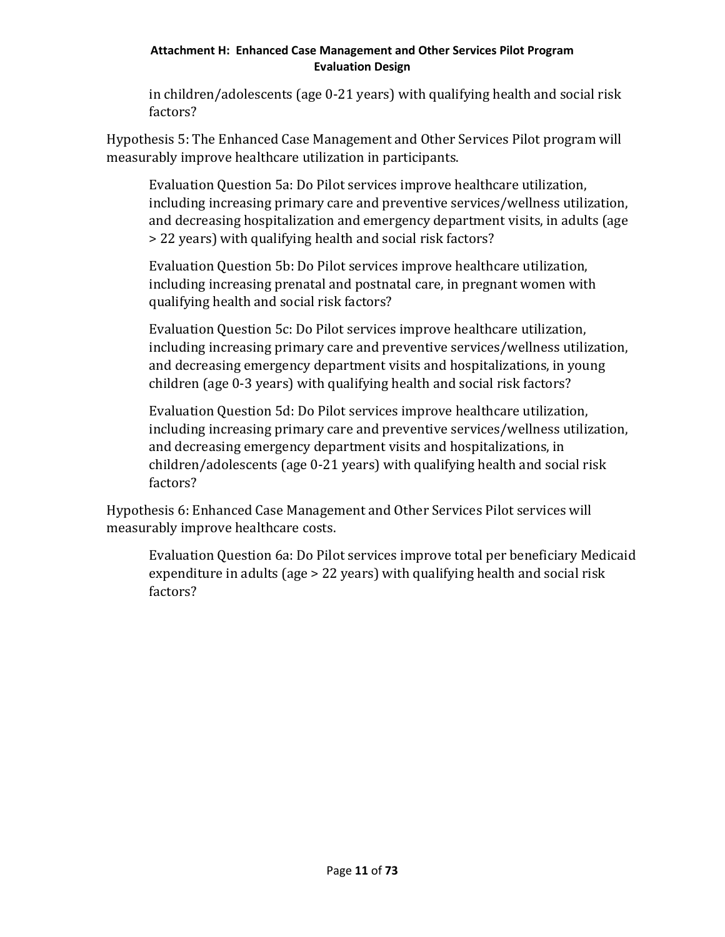in children/adolescents (age 0-21 years) with qualifying health and social risk factors?

Hypothesis 5: The Enhanced Case Management and Other Services Pilot program will measurably improve healthcare utilization in participants.

Evaluation Question 5a: Do Pilot services improve healthcare utilization, including increasing primary care and preventive services/wellness utilization, and decreasing hospitalization and emergency department visits, in adults (age > 22 years) with qualifying health and social risk factors?

Evaluation Question 5b: Do Pilot services improve healthcare utilization, including increasing prenatal and postnatal care, in pregnant women with qualifying health and social risk factors?

Evaluation Question 5c: Do Pilot services improve healthcare utilization, including increasing primary care and preventive services/wellness utilization, and decreasing emergency department visits and hospitalizations, in young children (age 0-3 years) with qualifying health and social risk factors?

Evaluation Question 5d: Do Pilot services improve healthcare utilization, including increasing primary care and preventive services/wellness utilization, and decreasing emergency department visits and hospitalizations, in children/adolescents (age 0-21 years) with qualifying health and social risk factors?

Hypothesis 6: Enhanced Case Management and Other Services Pilot services will measurably improve healthcare costs.

Evaluation Question 6a: Do Pilot services improve total per beneficiary Medicaid expenditure in adults (age > 22 years) with qualifying health and social risk factors?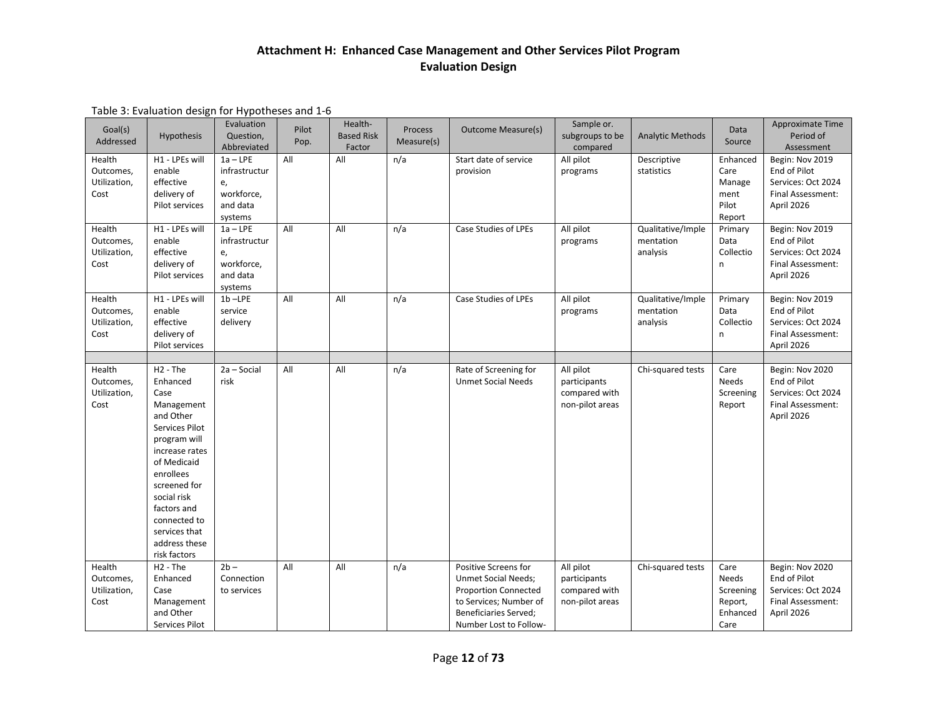| Goal(s)<br>Addressed                        | <b>Hypothesis</b>                                                                                                                                                                                                                                         | Evaluation<br>Question,<br>Abbreviated                                 | Pilot<br>Pop. | Health-<br><b>Based Risk</b><br>Factor | Process<br>Measure(s) | <b>Outcome Measure(s)</b>                                                                                                                                             | Sample or.<br>subgroups to be<br>compared                     | <b>Analytic Methods</b>                    | Data<br>Source                                            | Approximate Time<br>Period of<br>Assessment                                              |
|---------------------------------------------|-----------------------------------------------------------------------------------------------------------------------------------------------------------------------------------------------------------------------------------------------------------|------------------------------------------------------------------------|---------------|----------------------------------------|-----------------------|-----------------------------------------------------------------------------------------------------------------------------------------------------------------------|---------------------------------------------------------------|--------------------------------------------|-----------------------------------------------------------|------------------------------------------------------------------------------------------|
| Health<br>Outcomes,<br>Utilization,<br>Cost | H1 - LPEs will<br>enable<br>effective<br>delivery of<br>Pilot services                                                                                                                                                                                    | $1a - LPE$<br>infrastructur<br>e,<br>workforce,<br>and data<br>systems | All           | All                                    | n/a                   | Start date of service<br>provision                                                                                                                                    | All pilot<br>programs                                         | Descriptive<br>statistics                  | Enhanced<br>Care<br>Manage<br>ment<br>Pilot<br>Report     | Begin: Nov 2019<br>End of Pilot<br>Services: Oct 2024<br>Final Assessment:<br>April 2026 |
| Health<br>Outcomes,<br>Utilization,<br>Cost | H1 - LPEs will<br>enable<br>effective<br>delivery of<br>Pilot services                                                                                                                                                                                    | $1a - LPE$<br>infrastructur<br>e,<br>workforce,<br>and data<br>systems | All           | All                                    | n/a                   | Case Studies of LPEs                                                                                                                                                  | All pilot<br>programs                                         | Qualitative/Imple<br>mentation<br>analysis | Primary<br>Data<br>Collectio<br>n                         | Begin: Nov 2019<br>End of Pilot<br>Services: Oct 2024<br>Final Assessment:<br>April 2026 |
| Health<br>Outcomes,<br>Utilization,<br>Cost | H1 - LPEs will<br>enable<br>effective<br>delivery of<br>Pilot services                                                                                                                                                                                    | $1b - LPE$<br>service<br>delivery                                      | All           | All                                    | n/a                   | Case Studies of LPEs                                                                                                                                                  | All pilot<br>programs                                         | Qualitative/Imple<br>mentation<br>analysis | Primary<br>Data<br>Collectio<br>n                         | Begin: Nov 2019<br>End of Pilot<br>Services: Oct 2024<br>Final Assessment:<br>April 2026 |
| Health<br>Outcomes,<br>Utilization,<br>Cost | $H2 - The$<br>Enhanced<br>Case<br>Management<br>and Other<br>Services Pilot<br>program will<br>increase rates<br>of Medicaid<br>enrollees<br>screened for<br>social risk<br>factors and<br>connected to<br>services that<br>address these<br>risk factors | 2a - Social<br>risk                                                    | All           | All                                    | n/a                   | Rate of Screening for<br><b>Unmet Social Needs</b>                                                                                                                    | All pilot<br>participants<br>compared with<br>non-pilot areas | Chi-squared tests                          | Care<br><b>Needs</b><br>Screening<br>Report               | Begin: Nov 2020<br>End of Pilot<br>Services: Oct 2024<br>Final Assessment:<br>April 2026 |
| Health<br>Outcomes,<br>Utilization,<br>Cost | $H2$ - The<br>Enhanced<br>Case<br>Management<br>and Other<br>Services Pilot                                                                                                                                                                               | $2b -$<br>Connection<br>to services                                    | All           | All                                    | n/a                   | Positive Screens for<br><b>Unmet Social Needs;</b><br><b>Proportion Connected</b><br>to Services; Number of<br><b>Beneficiaries Served;</b><br>Number Lost to Follow- | All pilot<br>participants<br>compared with<br>non-pilot areas | Chi-squared tests                          | Care<br>Needs<br>Screening<br>Report,<br>Enhanced<br>Care | Begin: Nov 2020<br>End of Pilot<br>Services: Oct 2024<br>Final Assessment:<br>April 2026 |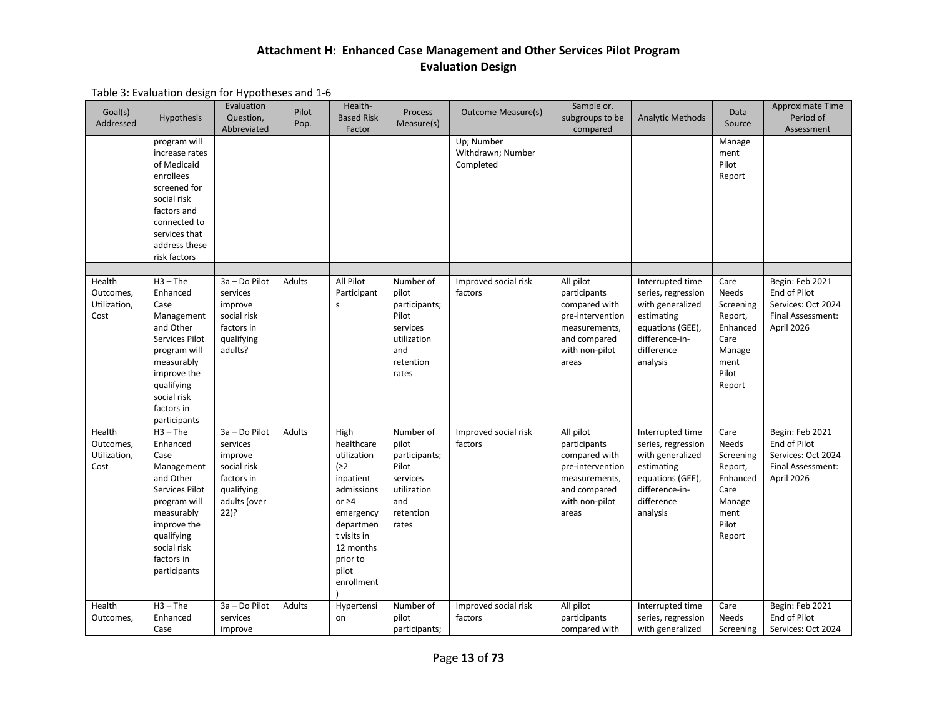| Goal(s)<br>Addressed                        | <b>Hypothesis</b>                                                                                                                                                                   | Evaluation<br>Question,<br>Abbreviated                                                                  | Pilot<br>Pop. | Health-<br><b>Based Risk</b><br>Factor                                                                                                                                       | <b>Process</b><br>Measure(s)                                                                         | <b>Outcome Measure(s)</b>                    | Sample or.<br>subgroups to be<br>compared                                                                                  | <b>Analytic Methods</b>                                                                                                                  | Data<br>Source                                                                                        | Approximate Time<br>Period of<br>Assessment                                              |
|---------------------------------------------|-------------------------------------------------------------------------------------------------------------------------------------------------------------------------------------|---------------------------------------------------------------------------------------------------------|---------------|------------------------------------------------------------------------------------------------------------------------------------------------------------------------------|------------------------------------------------------------------------------------------------------|----------------------------------------------|----------------------------------------------------------------------------------------------------------------------------|------------------------------------------------------------------------------------------------------------------------------------------|-------------------------------------------------------------------------------------------------------|------------------------------------------------------------------------------------------|
|                                             | program will<br>increase rates<br>of Medicaid<br>enrollees<br>screened for<br>social risk<br>factors and<br>connected to<br>services that<br>address these<br>risk factors          |                                                                                                         |               |                                                                                                                                                                              |                                                                                                      | Up; Number<br>Withdrawn; Number<br>Completed |                                                                                                                            |                                                                                                                                          | Manage<br>ment<br>Pilot<br>Report                                                                     |                                                                                          |
| Health<br>Outcomes,<br>Utilization,<br>Cost | $H3 - The$<br>Enhanced<br>Case<br>Management<br>and Other<br>Services Pilot<br>program will<br>measurably<br>improve the<br>qualifying<br>social risk<br>factors in<br>participants | 3a - Do Pilot<br>services<br>improve<br>social risk<br>factors in<br>qualifying<br>adults?              | <b>Adults</b> | All Pilot<br>Participant<br>s                                                                                                                                                | Number of<br>pilot<br>participants;<br>Pilot<br>services<br>utilization<br>and<br>retention<br>rates | Improved social risk<br>factors              | All pilot<br>participants<br>compared with<br>pre-intervention<br>measurements,<br>and compared<br>with non-pilot<br>areas | Interrupted time<br>series, regression<br>with generalized<br>estimating<br>equations (GEE),<br>difference-in-<br>difference<br>analysis | Care<br><b>Needs</b><br>Screening<br>Report,<br>Enhanced<br>Care<br>Manage<br>ment<br>Pilot<br>Report | Begin: Feb 2021<br>End of Pilot<br>Services: Oct 2024<br>Final Assessment:<br>April 2026 |
| Health<br>Outcomes,<br>Utilization,<br>Cost | $H3 - The$<br>Enhanced<br>Case<br>Management<br>and Other<br>Services Pilot<br>program will<br>measurably<br>improve the<br>qualifying<br>social risk<br>factors in<br>participants | 3a - Do Pilot<br>services<br>improve<br>social risk<br>factors in<br>qualifying<br>adults (over<br>22)? | Adults        | High<br>healthcare<br>utilization<br>(22)<br>inpatient<br>admissions<br>or $\geq 4$<br>emergency<br>departmen<br>t visits in<br>12 months<br>prior to<br>pilot<br>enrollment | Number of<br>pilot<br>participants;<br>Pilot<br>services<br>utilization<br>and<br>retention<br>rates | Improved social risk<br>factors              | All pilot<br>participants<br>compared with<br>pre-intervention<br>measurements,<br>and compared<br>with non-pilot<br>areas | Interrupted time<br>series, regression<br>with generalized<br>estimating<br>equations (GEE),<br>difference-in-<br>difference<br>analysis | Care<br>Needs<br>Screening<br>Report,<br>Enhanced<br>Care<br>Manage<br>ment<br>Pilot<br>Report        | Begin: Feb 2021<br>End of Pilot<br>Services: Oct 2024<br>Final Assessment:<br>April 2026 |
| Health<br>Outcomes,                         | $H3 - The$<br>Enhanced<br>Case                                                                                                                                                      | 3a - Do Pilot<br>services<br>improve                                                                    | Adults        | Hypertensi<br>on                                                                                                                                                             | Number of<br>pilot<br>participants;                                                                  | Improved social risk<br>factors              | All pilot<br>participants<br>compared with                                                                                 | Interrupted time<br>series, regression<br>with generalized                                                                               | Care<br>Needs<br>Screening                                                                            | Begin: Feb 2021<br>End of Pilot<br>Services: Oct 2024                                    |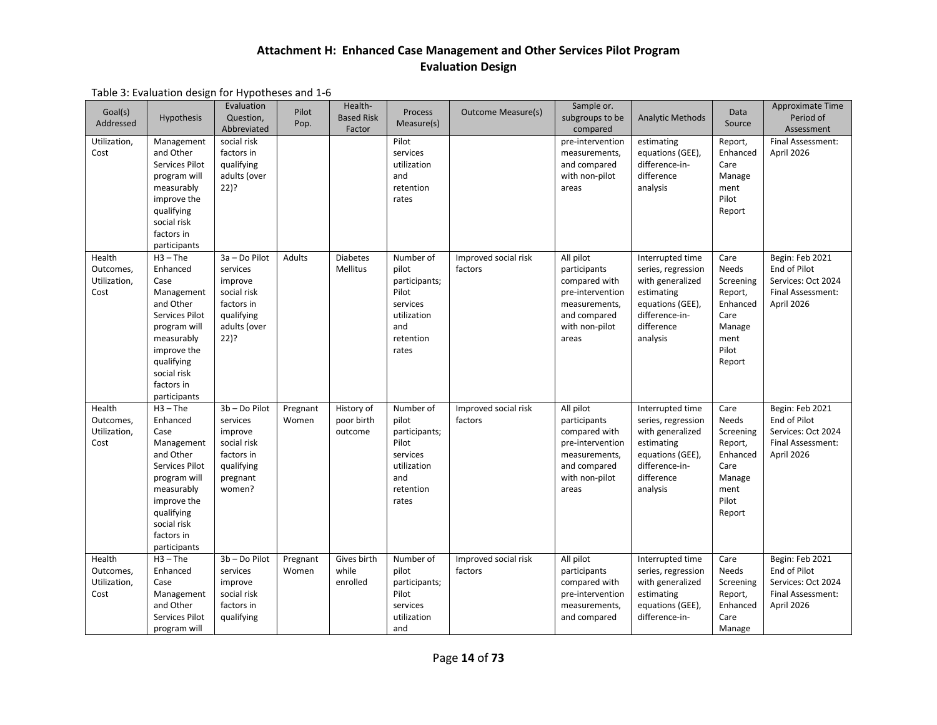| Goal(s)<br>Addressed                        | <b>Hypothesis</b>                                                                                                                                                                   | Evaluation<br>Question,<br>Abbreviated                                                                     | Pilot<br>Pop.     | Health-<br><b>Based Risk</b><br>Factor | Process<br>Measure(s)                                                                                | <b>Outcome Measure(s)</b>       | Sample or.<br>subgroups to be<br>compared                                                                                  | <b>Analytic Methods</b>                                                                                                                  | Data<br>Source                                                                                 | Approximate Time<br>Period of<br>Assessment                                              |
|---------------------------------------------|-------------------------------------------------------------------------------------------------------------------------------------------------------------------------------------|------------------------------------------------------------------------------------------------------------|-------------------|----------------------------------------|------------------------------------------------------------------------------------------------------|---------------------------------|----------------------------------------------------------------------------------------------------------------------------|------------------------------------------------------------------------------------------------------------------------------------------|------------------------------------------------------------------------------------------------|------------------------------------------------------------------------------------------|
| Utilization,<br>Cost                        | Management<br>and Other<br>Services Pilot<br>program will<br>measurably<br>improve the<br>qualifying<br>social risk<br>factors in<br>participants                                   | social risk<br>factors in<br>qualifying<br>adults (over<br>$22$ )?                                         |                   |                                        | Pilot<br>services<br>utilization<br>and<br>retention<br>rates                                        |                                 | pre-intervention<br>measurements,<br>and compared<br>with non-pilot<br>areas                                               | estimating<br>equations (GEE),<br>difference-in-<br>difference<br>analysis                                                               | Report,<br>Enhanced<br>Care<br>Manage<br>ment<br>Pilot<br>Report                               | Final Assessment:<br>April 2026                                                          |
| Health<br>Outcomes,<br>Utilization,<br>Cost | $H3 - The$<br>Enhanced<br>Case<br>Management<br>and Other<br>Services Pilot<br>program will<br>measurably<br>improve the<br>qualifying<br>social risk<br>factors in<br>participants | 3a - Do Pilot<br>services<br>improve<br>social risk<br>factors in<br>qualifying<br>adults (over<br>$22)$ ? | Adults            | <b>Diabetes</b><br>Mellitus            | Number of<br>pilot<br>participants;<br>Pilot<br>services<br>utilization<br>and<br>retention<br>rates | Improved social risk<br>factors | All pilot<br>participants<br>compared with<br>pre-intervention<br>measurements,<br>and compared<br>with non-pilot<br>areas | Interrupted time<br>series, regression<br>with generalized<br>estimating<br>equations (GEE),<br>difference-in-<br>difference<br>analysis | Care<br>Needs<br>Screening<br>Report,<br>Enhanced<br>Care<br>Manage<br>ment<br>Pilot<br>Report | Begin: Feb 2021<br>End of Pilot<br>Services: Oct 2024<br>Final Assessment:<br>April 2026 |
| Health<br>Outcomes,<br>Utilization,<br>Cost | $H3 - The$<br>Enhanced<br>Case<br>Management<br>and Other<br>Services Pilot<br>program will<br>measurably<br>improve the<br>qualifying<br>social risk<br>factors in<br>participants | 3b - Do Pilot<br>services<br>improve<br>social risk<br>factors in<br>qualifying<br>pregnant<br>women?      | Pregnant<br>Women | History of<br>poor birth<br>outcome    | Number of<br>pilot<br>participants;<br>Pilot<br>services<br>utilization<br>and<br>retention<br>rates | Improved social risk<br>factors | All pilot<br>participants<br>compared with<br>pre-intervention<br>measurements,<br>and compared<br>with non-pilot<br>areas | Interrupted time<br>series, regression<br>with generalized<br>estimating<br>equations (GEE),<br>difference-in-<br>difference<br>analysis | Care<br>Needs<br>Screening<br>Report,<br>Enhanced<br>Care<br>Manage<br>ment<br>Pilot<br>Report | Begin: Feb 2021<br>End of Pilot<br>Services: Oct 2024<br>Final Assessment:<br>April 2026 |
| Health<br>Outcomes,<br>Utilization,<br>Cost | $H3 - The$<br>Enhanced<br>Case<br>Management<br>and Other<br>Services Pilot<br>program will                                                                                         | 3b - Do Pilot<br>services<br>improve<br>social risk<br>factors in<br>qualifying                            | Pregnant<br>Women | Gives birth<br>while<br>enrolled       | Number of<br>pilot<br>participants;<br>Pilot<br>services<br>utilization<br>and                       | Improved social risk<br>factors | All pilot<br>participants<br>compared with<br>pre-intervention<br>measurements,<br>and compared                            | Interrupted time<br>series, regression<br>with generalized<br>estimating<br>equations (GEE),<br>difference-in-                           | Care<br>Needs<br>Screening<br>Report,<br>Enhanced<br>Care<br>Manage                            | Begin: Feb 2021<br>End of Pilot<br>Services: Oct 2024<br>Final Assessment:<br>April 2026 |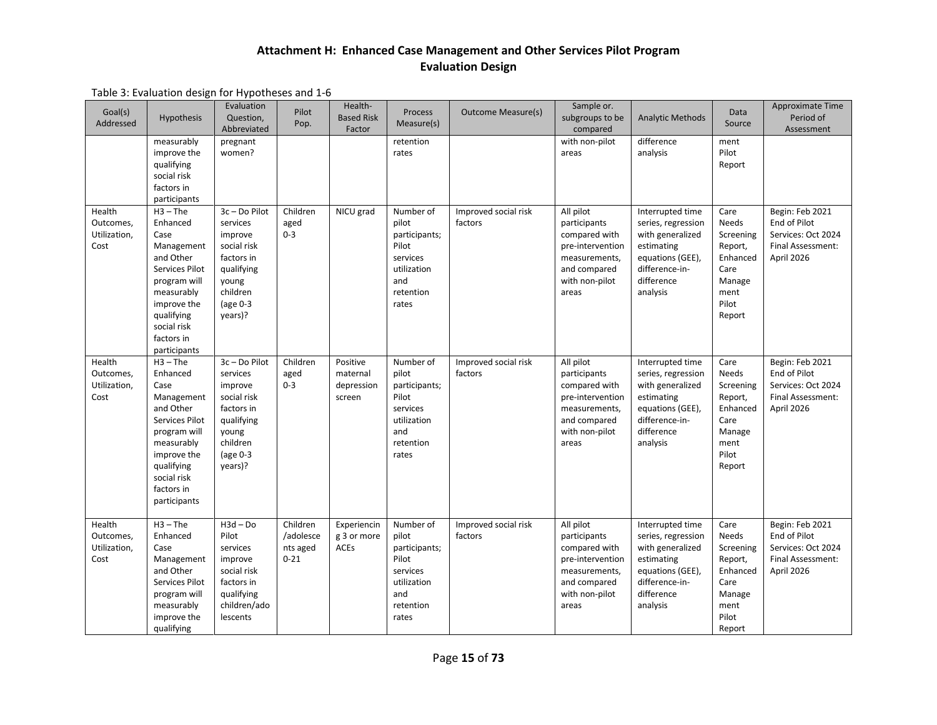| Goal(s)<br>Addressed                        | <b>Hypothesis</b>                                                                                                                                                                   | Evaluation<br>Question,<br>Abbreviated                                                                                      | Pilot<br>Pop.                                 | Health-<br><b>Based Risk</b><br>Factor       | <b>Process</b><br>Measure(s)                                                                         | <b>Outcome Measure(s)</b>       | Sample or.<br>subgroups to be<br>compared                                                                                  | <b>Analytic Methods</b>                                                                                                                  | Data<br>Source                                                                                 | Approximate Time<br>Period of<br>Assessment                                              |
|---------------------------------------------|-------------------------------------------------------------------------------------------------------------------------------------------------------------------------------------|-----------------------------------------------------------------------------------------------------------------------------|-----------------------------------------------|----------------------------------------------|------------------------------------------------------------------------------------------------------|---------------------------------|----------------------------------------------------------------------------------------------------------------------------|------------------------------------------------------------------------------------------------------------------------------------------|------------------------------------------------------------------------------------------------|------------------------------------------------------------------------------------------|
|                                             | measurably<br>improve the<br>qualifying<br>social risk<br>factors in<br>participants                                                                                                | pregnant<br>women?                                                                                                          |                                               |                                              | retention<br>rates                                                                                   |                                 | with non-pilot<br>areas                                                                                                    | difference<br>analysis                                                                                                                   | ment<br>Pilot<br>Report                                                                        |                                                                                          |
| Health<br>Outcomes,<br>Utilization,<br>Cost | $H3 - The$<br>Enhanced<br>Case<br>Management<br>and Other<br>Services Pilot<br>program will<br>measurably<br>improve the<br>qualifying<br>social risk<br>factors in<br>participants | 3c-Do Pilot<br>services<br>improve<br>social risk<br>factors in<br>qualifying<br>young<br>children<br>(age $0-3$<br>years)? | Children<br>aged<br>$0 - 3$                   | NICU grad                                    | Number of<br>pilot<br>participants;<br>Pilot<br>services<br>utilization<br>and<br>retention<br>rates | Improved social risk<br>factors | All pilot<br>participants<br>compared with<br>pre-intervention<br>measurements,<br>and compared<br>with non-pilot<br>areas | Interrupted time<br>series, regression<br>with generalized<br>estimating<br>equations (GEE),<br>difference-in-<br>difference<br>analysis | Care<br>Needs<br>Screening<br>Report,<br>Enhanced<br>Care<br>Manage<br>ment<br>Pilot<br>Report | Begin: Feb 2021<br>End of Pilot<br>Services: Oct 2024<br>Final Assessment:<br>April 2026 |
| Health<br>Outcomes,<br>Utilization,<br>Cost | $H3 - The$<br>Enhanced<br>Case<br>Management<br>and Other<br>Services Pilot<br>program will<br>measurably<br>improve the<br>qualifying<br>social risk<br>factors in<br>participants | 3c-Do Pilot<br>services<br>improve<br>social risk<br>factors in<br>qualifying<br>young<br>children<br>(age 0-3<br>years)?   | Children<br>aged<br>$0 - 3$                   | Positive<br>maternal<br>depression<br>screen | Number of<br>pilot<br>participants;<br>Pilot<br>services<br>utilization<br>and<br>retention<br>rates | Improved social risk<br>factors | All pilot<br>participants<br>compared with<br>pre-intervention<br>measurements,<br>and compared<br>with non-pilot<br>areas | Interrupted time<br>series, regression<br>with generalized<br>estimating<br>equations (GEE),<br>difference-in-<br>difference<br>analysis | Care<br>Needs<br>Screening<br>Report,<br>Enhanced<br>Care<br>Manage<br>ment<br>Pilot<br>Report | Begin: Feb 2021<br>End of Pilot<br>Services: Oct 2024<br>Final Assessment:<br>April 2026 |
| Health<br>Outcomes,<br>Utilization,<br>Cost | $H3 - The$<br>Enhanced<br>Case<br>Management<br>and Other<br>Services Pilot<br>program will<br>measurably<br>improve the<br>qualifying                                              | $H3d - Do$<br>Pilot<br>services<br>improve<br>social risk<br>factors in<br>qualifying<br>children/ado<br>lescents           | Children<br>/adolesce<br>nts aged<br>$0 - 21$ | Experiencin<br>g 3 or more<br><b>ACEs</b>    | Number of<br>pilot<br>participants;<br>Pilot<br>services<br>utilization<br>and<br>retention<br>rates | Improved social risk<br>factors | All pilot<br>participants<br>compared with<br>pre-intervention<br>measurements,<br>and compared<br>with non-pilot<br>areas | Interrupted time<br>series, regression<br>with generalized<br>estimating<br>equations (GEE),<br>difference-in-<br>difference<br>analysis | Care<br>Needs<br>Screening<br>Report,<br>Enhanced<br>Care<br>Manage<br>ment<br>Pilot<br>Report | Begin: Feb 2021<br>End of Pilot<br>Services: Oct 2024<br>Final Assessment:<br>April 2026 |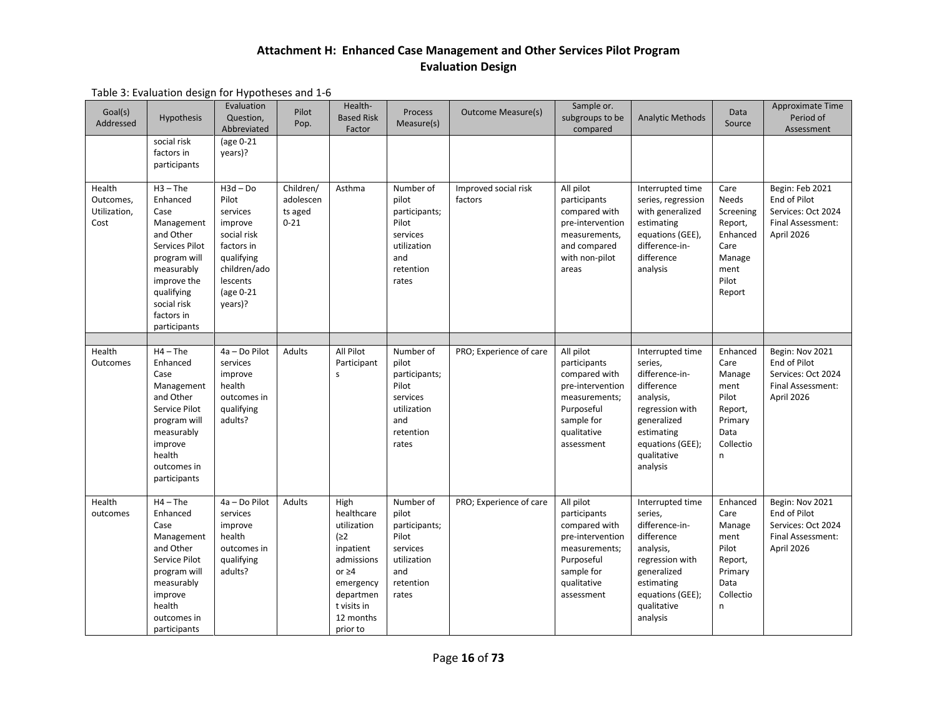| Goal(s)<br>Addressed                        | <b>Hypothesis</b>                                                                                                                                                                   | Evaluation<br>Question,<br>Abbreviated                                                                                                    | Pilot<br>Pop.                                 | Health-<br><b>Based Risk</b><br>Factor                                                                                                               | Process<br>Measure(s)                                                                                | <b>Outcome Measure(s)</b>       | Sample or.<br>subgroups to be<br>compared                                                                                                | <b>Analytic Methods</b>                                                                                                                                                 | Data<br>Source                                                                                 | Approximate Time<br>Period of<br>Assessment                                              |
|---------------------------------------------|-------------------------------------------------------------------------------------------------------------------------------------------------------------------------------------|-------------------------------------------------------------------------------------------------------------------------------------------|-----------------------------------------------|------------------------------------------------------------------------------------------------------------------------------------------------------|------------------------------------------------------------------------------------------------------|---------------------------------|------------------------------------------------------------------------------------------------------------------------------------------|-------------------------------------------------------------------------------------------------------------------------------------------------------------------------|------------------------------------------------------------------------------------------------|------------------------------------------------------------------------------------------|
|                                             | social risk<br>factors in<br>participants                                                                                                                                           | (age 0-21<br>years)?                                                                                                                      |                                               |                                                                                                                                                      |                                                                                                      |                                 |                                                                                                                                          |                                                                                                                                                                         |                                                                                                |                                                                                          |
| Health<br>Outcomes,<br>Utilization,<br>Cost | $H3 - The$<br>Enhanced<br>Case<br>Management<br>and Other<br>Services Pilot<br>program will<br>measurably<br>improve the<br>qualifying<br>social risk<br>factors in<br>participants | $H3d - Do$<br>Pilot<br>services<br>improve<br>social risk<br>factors in<br>qualifying<br>children/ado<br>lescents<br>(age 0-21<br>years)? | Children/<br>adolescen<br>ts aged<br>$0 - 21$ | Asthma                                                                                                                                               | Number of<br>pilot<br>participants;<br>Pilot<br>services<br>utilization<br>and<br>retention<br>rates | Improved social risk<br>factors | All pilot<br>participants<br>compared with<br>pre-intervention<br>measurements,<br>and compared<br>with non-pilot<br>areas               | Interrupted time<br>series, regression<br>with generalized<br>estimating<br>equations (GEE),<br>difference-in-<br>difference<br>analysis                                | Care<br>Needs<br>Screening<br>Report,<br>Enhanced<br>Care<br>Manage<br>ment<br>Pilot<br>Report | Begin: Feb 2021<br>End of Pilot<br>Services: Oct 2024<br>Final Assessment:<br>April 2026 |
| Health<br>Outcomes                          | $H4 - The$<br>Enhanced<br>Case<br>Management<br>and Other<br>Service Pilot<br>program will<br>measurably<br>improve<br>health<br>outcomes in<br>participants                        | 4a - Do Pilot<br>services<br>improve<br>health<br>outcomes in<br>qualifying<br>adults?                                                    | <b>Adults</b>                                 | All Pilot<br>Participant<br>s                                                                                                                        | Number of<br>pilot<br>participants;<br>Pilot<br>services<br>utilization<br>and<br>retention<br>rates | PRO; Experience of care         | All pilot<br>participants<br>compared with<br>pre-intervention<br>measurements;<br>Purposeful<br>sample for<br>qualitative<br>assessment | Interrupted time<br>series,<br>difference-in-<br>difference<br>analysis,<br>regression with<br>generalized<br>estimating<br>equations (GEE);<br>qualitative<br>analysis | Enhanced<br>Care<br>Manage<br>ment<br>Pilot<br>Report,<br>Primary<br>Data<br>Collectio<br>n    | Begin: Nov 2021<br>End of Pilot<br>Services: Oct 2024<br>Final Assessment:<br>April 2026 |
| Health<br>outcomes                          | $H4 - The$<br>Enhanced<br>Case<br>Management<br>and Other<br>Service Pilot<br>program will<br>measurably<br>improve<br>health<br>outcomes in<br>participants                        | 4a - Do Pilot<br>services<br>improve<br>health<br>outcomes in<br>qualifying<br>adults?                                                    | Adults                                        | High<br>healthcare<br>utilization<br>(≥2<br>inpatient<br>admissions<br>or $\geq 4$<br>emergency<br>departmen<br>t visits in<br>12 months<br>prior to | Number of<br>pilot<br>participants;<br>Pilot<br>services<br>utilization<br>and<br>retention<br>rates | PRO; Experience of care         | All pilot<br>participants<br>compared with<br>pre-intervention<br>measurements;<br>Purposeful<br>sample for<br>qualitative<br>assessment | Interrupted time<br>series,<br>difference-in-<br>difference<br>analysis,<br>regression with<br>generalized<br>estimating<br>equations (GEE);<br>qualitative<br>analysis | Enhanced<br>Care<br>Manage<br>ment<br>Pilot<br>Report,<br>Primary<br>Data<br>Collectio<br>n    | Begin: Nov 2021<br>End of Pilot<br>Services: Oct 2024<br>Final Assessment:<br>April 2026 |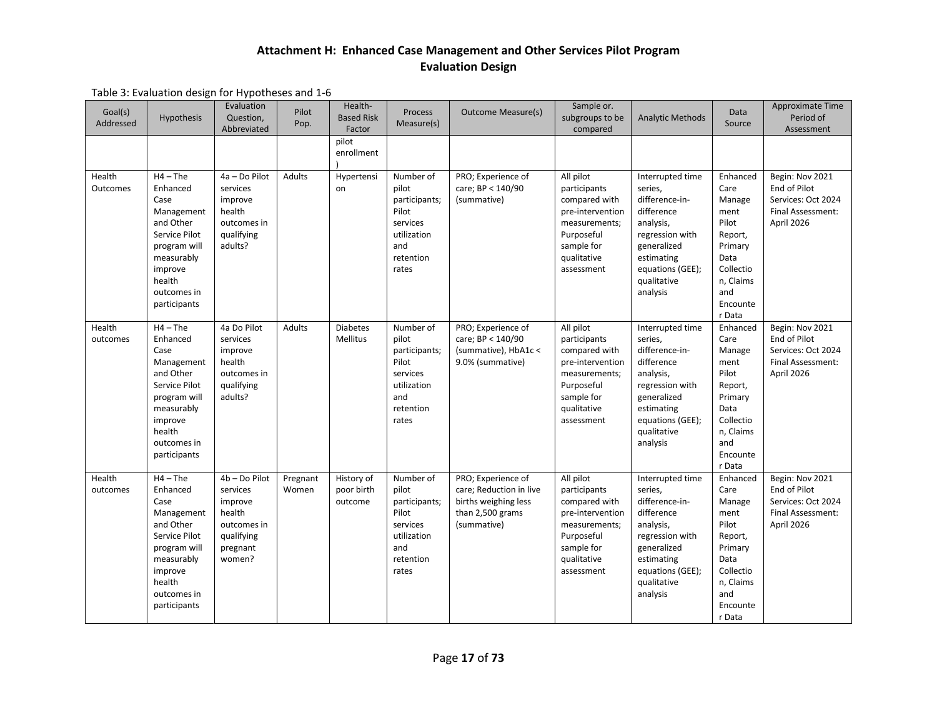| Goal(s)<br>Addressed | Hypothesis                                                                                                                                                   | Evaluation<br>Question,<br>Abbreviated                                                            | Pilot<br>Pop.     | Health-<br><b>Based Risk</b><br>Factor<br>pilot | Process<br>Measure(s)                                                                                | <b>Outcome Measure(s)</b>                                                                                | Sample or.<br>subgroups to be<br>compared                                                                                                | <b>Analytic Methods</b>                                                                                                                                                 | Data<br>Source                                                                                                                   | <b>Approximate Time</b><br>Period of<br>Assessment                                       |
|----------------------|--------------------------------------------------------------------------------------------------------------------------------------------------------------|---------------------------------------------------------------------------------------------------|-------------------|-------------------------------------------------|------------------------------------------------------------------------------------------------------|----------------------------------------------------------------------------------------------------------|------------------------------------------------------------------------------------------------------------------------------------------|-------------------------------------------------------------------------------------------------------------------------------------------------------------------------|----------------------------------------------------------------------------------------------------------------------------------|------------------------------------------------------------------------------------------|
|                      |                                                                                                                                                              |                                                                                                   |                   | enrollment                                      |                                                                                                      |                                                                                                          |                                                                                                                                          |                                                                                                                                                                         |                                                                                                                                  |                                                                                          |
| Health<br>Outcomes   | $H4 - The$<br>Enhanced<br>Case<br>Management<br>and Other<br>Service Pilot<br>program will<br>measurably<br>improve<br>health<br>outcomes in<br>participants | 4a - Do Pilot<br>services<br>improve<br>health<br>outcomes in<br>qualifying<br>adults?            | Adults            | Hypertensi<br>on                                | Number of<br>pilot<br>participants;<br>Pilot<br>services<br>utilization<br>and<br>retention<br>rates | PRO; Experience of<br>care; BP < 140/90<br>(summative)                                                   | All pilot<br>participants<br>compared with<br>pre-intervention<br>measurements;<br>Purposeful<br>sample for<br>qualitative<br>assessment | Interrupted time<br>series,<br>difference-in-<br>difference<br>analysis,<br>regression with<br>generalized<br>estimating<br>equations (GEE);<br>qualitative<br>analysis | Enhanced<br>Care<br>Manage<br>ment<br>Pilot<br>Report,<br>Primary<br>Data<br>Collectio<br>n, Claims<br>and<br>Encounte<br>r Data | Begin: Nov 2021<br>End of Pilot<br>Services: Oct 2024<br>Final Assessment:<br>April 2026 |
| Health<br>outcomes   | $H4 - The$<br>Enhanced<br>Case<br>Management<br>and Other<br>Service Pilot<br>program will<br>measurably<br>improve<br>health<br>outcomes in<br>participants | 4a Do Pilot<br>services<br>improve<br>health<br>outcomes in<br>qualifying<br>adults?              | Adults            | <b>Diabetes</b><br>Mellitus                     | Number of<br>pilot<br>participants;<br>Pilot<br>services<br>utilization<br>and<br>retention<br>rates | PRO; Experience of<br>care; BP < 140/90<br>(summative), HbA1c <<br>9.0% (summative)                      | All pilot<br>participants<br>compared with<br>pre-intervention<br>measurements;<br>Purposeful<br>sample for<br>qualitative<br>assessment | Interrupted time<br>series,<br>difference-in-<br>difference<br>analysis,<br>regression with<br>generalized<br>estimating<br>equations (GEE);<br>qualitative<br>analysis | Enhanced<br>Care<br>Manage<br>ment<br>Pilot<br>Report,<br>Primary<br>Data<br>Collectio<br>n, Claims<br>and<br>Encounte<br>r Data | Begin: Nov 2021<br>End of Pilot<br>Services: Oct 2024<br>Final Assessment:<br>April 2026 |
| Health<br>outcomes   | $H4 - The$<br>Enhanced<br>Case<br>Management<br>and Other<br>Service Pilot<br>program will<br>measurably<br>improve<br>health<br>outcomes in<br>participants | 4b - Do Pilot<br>services<br>improve<br>health<br>outcomes in<br>qualifying<br>pregnant<br>women? | Pregnant<br>Women | History of<br>poor birth<br>outcome             | Number of<br>pilot<br>participants;<br>Pilot<br>services<br>utilization<br>and<br>retention<br>rates | PRO; Experience of<br>care; Reduction in live<br>births weighing less<br>than 2,500 grams<br>(summative) | All pilot<br>participants<br>compared with<br>pre-intervention<br>measurements;<br>Purposeful<br>sample for<br>qualitative<br>assessment | Interrupted time<br>series,<br>difference-in-<br>difference<br>analysis,<br>regression with<br>generalized<br>estimating<br>equations (GEE);<br>qualitative<br>analysis | Enhanced<br>Care<br>Manage<br>ment<br>Pilot<br>Report,<br>Primary<br>Data<br>Collectio<br>n, Claims<br>and<br>Encounte<br>r Data | Begin: Nov 2021<br>End of Pilot<br>Services: Oct 2024<br>Final Assessment:<br>April 2026 |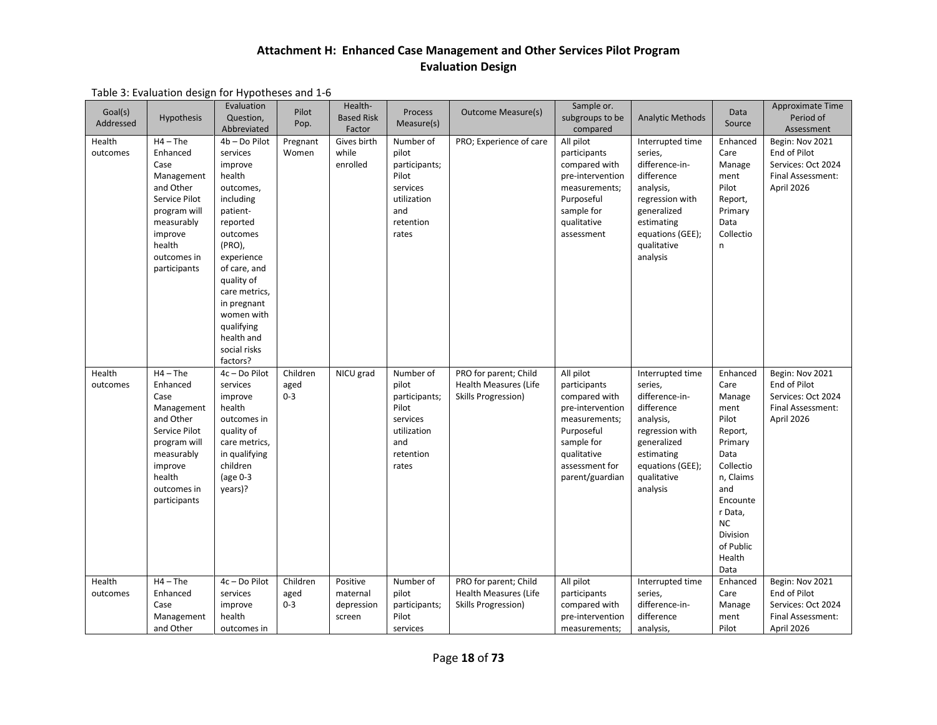| Goal(s)<br>Addressed | Hypothesis                                                                                                                                                   | Evaluation<br>Question,<br>Abbreviated                                                                                                                                                                                                                                   | Pilot<br>Pop.               | Health-<br><b>Based Risk</b><br>Factor       | <b>Process</b><br>Measure(s)                                                                         | <b>Outcome Measure(s)</b>                                                    | Sample or.<br>subgroups to be<br>compared                                                                                                                       | <b>Analytic Methods</b>                                                                                                                                                 | Data<br>Source                                                                                                                                                                            | Approximate Time<br>Period of<br>Assessment                                                     |
|----------------------|--------------------------------------------------------------------------------------------------------------------------------------------------------------|--------------------------------------------------------------------------------------------------------------------------------------------------------------------------------------------------------------------------------------------------------------------------|-----------------------------|----------------------------------------------|------------------------------------------------------------------------------------------------------|------------------------------------------------------------------------------|-----------------------------------------------------------------------------------------------------------------------------------------------------------------|-------------------------------------------------------------------------------------------------------------------------------------------------------------------------|-------------------------------------------------------------------------------------------------------------------------------------------------------------------------------------------|-------------------------------------------------------------------------------------------------|
| Health<br>outcomes   | $H4 - The$<br>Enhanced<br>Case<br>Management<br>and Other<br>Service Pilot<br>program will<br>measurably<br>improve<br>health<br>outcomes in<br>participants | 4b - Do Pilot<br>services<br>improve<br>health<br>outcomes,<br>including<br>patient-<br>reported<br>outcomes<br>(PRO),<br>experience<br>of care, and<br>quality of<br>care metrics,<br>in pregnant<br>women with<br>qualifying<br>health and<br>social risks<br>factors? | Pregnant<br>Women           | Gives birth<br>while<br>enrolled             | Number of<br>pilot<br>participants;<br>Pilot<br>services<br>utilization<br>and<br>retention<br>rates | PRO; Experience of care                                                      | All pilot<br>participants<br>compared with<br>pre-intervention<br>measurements;<br>Purposeful<br>sample for<br>qualitative<br>assessment                        | Interrupted time<br>series,<br>difference-in-<br>difference<br>analysis,<br>regression with<br>generalized<br>estimating<br>equations (GEE);<br>qualitative<br>analysis | Enhanced<br>Care<br>Manage<br>ment<br>Pilot<br>Report,<br>Primary<br>Data<br>Collectio<br>n                                                                                               | Begin: Nov 2021<br>End of Pilot<br>Services: Oct 2024<br>Final Assessment:<br>April 2026        |
| Health<br>outcomes   | $H4 - The$<br>Enhanced<br>Case<br>Management<br>and Other<br>Service Pilot<br>program will<br>measurably<br>improve<br>health<br>outcomes in<br>participants | 4c - Do Pilot<br>services<br>improve<br>health<br>outcomes in<br>quality of<br>care metrics,<br>in qualifying<br>children<br>(age $0-3$<br>years)?                                                                                                                       | Children<br>aged<br>$0 - 3$ | NICU grad                                    | Number of<br>pilot<br>participants;<br>Pilot<br>services<br>utilization<br>and<br>retention<br>rates | PRO for parent; Child<br><b>Health Measures (Life</b><br>Skills Progression) | All pilot<br>participants<br>compared with<br>pre-intervention<br>measurements;<br>Purposeful<br>sample for<br>qualitative<br>assessment for<br>parent/guardian | Interrupted time<br>series,<br>difference-in-<br>difference<br>analysis,<br>regression with<br>generalized<br>estimating<br>equations (GEE);<br>qualitative<br>analysis | Enhanced<br>Care<br>Manage<br>ment<br>Pilot<br>Report,<br>Primary<br>Data<br>Collectio<br>n, Claims<br>and<br>Encounte<br>r Data,<br><b>NC</b><br>Division<br>of Public<br>Health<br>Data | Begin: Nov 2021<br>End of Pilot<br>Services: Oct 2024<br>Final Assessment:<br>April 2026        |
| Health<br>outcomes   | $H4 - The$<br>Enhanced<br>Case<br>Management<br>and Other                                                                                                    | 4c - Do Pilot<br>services<br>improve<br>health<br>outcomes in                                                                                                                                                                                                            | Children<br>aged<br>$0 - 3$ | Positive<br>maternal<br>depression<br>screen | Number of<br>pilot<br>participants;<br>Pilot<br>services                                             | PRO for parent; Child<br><b>Health Measures (Life</b><br>Skills Progression) | All pilot<br>participants<br>compared with<br>pre-intervention<br>measurements;                                                                                 | Interrupted time<br>series,<br>difference-in-<br>difference<br>analysis,                                                                                                | Enhanced<br>Care<br>Manage<br>ment<br>Pilot                                                                                                                                               | Begin: Nov 2021<br><b>End of Pilot</b><br>Services: Oct 2024<br>Final Assessment:<br>April 2026 |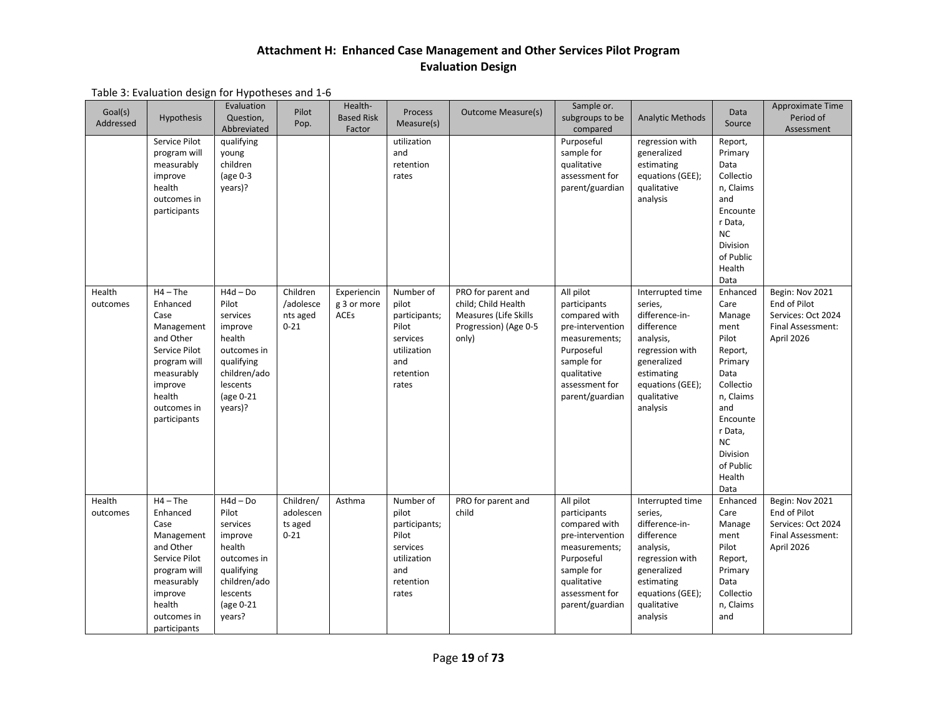|  | Table 3: Evaluation design for Hypotheses and 1-6 |
|--|---------------------------------------------------|
|--|---------------------------------------------------|

| Goal(s)<br>Addressed | <b>Hypothesis</b>                                                                                                                                            | Evaluation<br>Question,<br>Abbreviated                                                                                                | Pilot<br>Pop.                                 | Health-<br><b>Based Risk</b><br>Factor    | <b>Process</b><br>Measure(s)                                                                         | <b>Outcome Measure(s)</b>                                                                            | Sample or.<br>subgroups to be<br>compared                                                                                                                       | <b>Analytic Methods</b>                                                                                                                                                 | Data<br>Source                                                                                                                                                                                   | Approximate Time<br>Period of<br>Assessment                                              |
|----------------------|--------------------------------------------------------------------------------------------------------------------------------------------------------------|---------------------------------------------------------------------------------------------------------------------------------------|-----------------------------------------------|-------------------------------------------|------------------------------------------------------------------------------------------------------|------------------------------------------------------------------------------------------------------|-----------------------------------------------------------------------------------------------------------------------------------------------------------------|-------------------------------------------------------------------------------------------------------------------------------------------------------------------------|--------------------------------------------------------------------------------------------------------------------------------------------------------------------------------------------------|------------------------------------------------------------------------------------------|
|                      | Service Pilot<br>program will<br>measurably<br>improve<br>health<br>outcomes in<br>participants                                                              | qualifying<br>young<br>children<br>(age $0-3$<br>years)?                                                                              |                                               |                                           | utilization<br>and<br>retention<br>rates                                                             |                                                                                                      | Purposeful<br>sample for<br>qualitative<br>assessment for<br>parent/guardian                                                                                    | regression with<br>generalized<br>estimating<br>equations (GEE);<br>qualitative<br>analysis                                                                             | Report,<br>Primary<br>Data<br>Collectio<br>n, Claims<br>and<br>Encounte<br>r Data,<br><b>NC</b><br><b>Division</b><br>of Public<br>Health<br>Data                                                |                                                                                          |
| Health<br>outcomes   | $H4 - The$<br>Enhanced<br>Case<br>Management<br>and Other<br>Service Pilot<br>program will<br>measurably<br>improve<br>health<br>outcomes in<br>participants | $H4d - Do$<br>Pilot<br>services<br>improve<br>health<br>outcomes in<br>qualifying<br>children/ado<br>lescents<br>(age 0-21<br>years)? | Children<br>/adolesce<br>nts aged<br>$0 - 21$ | Experiencin<br>g 3 or more<br><b>ACEs</b> | Number of<br>pilot<br>participants;<br>Pilot<br>services<br>utilization<br>and<br>retention<br>rates | PRO for parent and<br>child; Child Health<br>Measures (Life Skills<br>Progression) (Age 0-5<br>only) | All pilot<br>participants<br>compared with<br>pre-intervention<br>measurements;<br>Purposeful<br>sample for<br>qualitative<br>assessment for<br>parent/guardian | Interrupted time<br>series,<br>difference-in-<br>difference<br>analysis,<br>regression with<br>generalized<br>estimating<br>equations (GEE);<br>qualitative<br>analysis | Enhanced<br>Care<br>Manage<br>ment<br>Pilot<br>Report,<br>Primary<br>Data<br>Collectio<br>n, Claims<br>and<br>Encounte<br>r Data,<br><b>NC</b><br><b>Division</b><br>of Public<br>Health<br>Data | Begin: Nov 2021<br>End of Pilot<br>Services: Oct 2024<br>Final Assessment:<br>April 2026 |
| Health<br>outcomes   | $H4 - The$<br>Enhanced<br>Case<br>Management<br>and Other<br>Service Pilot<br>program will<br>measurably<br>improve<br>health<br>outcomes in<br>participants | $H4d - Do$<br>Pilot<br>services<br>improve<br>health<br>outcomes in<br>qualifying<br>children/ado<br>lescents<br>(age 0-21<br>years?  | Children/<br>adolescen<br>ts aged<br>$0 - 21$ | Asthma                                    | Number of<br>pilot<br>participants;<br>Pilot<br>services<br>utilization<br>and<br>retention<br>rates | PRO for parent and<br>child                                                                          | All pilot<br>participants<br>compared with<br>pre-intervention<br>measurements;<br>Purposeful<br>sample for<br>qualitative<br>assessment for<br>parent/guardian | Interrupted time<br>series,<br>difference-in-<br>difference<br>analysis,<br>regression with<br>generalized<br>estimating<br>equations (GEE);<br>qualitative<br>analysis | Enhanced<br>Care<br>Manage<br>ment<br>Pilot<br>Report,<br>Primary<br>Data<br>Collectio<br>n, Claims<br>and                                                                                       | Begin: Nov 2021<br>End of Pilot<br>Services: Oct 2024<br>Final Assessment:<br>April 2026 |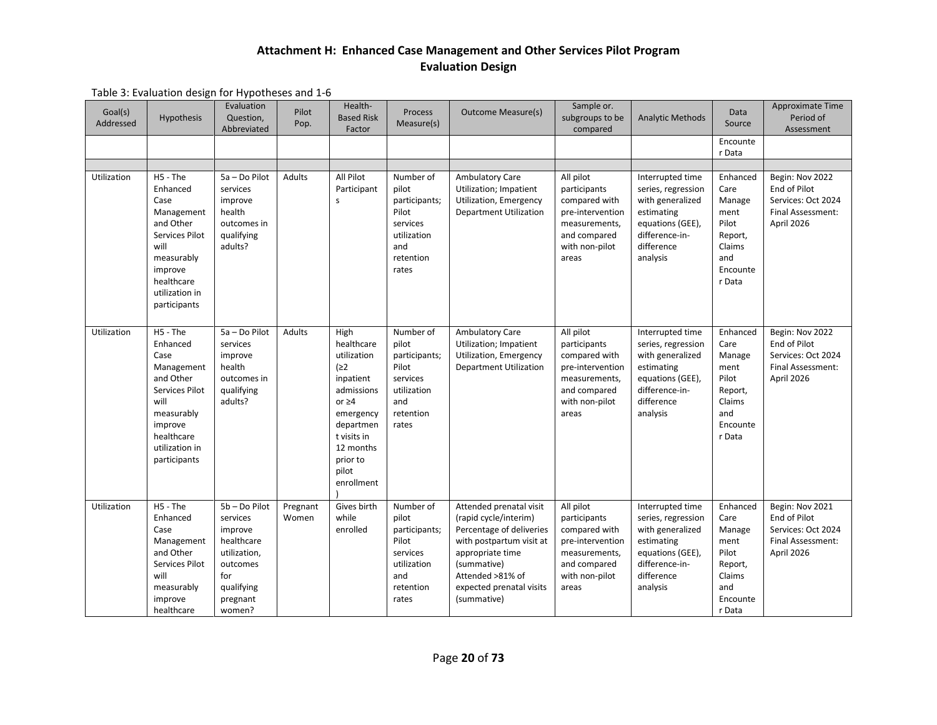| Goal(s)<br>Addressed | Hypothesis                                                                                                                                                 | Evaluation<br>Question,<br>Abbreviated                                                                                    | Pilot<br>Pop.     | Health-<br><b>Based Risk</b><br>Factor                                                                                                                                       | Process<br>Measure(s)                                                                                | <b>Outcome Measure(s)</b>                                                                                                                                                                                  | Sample or.<br>subgroups to be<br>compared                                                                                  | <b>Analytic Methods</b>                                                                                                                  | Data<br>Source<br>Encounte                                                                    | Approximate Time<br>Period of<br>Assessment                                              |
|----------------------|------------------------------------------------------------------------------------------------------------------------------------------------------------|---------------------------------------------------------------------------------------------------------------------------|-------------------|------------------------------------------------------------------------------------------------------------------------------------------------------------------------------|------------------------------------------------------------------------------------------------------|------------------------------------------------------------------------------------------------------------------------------------------------------------------------------------------------------------|----------------------------------------------------------------------------------------------------------------------------|------------------------------------------------------------------------------------------------------------------------------------------|-----------------------------------------------------------------------------------------------|------------------------------------------------------------------------------------------|
|                      |                                                                                                                                                            |                                                                                                                           |                   |                                                                                                                                                                              |                                                                                                      |                                                                                                                                                                                                            |                                                                                                                            |                                                                                                                                          | r Data                                                                                        |                                                                                          |
| Utilization          | H5 - The<br>Enhanced<br>Case<br>Management<br>and Other<br>Services Pilot<br>will<br>measurably<br>improve<br>healthcare<br>utilization in<br>participants | 5a - Do Pilot<br>services<br>improve<br>health<br>outcomes in<br>qualifying<br>adults?                                    | Adults            | All Pilot<br>Participant<br>s                                                                                                                                                | Number of<br>pilot<br>participants;<br>Pilot<br>services<br>utilization<br>and<br>retention<br>rates | <b>Ambulatory Care</b><br>Utilization; Impatient<br>Utilization, Emergency<br><b>Department Utilization</b>                                                                                                | All pilot<br>participants<br>compared with<br>pre-intervention<br>measurements,<br>and compared<br>with non-pilot<br>areas | Interrupted time<br>series, regression<br>with generalized<br>estimating<br>equations (GEE),<br>difference-in-<br>difference<br>analysis | Enhanced<br>Care<br>Manage<br>ment<br>Pilot<br>Report,<br>Claims<br>and<br>Encounte<br>r Data | Begin: Nov 2022<br>End of Pilot<br>Services: Oct 2024<br>Final Assessment:<br>April 2026 |
| Utilization          | H5 - The<br>Enhanced<br>Case<br>Management<br>and Other<br>Services Pilot<br>will<br>measurably<br>improve<br>healthcare<br>utilization in<br>participants | 5a - Do Pilot<br>services<br>improve<br>health<br>outcomes in<br>qualifying<br>adults?                                    | Adults            | High<br>healthcare<br>utilization<br>(22)<br>inpatient<br>admissions<br>or $\geq 4$<br>emergency<br>departmen<br>t visits in<br>12 months<br>prior to<br>pilot<br>enrollment | Number of<br>pilot<br>participants;<br>Pilot<br>services<br>utilization<br>and<br>retention<br>rates | <b>Ambulatory Care</b><br>Utilization; Impatient<br><b>Utilization, Emergency</b><br><b>Department Utilization</b>                                                                                         | All pilot<br>participants<br>compared with<br>pre-intervention<br>measurements,<br>and compared<br>with non-pilot<br>areas | Interrupted time<br>series, regression<br>with generalized<br>estimating<br>equations (GEE),<br>difference-in-<br>difference<br>analysis | Enhanced<br>Care<br>Manage<br>ment<br>Pilot<br>Report,<br>Claims<br>and<br>Encounte<br>r Data | Begin: Nov 2022<br>End of Pilot<br>Services: Oct 2024<br>Final Assessment:<br>April 2026 |
| Utilization          | H5 - The<br>Enhanced<br>Case<br>Management<br>and Other<br>Services Pilot<br>will<br>measurably<br>improve<br>healthcare                                   | 5b - Do Pilot<br>services<br>improve<br>healthcare<br>utilization,<br>outcomes<br>for<br>qualifying<br>pregnant<br>women? | Pregnant<br>Women | Gives birth<br>while<br>enrolled                                                                                                                                             | Number of<br>pilot<br>participants;<br>Pilot<br>services<br>utilization<br>and<br>retention<br>rates | Attended prenatal visit<br>(rapid cycle/interim)<br>Percentage of deliveries<br>with postpartum visit at<br>appropriate time<br>(summative)<br>Attended >81% of<br>expected prenatal visits<br>(summative) | All pilot<br>participants<br>compared with<br>pre-intervention<br>measurements,<br>and compared<br>with non-pilot<br>areas | Interrupted time<br>series, regression<br>with generalized<br>estimating<br>equations (GEE),<br>difference-in-<br>difference<br>analysis | Enhanced<br>Care<br>Manage<br>ment<br>Pilot<br>Report,<br>Claims<br>and<br>Encounte<br>r Data | Begin: Nov 2021<br>End of Pilot<br>Services: Oct 2024<br>Final Assessment:<br>April 2026 |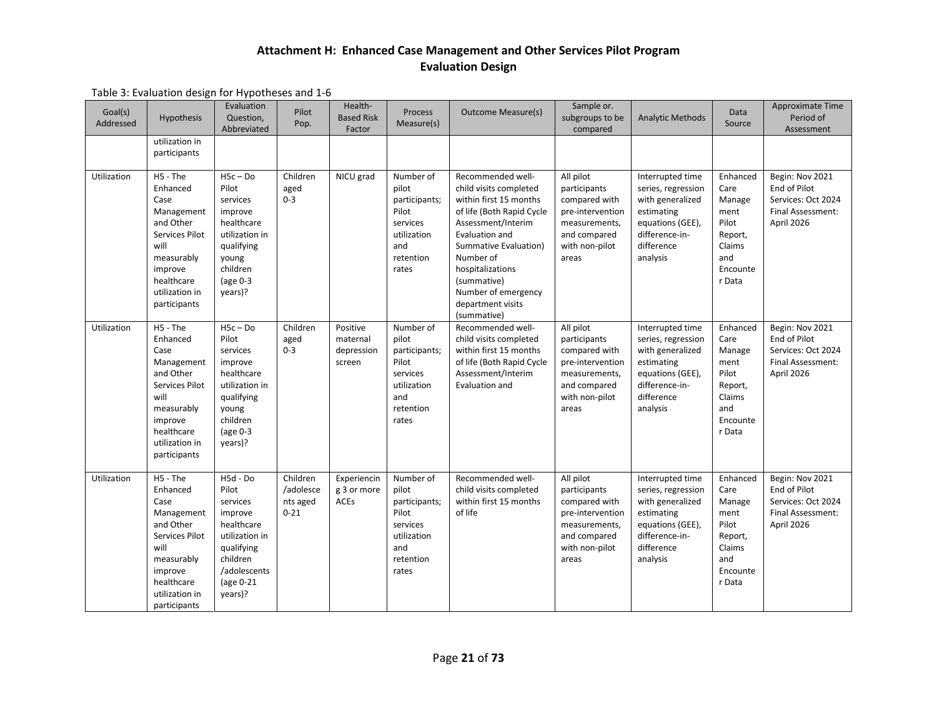| Goal(s)<br>Addressed | Hypothesis<br>utilization in                                                                                                                                 | Evaluation<br>Question,<br>Abbreviated                                                                                                     | Pilot<br>Pop.                                 | Health-<br><b>Based Risk</b><br>Factor       | Process<br>Measure(s)                                                                                | <b>Outcome Measure(s)</b>                                                                                                                                                                                                                                                      | Sample or.<br>subgroups to be<br>compared                                                                                  | <b>Analytic Methods</b>                                                                                                                  | Data<br>Source                                                                                | Approximate Time<br>Period of<br>Assessment                                              |
|----------------------|--------------------------------------------------------------------------------------------------------------------------------------------------------------|--------------------------------------------------------------------------------------------------------------------------------------------|-----------------------------------------------|----------------------------------------------|------------------------------------------------------------------------------------------------------|--------------------------------------------------------------------------------------------------------------------------------------------------------------------------------------------------------------------------------------------------------------------------------|----------------------------------------------------------------------------------------------------------------------------|------------------------------------------------------------------------------------------------------------------------------------------|-----------------------------------------------------------------------------------------------|------------------------------------------------------------------------------------------|
|                      | participants                                                                                                                                                 |                                                                                                                                            |                                               |                                              |                                                                                                      |                                                                                                                                                                                                                                                                                |                                                                                                                            |                                                                                                                                          |                                                                                               |                                                                                          |
| Utilization          | H5 - The<br>Enhanced<br>Case<br>Management<br>and Other<br>Services Pilot<br>will<br>measurably<br>improve<br>healthcare<br>utilization in<br>participants   | $H5c - Do$<br>Pilot<br>services<br>improve<br>healthcare<br>utilization in<br>qualifying<br>young<br>children<br>(age $0-3$<br>years)?     | Children<br>aged<br>$0 - 3$                   | NICU grad                                    | Number of<br>pilot<br>participants;<br>Pilot<br>services<br>utilization<br>and<br>retention<br>rates | Recommended well-<br>child visits completed<br>within first 15 months<br>of life (Both Rapid Cycle<br>Assessment/Interim<br>Evaluation and<br>Summative Evaluation)<br>Number of<br>hospitalizations<br>(summative)<br>Number of emergency<br>department visits<br>(summative) | All pilot<br>participants<br>compared with<br>pre-intervention<br>measurements,<br>and compared<br>with non-pilot<br>areas | Interrupted time<br>series, regression<br>with generalized<br>estimating<br>equations (GEE),<br>difference-in-<br>difference<br>analysis | Enhanced<br>Care<br>Manage<br>ment<br>Pilot<br>Report,<br>Claims<br>and<br>Encounte<br>r Data | Begin: Nov 2021<br>End of Pilot<br>Services: Oct 2024<br>Final Assessment:<br>April 2026 |
| Utilization          | H5 - The<br>Enhanced<br>Case<br>Management<br>and Other<br>Services Pilot<br>will<br>measurably<br>improve<br>healthcare<br>utilization in<br>participants   | $H5c - Do$<br>Pilot<br>services<br>improve<br>healthcare<br>utilization in<br>qualifying<br>young<br>children<br>(age $0-3$<br>years)?     | Children<br>aged<br>$0 - 3$                   | Positive<br>maternal<br>depression<br>screen | Number of<br>pilot<br>participants;<br>Pilot<br>services<br>utilization<br>and<br>retention<br>rates | Recommended well-<br>child visits completed<br>within first 15 months<br>of life (Both Rapid Cycle<br>Assessment/Interim<br>Evaluation and                                                                                                                                     | All pilot<br>participants<br>compared with<br>pre-intervention<br>measurements,<br>and compared<br>with non-pilot<br>areas | Interrupted time<br>series, regression<br>with generalized<br>estimating<br>equations (GEE),<br>difference-in-<br>difference<br>analysis | Enhanced<br>Care<br>Manage<br>ment<br>Pilot<br>Report,<br>Claims<br>and<br>Encounte<br>r Data | Begin: Nov 2021<br>End of Pilot<br>Services: Oct 2024<br>Final Assessment:<br>April 2026 |
| Utilization          | $H5 - The$<br>Enhanced<br>Case<br>Management<br>and Other<br>Services Pilot<br>will<br>measurably<br>improve<br>healthcare<br>utilization in<br>participants | H5d - Do<br>Pilot<br>services<br>improve<br>healthcare<br>utilization in<br>qualifying<br>children<br>/adolescents<br>(age 0-21<br>years)? | Children<br>/adolesce<br>nts aged<br>$0 - 21$ | Experiencin<br>g 3 or more<br><b>ACEs</b>    | Number of<br>pilot<br>participants;<br>Pilot<br>services<br>utilization<br>and<br>retention<br>rates | Recommended well-<br>child visits completed<br>within first 15 months<br>of life                                                                                                                                                                                               | All pilot<br>participants<br>compared with<br>pre-intervention<br>measurements,<br>and compared<br>with non-pilot<br>areas | Interrupted time<br>series, regression<br>with generalized<br>estimating<br>equations (GEE),<br>difference-in-<br>difference<br>analysis | Enhanced<br>Care<br>Manage<br>ment<br>Pilot<br>Report,<br>Claims<br>and<br>Encounte<br>r Data | Begin: Nov 2021<br>End of Pilot<br>Services: Oct 2024<br>Final Assessment:<br>April 2026 |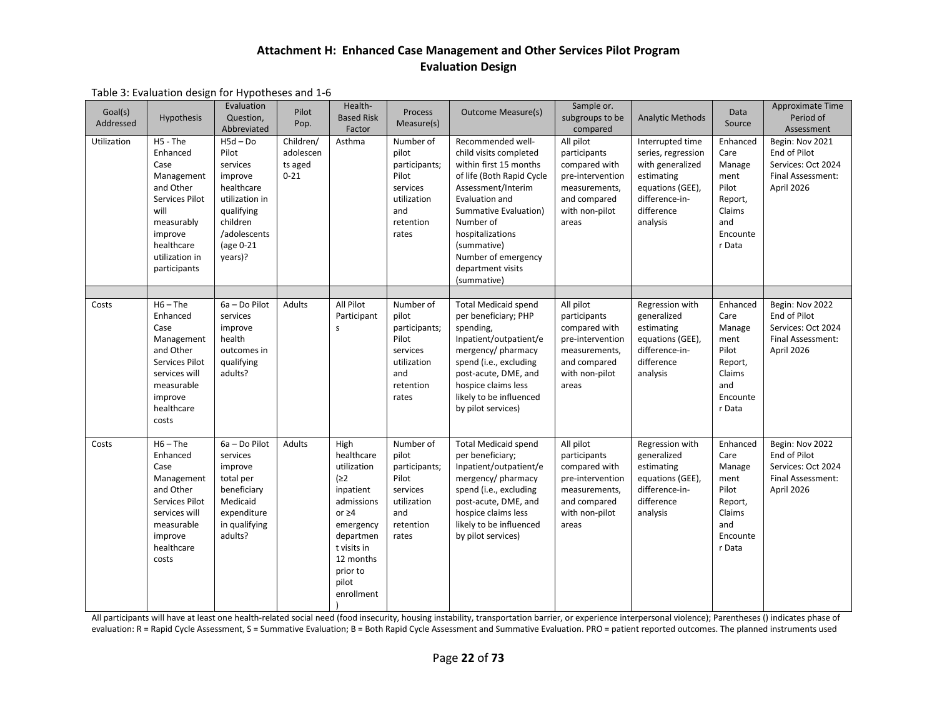#### Table 3: Evaluation design for Hypotheses and 1-6

| Goal(s)<br>Addressed | Hypothesis                                                                                                                                                 | Evaluation<br>Question,<br>Abbreviated                                                                                                       | Pilot<br>Pop.                                 | Health-<br><b>Based Risk</b><br>Factor                                                                                                                                       | Process<br>Measure(s)                                                                                | <b>Outcome Measure(s)</b>                                                                                                                                                                                                                                                      | Sample or.<br>subgroups to be<br>compared                                                                                  | <b>Analytic Methods</b>                                                                                                                  | Data<br>Source                                                                                | Approximate Time<br>Period of<br>Assessment                                              |
|----------------------|------------------------------------------------------------------------------------------------------------------------------------------------------------|----------------------------------------------------------------------------------------------------------------------------------------------|-----------------------------------------------|------------------------------------------------------------------------------------------------------------------------------------------------------------------------------|------------------------------------------------------------------------------------------------------|--------------------------------------------------------------------------------------------------------------------------------------------------------------------------------------------------------------------------------------------------------------------------------|----------------------------------------------------------------------------------------------------------------------------|------------------------------------------------------------------------------------------------------------------------------------------|-----------------------------------------------------------------------------------------------|------------------------------------------------------------------------------------------|
| Utilization          | H5 - The<br>Enhanced<br>Case<br>Management<br>and Other<br>Services Pilot<br>will<br>measurably<br>improve<br>healthcare<br>utilization in<br>participants | $H5d - Do$<br>Pilot<br>services<br>improve<br>healthcare<br>utilization in<br>qualifying<br>children<br>/adolescents<br>(age 0-21<br>years)? | Children/<br>adolescen<br>ts aged<br>$0 - 21$ | Asthma                                                                                                                                                                       | Number of<br>pilot<br>participants;<br>Pilot<br>services<br>utilization<br>and<br>retention<br>rates | Recommended well-<br>child visits completed<br>within first 15 months<br>of life (Both Rapid Cycle<br>Assessment/Interim<br>Evaluation and<br>Summative Evaluation)<br>Number of<br>hospitalizations<br>(summative)<br>Number of emergency<br>department visits<br>(summative) | All pilot<br>participants<br>compared with<br>pre-intervention<br>measurements,<br>and compared<br>with non-pilot<br>areas | Interrupted time<br>series, regression<br>with generalized<br>estimating<br>equations (GEE),<br>difference-in-<br>difference<br>analysis | Enhanced<br>Care<br>Manage<br>ment<br>Pilot<br>Report,<br>Claims<br>and<br>Encounte<br>r Data | Begin: Nov 2021<br>End of Pilot<br>Services: Oct 2024<br>Final Assessment:<br>April 2026 |
|                      |                                                                                                                                                            |                                                                                                                                              |                                               |                                                                                                                                                                              |                                                                                                      |                                                                                                                                                                                                                                                                                |                                                                                                                            |                                                                                                                                          |                                                                                               |                                                                                          |
| Costs                | $H6 - The$<br>Enhanced<br>Case<br>Management<br>and Other<br>Services Pilot<br>services will<br>measurable<br>improve<br>healthcare<br>costs               | 6a - Do Pilot<br>services<br>improve<br>health<br>outcomes in<br>qualifying<br>adults?                                                       | Adults                                        | All Pilot<br>Participant<br>$\mathsf{s}$                                                                                                                                     | Number of<br>pilot<br>participants;<br>Pilot<br>services<br>utilization<br>and<br>retention<br>rates | <b>Total Medicaid spend</b><br>per beneficiary; PHP<br>spending,<br>Inpatient/outpatient/e<br>mergency/pharmacy<br>spend (i.e., excluding<br>post-acute, DME, and<br>hospice claims less<br>likely to be influenced<br>by pilot services)                                      | All pilot<br>participants<br>compared with<br>pre-intervention<br>measurements,<br>and compared<br>with non-pilot<br>areas | Regression with<br>generalized<br>estimating<br>equations (GEE),<br>difference-in-<br>difference<br>analysis                             | Enhanced<br>Care<br>Manage<br>ment<br>Pilot<br>Report,<br>Claims<br>and<br>Encounte<br>r Data | Begin: Nov 2022<br>End of Pilot<br>Services: Oct 2024<br>Final Assessment:<br>April 2026 |
| Costs                | $H6 - The$<br>Enhanced<br>Case<br>Management<br>and Other<br>Services Pilot<br>services will<br>measurable<br>improve<br>healthcare<br>costs               | 6a - Do Pilot<br>services<br>improve<br>total per<br>beneficiary<br>Medicaid<br>expenditure<br>in qualifying<br>adults?                      | Adults                                        | High<br>healthcare<br>utilization<br>(22)<br>inpatient<br>admissions<br>or $\geq 4$<br>emergency<br>departmen<br>t visits in<br>12 months<br>prior to<br>pilot<br>enrollment | Number of<br>pilot<br>participants;<br>Pilot<br>services<br>utilization<br>and<br>retention<br>rates | <b>Total Medicaid spend</b><br>per beneficiary;<br>Inpatient/outpatient/e<br>mergency/pharmacy<br>spend (i.e., excluding<br>post-acute, DME, and<br>hospice claims less<br>likely to be influenced<br>by pilot services)                                                       | All pilot<br>participants<br>compared with<br>pre-intervention<br>measurements,<br>and compared<br>with non-pilot<br>areas | Regression with<br>generalized<br>estimating<br>equations (GEE),<br>difference-in-<br>difference<br>analysis                             | Enhanced<br>Care<br>Manage<br>ment<br>Pilot<br>Report,<br>Claims<br>and<br>Encounte<br>r Data | Begin: Nov 2022<br>End of Pilot<br>Services: Oct 2024<br>Final Assessment:<br>April 2026 |

All participants will have at least one health-related social need (food insecurity, housing instability, transportation barrier, or experience interpersonal violence); Parentheses () indicates phase of evaluation: R = Rapid Cycle Assessment, S = Summative Evaluation; B = Both Rapid Cycle Assessment and Summative Evaluation. PRO = patient reported outcomes. The planned instruments used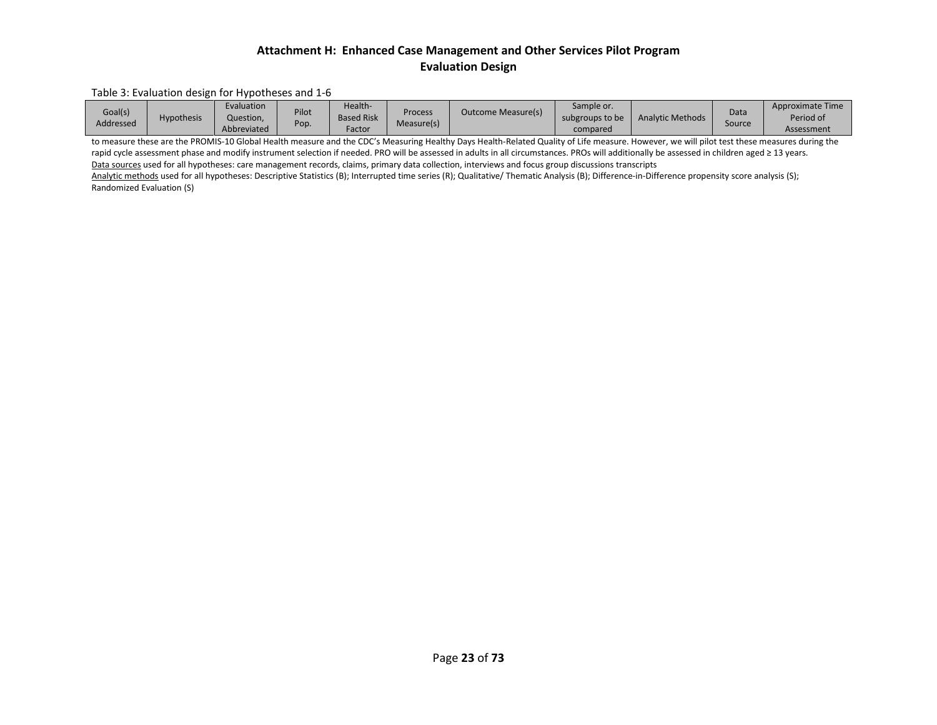#### Table 3: Evaluation design for Hypotheses and 1-6

| Goal(s)<br>Addressed | <b>Hypothesis</b> | Evaluation<br>Question,<br>Abbreviated | Pilot<br>Pop. | Health-<br><b>Based Risk</b><br>Factor | Process<br>Measure(s) | Outcome Measure(s) | Sample or.<br>subgroups to be<br>compared | <b>Analytic Methods</b> | Data<br>Source | Approximate Time<br>Period of<br>Assessment |
|----------------------|-------------------|----------------------------------------|---------------|----------------------------------------|-----------------------|--------------------|-------------------------------------------|-------------------------|----------------|---------------------------------------------|
|----------------------|-------------------|----------------------------------------|---------------|----------------------------------------|-----------------------|--------------------|-------------------------------------------|-------------------------|----------------|---------------------------------------------|

to measure these are the PROMIS-10 Global Health measure and the CDC's Measuring Healthy Days Health-Related Quality of Life measure. However, we will pilot test these measures during the rapid cycle assessment phase and modify instrument selection if needed. PRO will be assessed in adults in all circumstances. PROs will additionally be assessed in children aged ≥ 13 years. Data sources used for all hypotheses: care management records, claims, primary data collection, interviews and focus group discussions transcripts

Analytic methods used for all hypotheses: Descriptive Statistics (B); Interrupted time series (R); Qualitative/ Thematic Analysis (B); Difference-in-Difference propensity score analysis (S); Randomized Evaluation (S)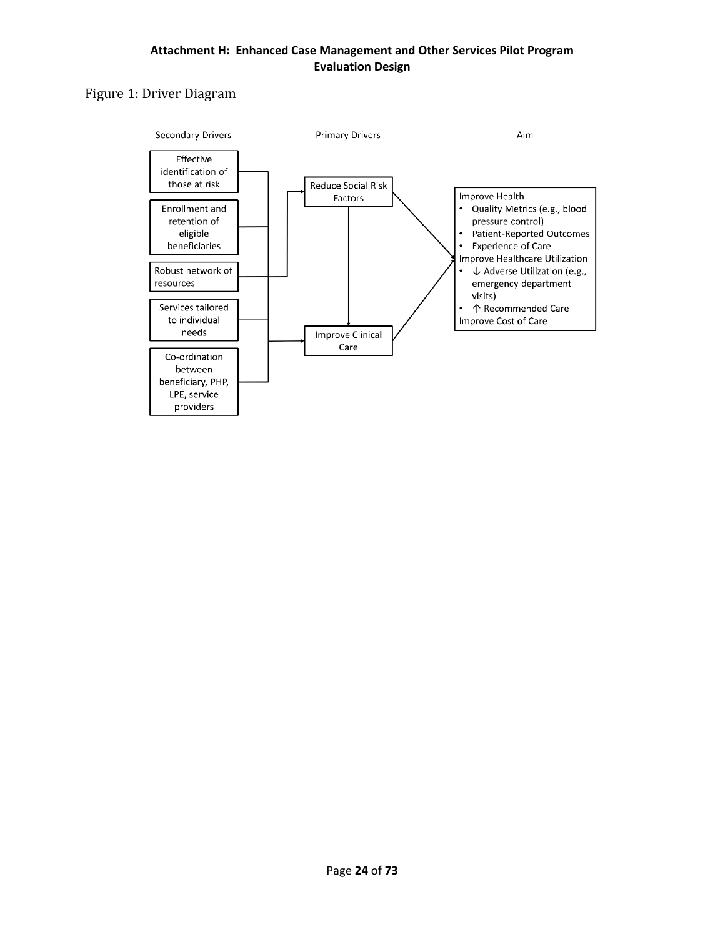## Figure 1: Driver Diagram

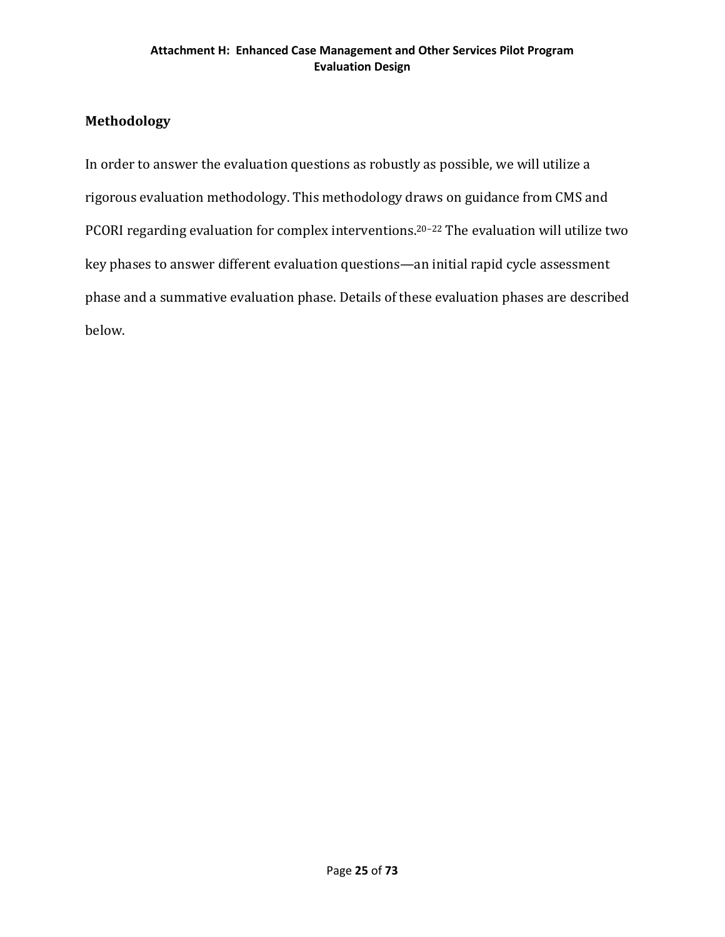## **Methodology**

In order to answer the evaluation questions as robustly as possible, we will utilize a rigorous evaluation methodology. This methodology draws on guidance from CMS and PCORI regarding evaluation for complex interventions.20–22 The evaluation will utilize two key phases to answer different evaluation questions—an initial rapid cycle assessment phase and a summative evaluation phase. Details of these evaluation phases are described below.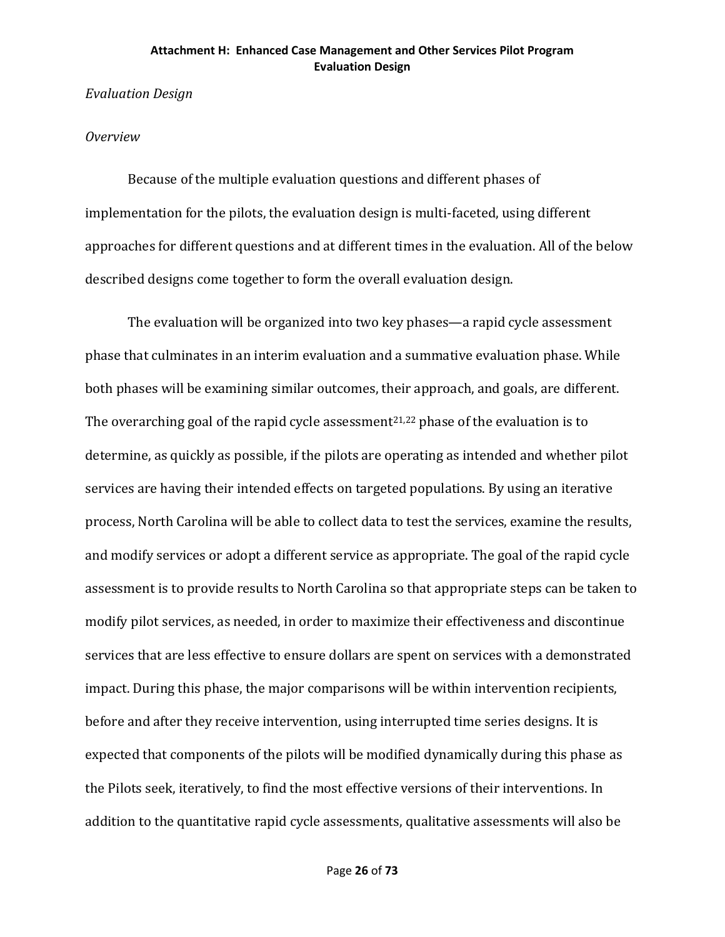## *Evaluation Design*

## *Overview*

Because of the multiple evaluation questions and different phases of implementation for the pilots, the evaluation design is multi-faceted, using different approaches for different questions and at different times in the evaluation. All of the below described designs come together to form the overall evaluation design.

The evaluation will be organized into two key phases—a rapid cycle assessment phase that culminates in an interim evaluation and a summative evaluation phase. While both phases will be examining similar outcomes, their approach, and goals, are different. The overarching goal of the rapid cycle assessment<sup>21,22</sup> phase of the evaluation is to determine, as quickly as possible, if the pilots are operating as intended and whether pilot services are having their intended effects on targeted populations. By using an iterative process, North Carolina will be able to collect data to test the services, examine the results, and modify services or adopt a different service as appropriate. The goal of the rapid cycle assessment is to provide results to North Carolina so that appropriate steps can be taken to modify pilot services, as needed, in order to maximize their effectiveness and discontinue services that are less effective to ensure dollars are spent on services with a demonstrated impact. During this phase, the major comparisons will be within intervention recipients, before and after they receive intervention, using interrupted time series designs. It is expected that components of the pilots will be modified dynamically during this phase as the Pilots seek, iteratively, to find the most effective versions of their interventions. In addition to the quantitative rapid cycle assessments, qualitative assessments will also be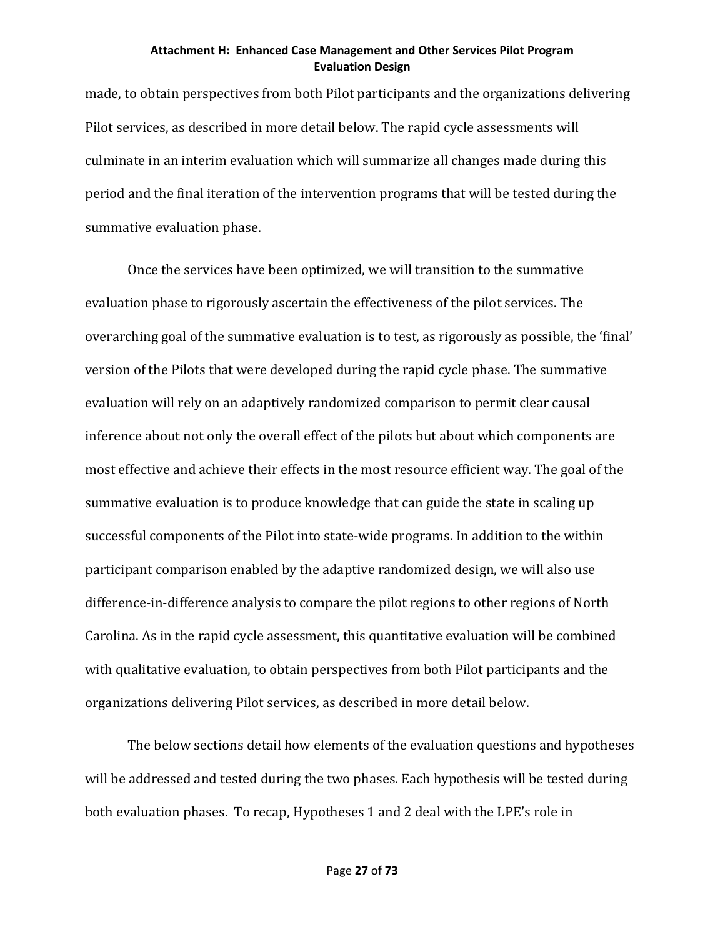made, to obtain perspectives from both Pilot participants and the organizations delivering Pilot services, as described in more detail below. The rapid cycle assessments will culminate in an interim evaluation which will summarize all changes made during this period and the final iteration of the intervention programs that will be tested during the summative evaluation phase.

Once the services have been optimized, we will transition to the summative evaluation phase to rigorously ascertain the effectiveness of the pilot services. The overarching goal of the summative evaluation is to test, as rigorously as possible, the 'final' version of the Pilots that were developed during the rapid cycle phase. The summative evaluation will rely on an adaptively randomized comparison to permit clear causal inference about not only the overall effect of the pilots but about which components are most effective and achieve their effects in the most resource efficient way. The goal of the summative evaluation is to produce knowledge that can guide the state in scaling up successful components of the Pilot into state-wide programs. In addition to the within participant comparison enabled by the adaptive randomized design, we will also use difference-in-difference analysis to compare the pilot regions to other regions of North Carolina. As in the rapid cycle assessment, this quantitative evaluation will be combined with qualitative evaluation, to obtain perspectives from both Pilot participants and the organizations delivering Pilot services, as described in more detail below.

The below sections detail how elements of the evaluation questions and hypotheses will be addressed and tested during the two phases. Each hypothesis will be tested during both evaluation phases. To recap, Hypotheses 1 and 2 deal with the LPE's role in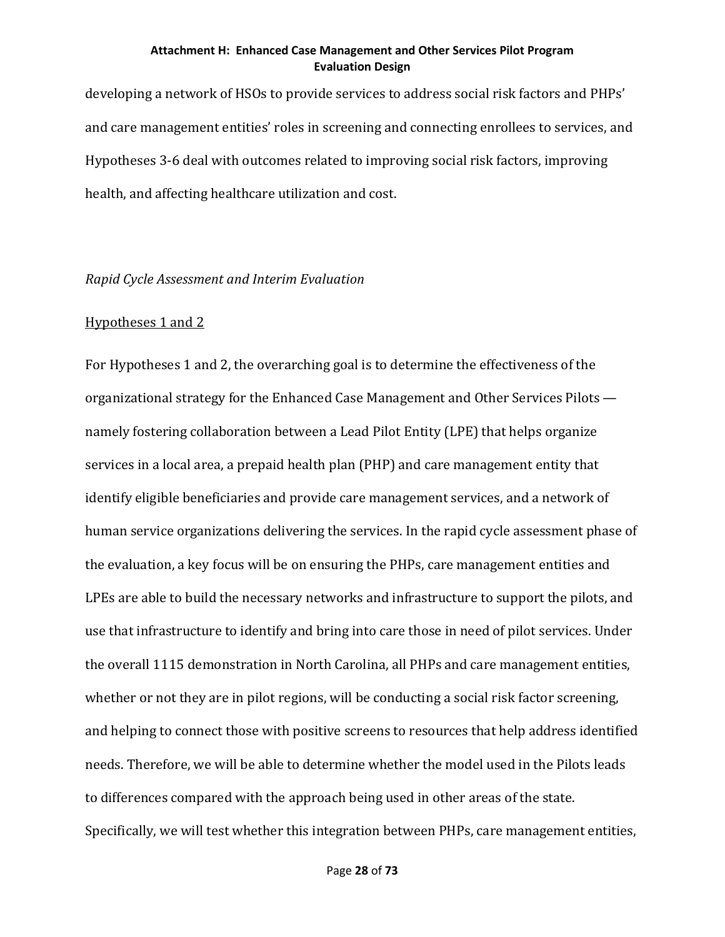developing a network of HSOs to provide services to address social risk factors and PHPs' and care management entities' roles in screening and connecting enrollees to services, and Hypotheses 3-6 deal with outcomes related to improving social risk factors, improving health, and affecting healthcare utilization and cost.

#### *Rapid Cycle Assessment and Interim Evaluation*

## Hypotheses 1 and 2

For Hypotheses 1 and 2, the overarching goal is to determine the effectiveness of the organizational strategy for the Enhanced Case Management and Other Services Pilots namely fostering collaboration between a Lead Pilot Entity (LPE) that helps organize services in a local area, a prepaid health plan (PHP) and care management entity that identify eligible beneficiaries and provide care management services, and a network of human service organizations delivering the services. In the rapid cycle assessment phase of the evaluation, a key focus will be on ensuring the PHPs, care management entities and LPEs are able to build the necessary networks and infrastructure to support the pilots, and use that infrastructure to identify and bring into care those in need of pilot services. Under the overall 1115 demonstration in North Carolina, all PHPs and care management entities, whether or not they are in pilot regions, will be conducting a social risk factor screening, and helping to connect those with positive screens to resources that help address identified needs. Therefore, we will be able to determine whether the model used in the Pilots leads to differences compared with the approach being used in other areas of the state. Specifically, we will test whether this integration between PHPs, care management entities,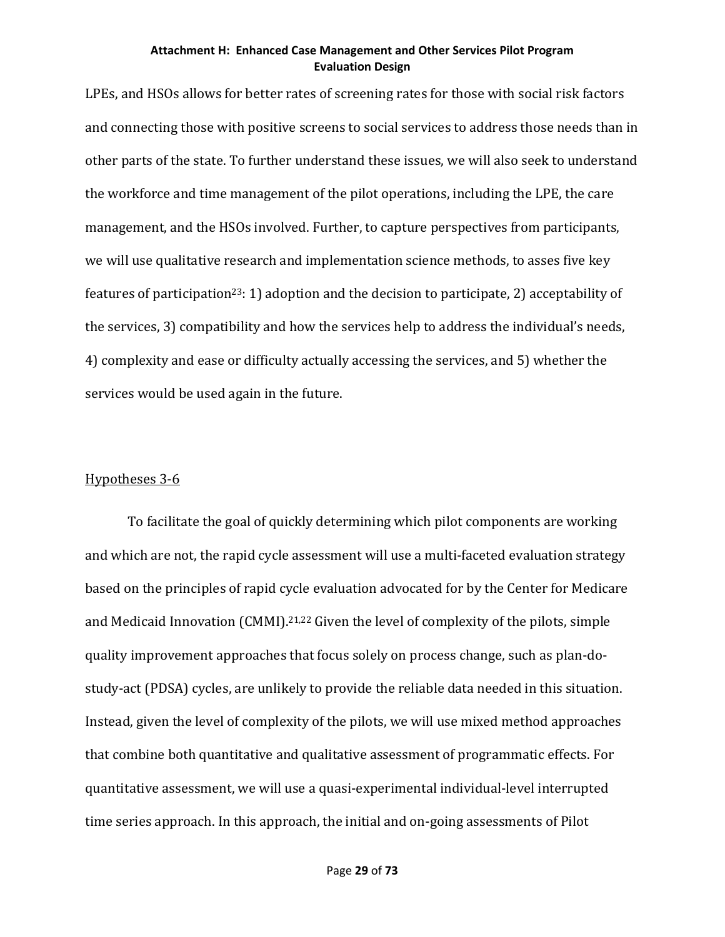LPEs, and HSOs allows for better rates of screening rates for those with social risk factors and connecting those with positive screens to social services to address those needs than in other parts of the state. To further understand these issues, we will also seek to understand the workforce and time management of the pilot operations, including the LPE, the care management, and the HSOs involved. Further, to capture perspectives from participants, we will use qualitative research and implementation science methods, to asses five key features of participation<sup>23</sup>: 1) adoption and the decision to participate, 2) acceptability of the services, 3) compatibility and how the services help to address the individual's needs, 4) complexity and ease or difficulty actually accessing the services, and 5) whether the services would be used again in the future.

## Hypotheses 3-6

To facilitate the goal of quickly determining which pilot components are working and which are not, the rapid cycle assessment will use a multi-faceted evaluation strategy based on the principles of rapid cycle evaluation advocated for by the Center for Medicare and Medicaid Innovation (CMMI).<sup>21,22</sup> Given the level of complexity of the pilots, simple quality improvement approaches that focus solely on process change, such as plan-dostudy-act (PDSA) cycles, are unlikely to provide the reliable data needed in this situation. Instead, given the level of complexity of the pilots, we will use mixed method approaches that combine both quantitative and qualitative assessment of programmatic effects. For quantitative assessment, we will use a quasi-experimental individual-level interrupted time series approach. In this approach, the initial and on-going assessments of Pilot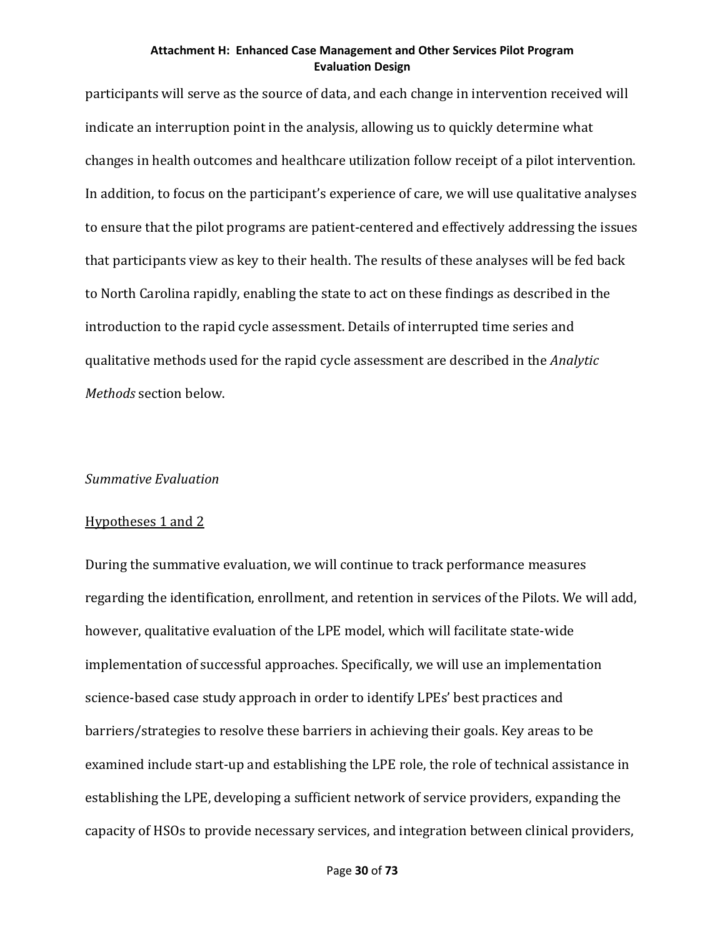participants will serve as the source of data, and each change in intervention received will indicate an interruption point in the analysis, allowing us to quickly determine what changes in health outcomes and healthcare utilization follow receipt of a pilot intervention. In addition, to focus on the participant's experience of care, we will use qualitative analyses to ensure that the pilot programs are patient-centered and effectively addressing the issues that participants view as key to their health. The results of these analyses will be fed back to North Carolina rapidly, enabling the state to act on these findings as described in the introduction to the rapid cycle assessment. Details of interrupted time series and qualitative methods used for the rapid cycle assessment are described in the *Analytic Methods* section below.

## *Summative Evaluation*

#### Hypotheses 1 and 2

During the summative evaluation, we will continue to track performance measures regarding the identification, enrollment, and retention in services of the Pilots. We will add, however, qualitative evaluation of the LPE model, which will facilitate state-wide implementation of successful approaches. Specifically, we will use an implementation science-based case study approach in order to identify LPEs' best practices and barriers/strategies to resolve these barriers in achieving their goals. Key areas to be examined include start-up and establishing the LPE role, the role of technical assistance in establishing the LPE, developing a sufficient network of service providers, expanding the capacity of HSOs to provide necessary services, and integration between clinical providers,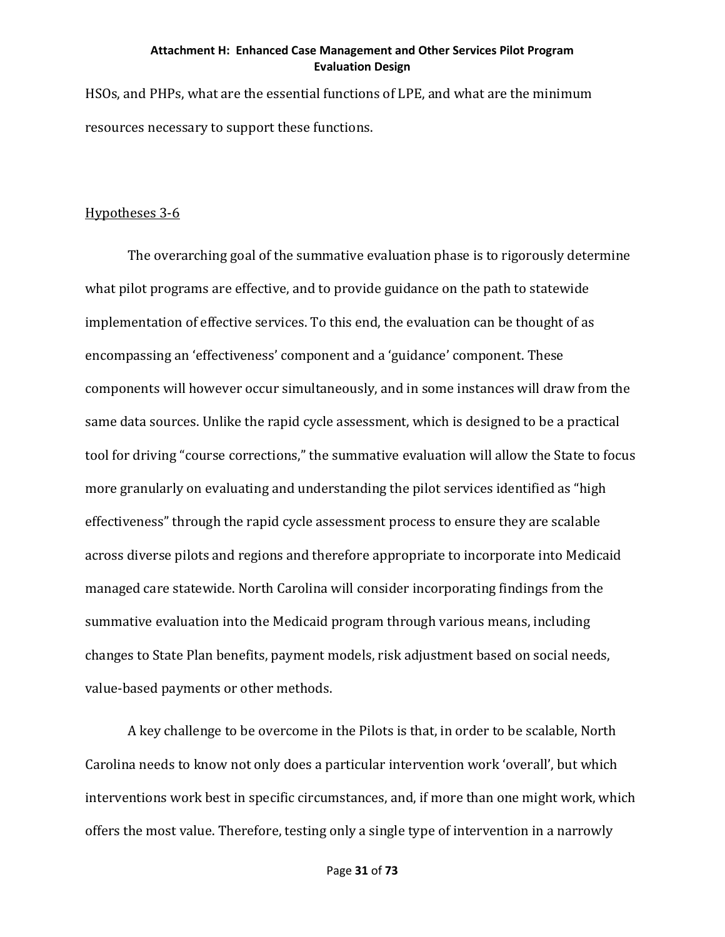HSOs, and PHPs, what are the essential functions of LPE, and what are the minimum resources necessary to support these functions.

## Hypotheses 3-6

The overarching goal of the summative evaluation phase is to rigorously determine what pilot programs are effective, and to provide guidance on the path to statewide implementation of effective services. To this end, the evaluation can be thought of as encompassing an 'effectiveness' component and a 'guidance' component. These components will however occur simultaneously, and in some instances will draw from the same data sources. Unlike the rapid cycle assessment, which is designed to be a practical tool for driving "course corrections," the summative evaluation will allow the State to focus more granularly on evaluating and understanding the pilot services identified as "high effectiveness" through the rapid cycle assessment process to ensure they are scalable across diverse pilots and regions and therefore appropriate to incorporate into Medicaid managed care statewide. North Carolina will consider incorporating findings from the summative evaluation into the Medicaid program through various means, including changes to State Plan benefits, payment models, risk adjustment based on social needs, value-based payments or other methods.

A key challenge to be overcome in the Pilots is that, in order to be scalable, North Carolina needs to know not only does a particular intervention work 'overall', but which interventions work best in specific circumstances, and, if more than one might work, which offers the most value. Therefore, testing only a single type of intervention in a narrowly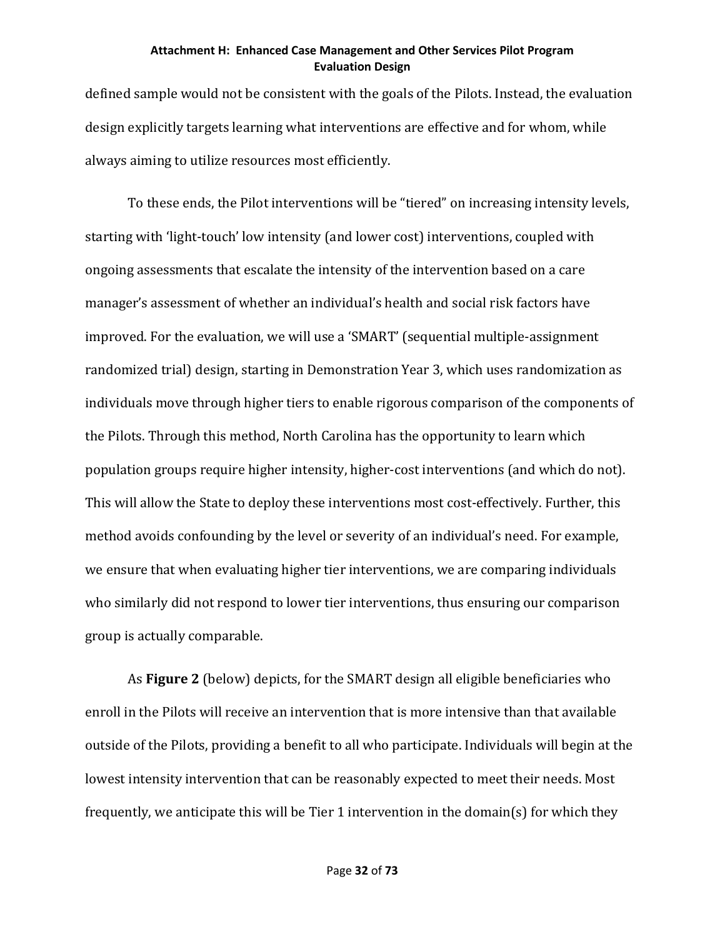defined sample would not be consistent with the goals of the Pilots. Instead, the evaluation design explicitly targets learning what interventions are effective and for whom, while always aiming to utilize resources most efficiently.

To these ends, the Pilot interventions will be "tiered" on increasing intensity levels, starting with 'light-touch' low intensity (and lower cost) interventions, coupled with ongoing assessments that escalate the intensity of the intervention based on a care manager's assessment of whether an individual's health and social risk factors have improved. For the evaluation, we will use a 'SMART' (sequential multiple-assignment randomized trial) design, starting in Demonstration Year 3, which uses randomization as individuals move through higher tiers to enable rigorous comparison of the components of the Pilots. Through this method, North Carolina has the opportunity to learn which population groups require higher intensity, higher-cost interventions (and which do not). This will allow the State to deploy these interventions most cost-effectively. Further, this method avoids confounding by the level or severity of an individual's need. For example, we ensure that when evaluating higher tier interventions, we are comparing individuals who similarly did not respond to lower tier interventions, thus ensuring our comparison group is actually comparable.

As **Figure 2** (below) depicts, for the SMART design all eligible beneficiaries who enroll in the Pilots will receive an intervention that is more intensive than that available outside of the Pilots, providing a benefit to all who participate. Individuals will begin at the lowest intensity intervention that can be reasonably expected to meet their needs. Most frequently, we anticipate this will be Tier 1 intervention in the domain(s) for which they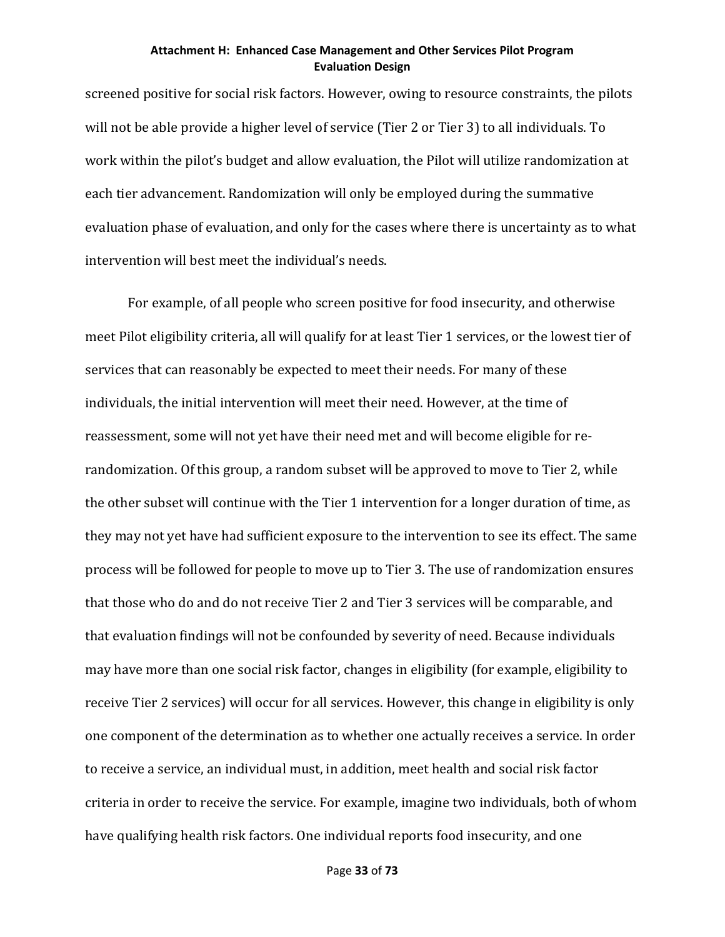screened positive for social risk factors. However, owing to resource constraints, the pilots will not be able provide a higher level of service (Tier 2 or Tier 3) to all individuals. To work within the pilot's budget and allow evaluation, the Pilot will utilize randomization at each tier advancement. Randomization will only be employed during the summative evaluation phase of evaluation, and only for the cases where there is uncertainty as to what intervention will best meet the individual's needs.

For example, of all people who screen positive for food insecurity, and otherwise meet Pilot eligibility criteria, all will qualify for at least Tier 1 services, or the lowest tier of services that can reasonably be expected to meet their needs. For many of these individuals, the initial intervention will meet their need. However, at the time of reassessment, some will not yet have their need met and will become eligible for rerandomization. Of this group, a random subset will be approved to move to Tier 2, while the other subset will continue with the Tier 1 intervention for a longer duration of time, as they may not yet have had sufficient exposure to the intervention to see its effect. The same process will be followed for people to move up to Tier 3. The use of randomization ensures that those who do and do not receive Tier 2 and Tier 3 services will be comparable, and that evaluation findings will not be confounded by severity of need. Because individuals may have more than one social risk factor, changes in eligibility (for example, eligibility to receive Tier 2 services) will occur for all services. However, this change in eligibility is only one component of the determination as to whether one actually receives a service. In order to receive a service, an individual must, in addition, meet health and social risk factor criteria in order to receive the service. For example, imagine two individuals, both of whom have qualifying health risk factors. One individual reports food insecurity, and one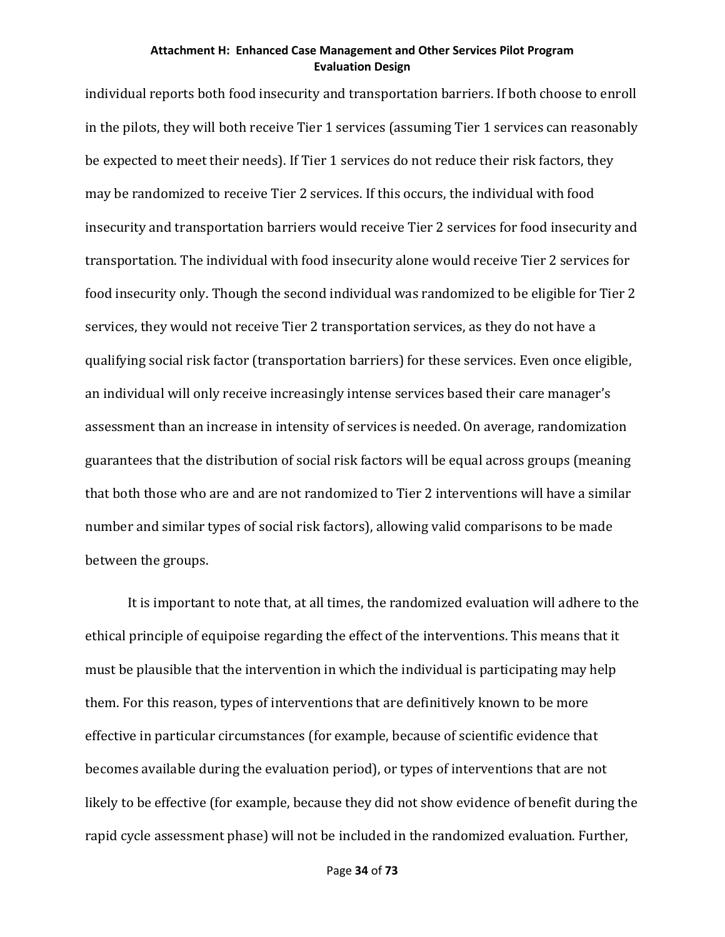individual reports both food insecurity and transportation barriers. If both choose to enroll in the pilots, they will both receive Tier 1 services (assuming Tier 1 services can reasonably be expected to meet their needs). If Tier 1 services do not reduce their risk factors, they may be randomized to receive Tier 2 services. If this occurs, the individual with food insecurity and transportation barriers would receive Tier 2 services for food insecurity and transportation. The individual with food insecurity alone would receive Tier 2 services for food insecurity only. Though the second individual was randomized to be eligible for Tier 2 services, they would not receive Tier 2 transportation services, as they do not have a qualifying social risk factor (transportation barriers) for these services. Even once eligible, an individual will only receive increasingly intense services based their care manager's assessment than an increase in intensity of services is needed. On average, randomization guarantees that the distribution of social risk factors will be equal across groups (meaning that both those who are and are not randomized to Tier 2 interventions will have a similar number and similar types of social risk factors), allowing valid comparisons to be made between the groups.

It is important to note that, at all times, the randomized evaluation will adhere to the ethical principle of equipoise regarding the effect of the interventions. This means that it must be plausible that the intervention in which the individual is participating may help them. For this reason, types of interventions that are definitively known to be more effective in particular circumstances (for example, because of scientific evidence that becomes available during the evaluation period), or types of interventions that are not likely to be effective (for example, because they did not show evidence of benefit during the rapid cycle assessment phase) will not be included in the randomized evaluation. Further,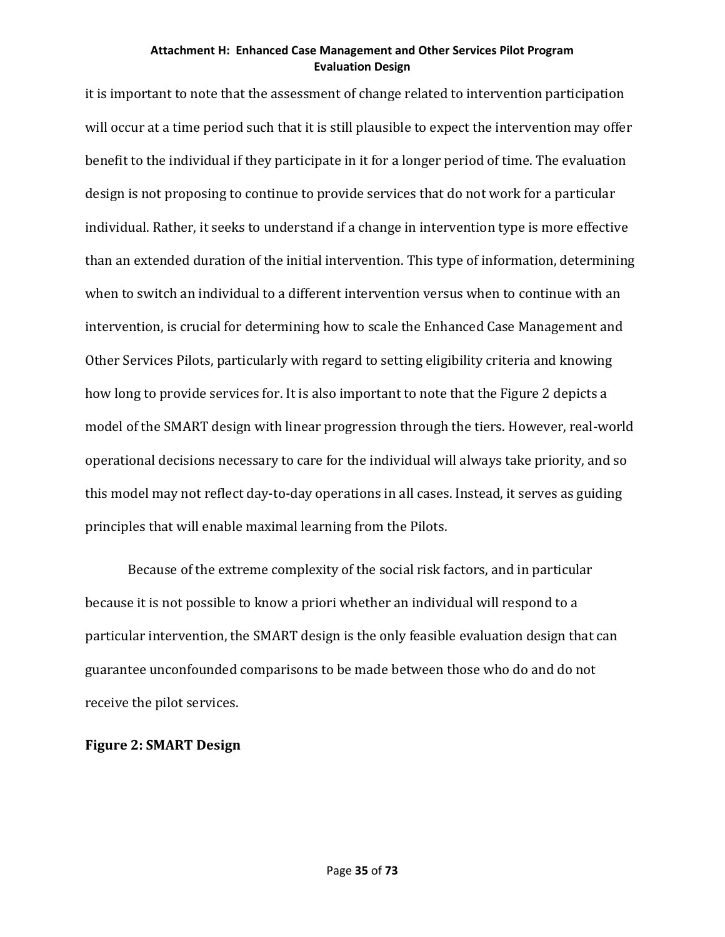it is important to note that the assessment of change related to intervention participation will occur at a time period such that it is still plausible to expect the intervention may offer benefit to the individual if they participate in it for a longer period of time. The evaluation design is not proposing to continue to provide services that do not work for a particular individual. Rather, it seeks to understand if a change in intervention type is more effective than an extended duration of the initial intervention. This type of information, determining when to switch an individual to a different intervention versus when to continue with an intervention, is crucial for determining how to scale the Enhanced Case Management and Other Services Pilots, particularly with regard to setting eligibility criteria and knowing how long to provide services for. It is also important to note that the Figure 2 depicts a model of the SMART design with linear progression through the tiers. However, real-world operational decisions necessary to care for the individual will always take priority, and so this model may not reflect day-to-day operations in all cases. Instead, it serves as guiding principles that will enable maximal learning from the Pilots.

Because of the extreme complexity of the social risk factors, and in particular because it is not possible to know a priori whether an individual will respond to a particular intervention, the SMART design is the only feasible evaluation design that can guarantee unconfounded comparisons to be made between those who do and do not receive the pilot services.

## **Figure 2: SMART Design**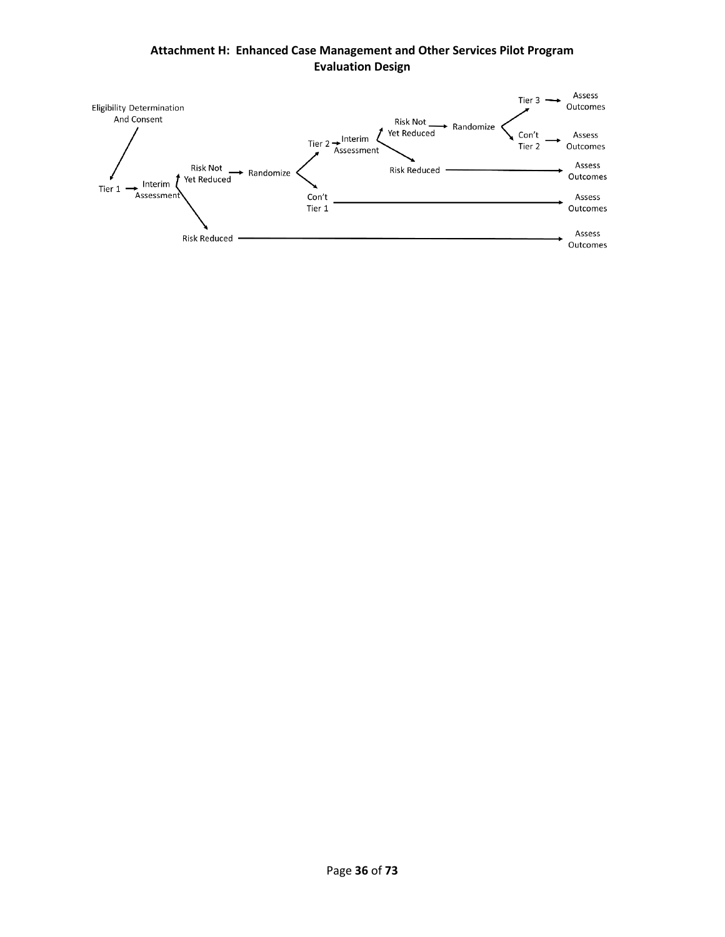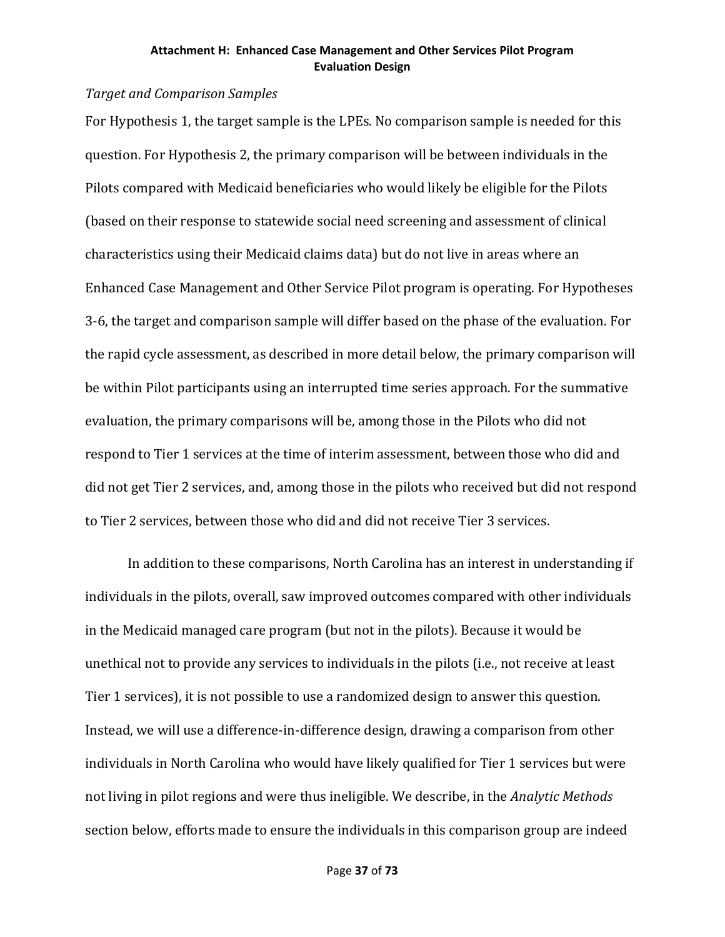## *Target and Comparison Samples*

For Hypothesis 1, the target sample is the LPEs. No comparison sample is needed for this question. For Hypothesis 2, the primary comparison will be between individuals in the Pilots compared with Medicaid beneficiaries who would likely be eligible for the Pilots (based on their response to statewide social need screening and assessment of clinical characteristics using their Medicaid claims data) but do not live in areas where an Enhanced Case Management and Other Service Pilot program is operating. For Hypotheses 3-6, the target and comparison sample will differ based on the phase of the evaluation. For the rapid cycle assessment, as described in more detail below, the primary comparison will be within Pilot participants using an interrupted time series approach. For the summative evaluation, the primary comparisons will be, among those in the Pilots who did not respond to Tier 1 services at the time of interim assessment, between those who did and did not get Tier 2 services, and, among those in the pilots who received but did not respond to Tier 2 services, between those who did and did not receive Tier 3 services.

In addition to these comparisons, North Carolina has an interest in understanding if individuals in the pilots, overall, saw improved outcomes compared with other individuals in the Medicaid managed care program (but not in the pilots). Because it would be unethical not to provide any services to individuals in the pilots (i.e., not receive at least Tier 1 services), it is not possible to use a randomized design to answer this question. Instead, we will use a difference-in-difference design, drawing a comparison from other individuals in North Carolina who would have likely qualified for Tier 1 services but were not living in pilot regions and were thus ineligible. We describe, in the *Analytic Methods* section below, efforts made to ensure the individuals in this comparison group are indeed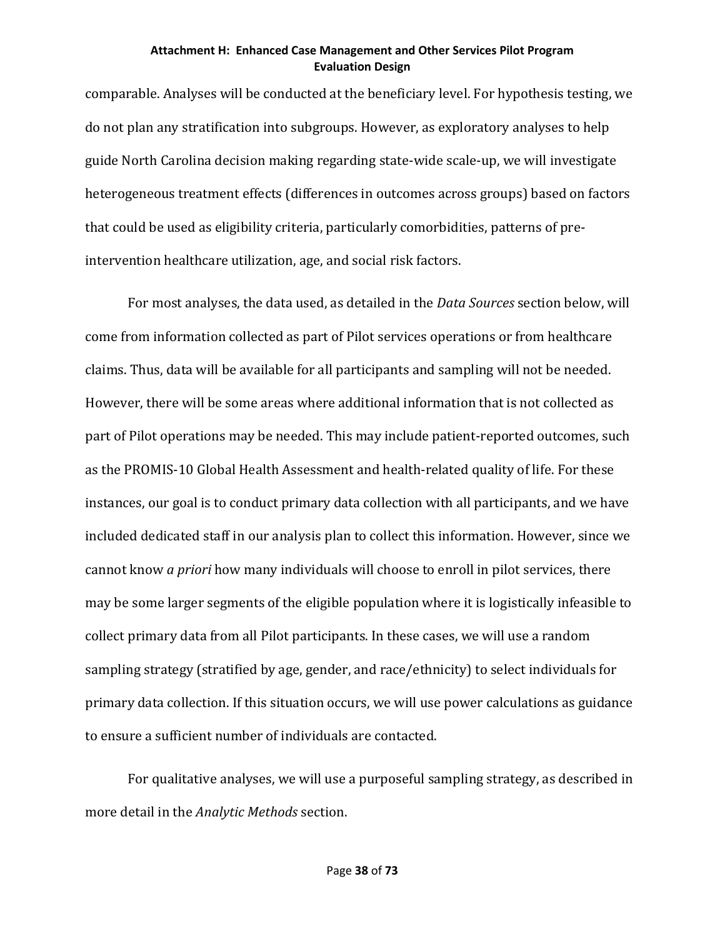comparable. Analyses will be conducted at the beneficiary level. For hypothesis testing, we do not plan any stratification into subgroups. However, as exploratory analyses to help guide North Carolina decision making regarding state-wide scale-up, we will investigate heterogeneous treatment effects (differences in outcomes across groups) based on factors that could be used as eligibility criteria, particularly comorbidities, patterns of preintervention healthcare utilization, age, and social risk factors.

For most analyses, the data used, as detailed in the *Data Sources* section below, will come from information collected as part of Pilot services operations or from healthcare claims. Thus, data will be available for all participants and sampling will not be needed. However, there will be some areas where additional information that is not collected as part of Pilot operations may be needed. This may include patient-reported outcomes, such as the PROMIS-10 Global Health Assessment and health-related quality of life. For these instances, our goal is to conduct primary data collection with all participants, and we have included dedicated staff in our analysis plan to collect this information. However, since we cannot know *a priori* how many individuals will choose to enroll in pilot services, there may be some larger segments of the eligible population where it is logistically infeasible to collect primary data from all Pilot participants. In these cases, we will use a random sampling strategy (stratified by age, gender, and race/ethnicity) to select individuals for primary data collection. If this situation occurs, we will use power calculations as guidance to ensure a sufficient number of individuals are contacted.

For qualitative analyses, we will use a purposeful sampling strategy, as described in more detail in the *Analytic Methods* section.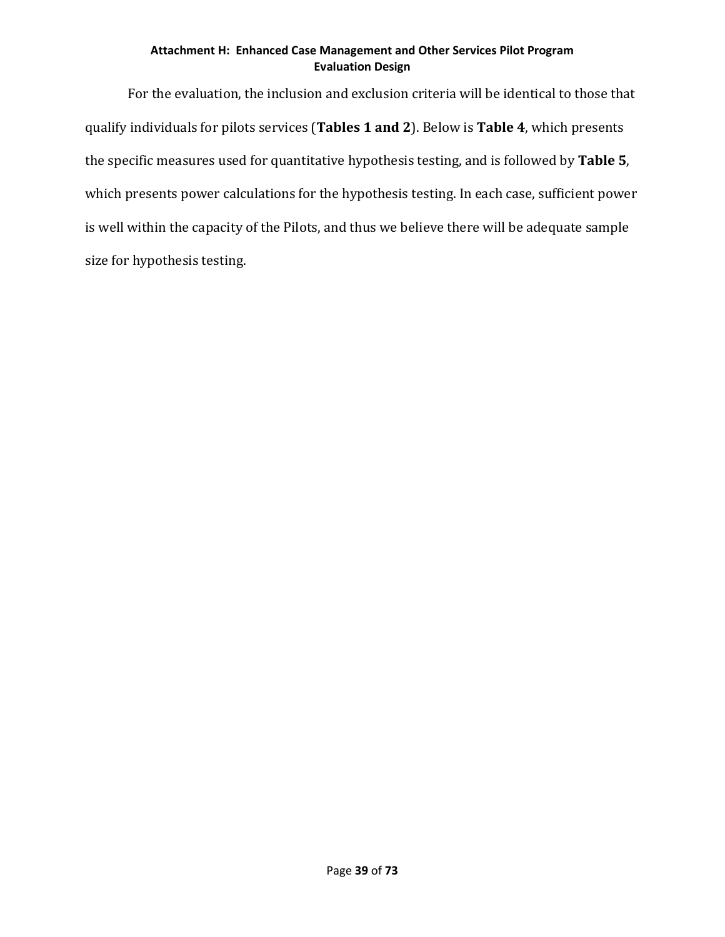For the evaluation, the inclusion and exclusion criteria will be identical to those that qualify individuals for pilots services (**Tables 1 and 2**). Below is **Table 4**, which presents the specific measures used for quantitative hypothesis testing, and is followed by **Table 5**, which presents power calculations for the hypothesis testing. In each case, sufficient power is well within the capacity of the Pilots, and thus we believe there will be adequate sample size for hypothesis testing.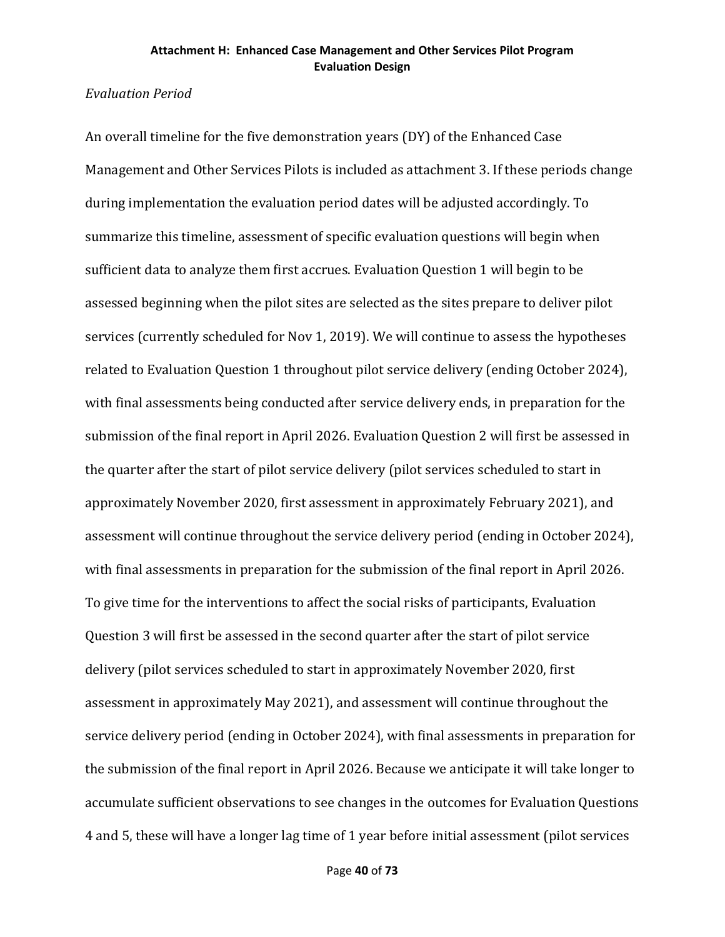## *Evaluation Period*

An overall timeline for the five demonstration years (DY) of the Enhanced Case Management and Other Services Pilots is included as attachment 3. If these periods change during implementation the evaluation period dates will be adjusted accordingly. To summarize this timeline, assessment of specific evaluation questions will begin when sufficient data to analyze them first accrues. Evaluation Question 1 will begin to be assessed beginning when the pilot sites are selected as the sites prepare to deliver pilot services (currently scheduled for Nov 1, 2019). We will continue to assess the hypotheses related to Evaluation Question 1 throughout pilot service delivery (ending October 2024), with final assessments being conducted after service delivery ends, in preparation for the submission of the final report in April 2026. Evaluation Question 2 will first be assessed in the quarter after the start of pilot service delivery (pilot services scheduled to start in approximately November 2020, first assessment in approximately February 2021), and assessment will continue throughout the service delivery period (ending in October 2024), with final assessments in preparation for the submission of the final report in April 2026. To give time for the interventions to affect the social risks of participants, Evaluation Question 3 will first be assessed in the second quarter after the start of pilot service delivery (pilot services scheduled to start in approximately November 2020, first assessment in approximately May 2021), and assessment will continue throughout the service delivery period (ending in October 2024), with final assessments in preparation for the submission of the final report in April 2026. Because we anticipate it will take longer to accumulate sufficient observations to see changes in the outcomes for Evaluation Questions 4 and 5, these will have a longer lag time of 1 year before initial assessment (pilot services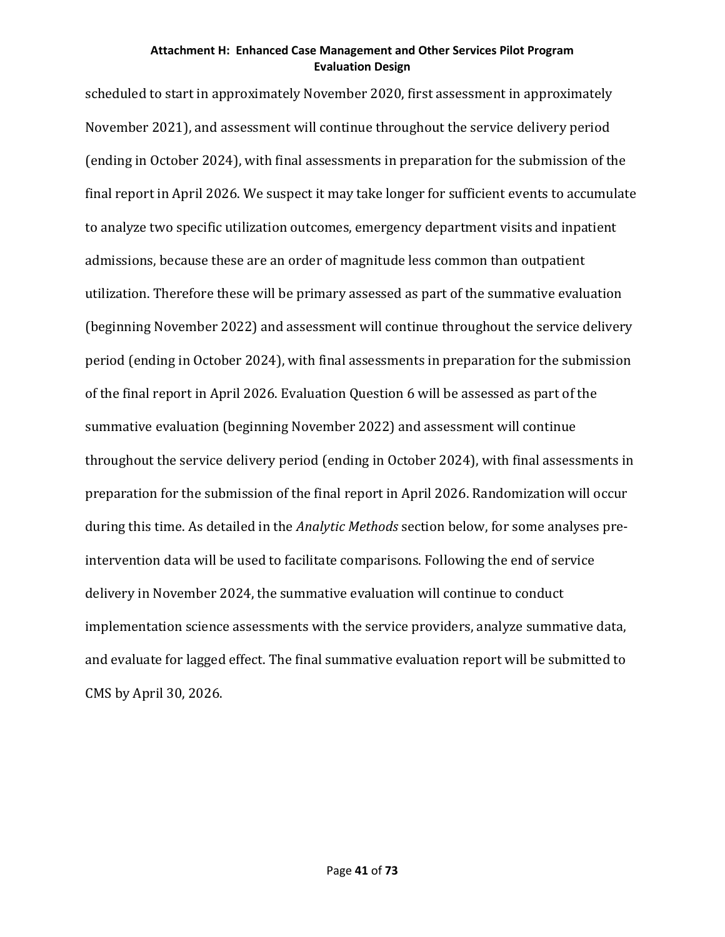scheduled to start in approximately November 2020, first assessment in approximately November 2021), and assessment will continue throughout the service delivery period (ending in October 2024), with final assessments in preparation for the submission of the final report in April 2026. We suspect it may take longer for sufficient events to accumulate to analyze two specific utilization outcomes, emergency department visits and inpatient admissions, because these are an order of magnitude less common than outpatient utilization. Therefore these will be primary assessed as part of the summative evaluation (beginning November 2022) and assessment will continue throughout the service delivery period (ending in October 2024), with final assessments in preparation for the submission of the final report in April 2026. Evaluation Question 6 will be assessed as part of the summative evaluation (beginning November 2022) and assessment will continue throughout the service delivery period (ending in October 2024), with final assessments in preparation for the submission of the final report in April 2026. Randomization will occur during this time. As detailed in the *Analytic Methods* section below, for some analyses preintervention data will be used to facilitate comparisons. Following the end of service delivery in November 2024, the summative evaluation will continue to conduct implementation science assessments with the service providers, analyze summative data, and evaluate for lagged effect. The final summative evaluation report will be submitted to CMS by April 30, 2026.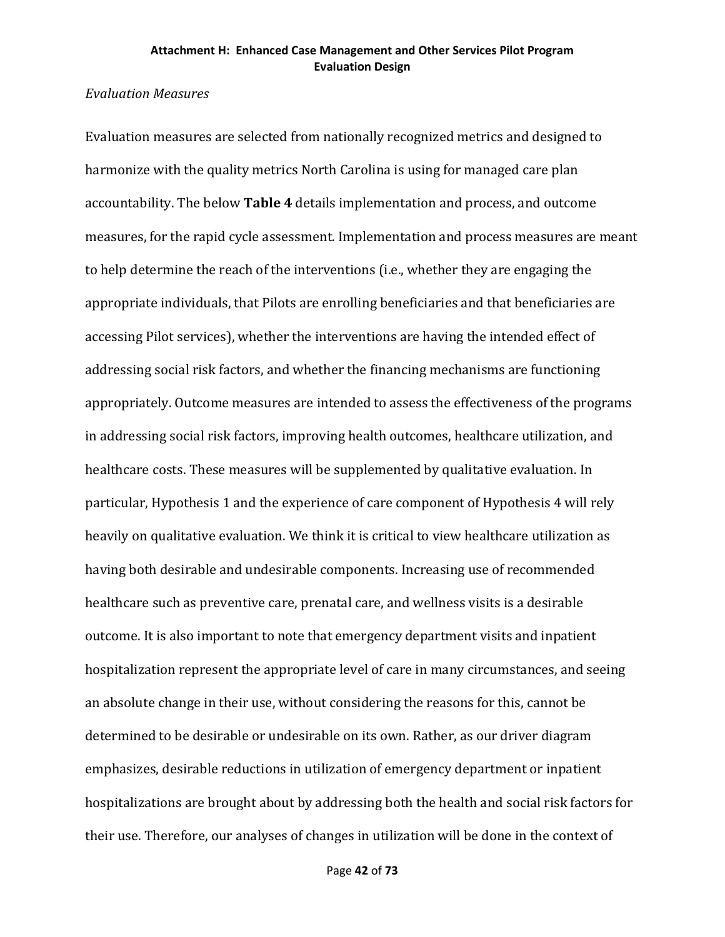## *Evaluation Measures*

Evaluation measures are selected from nationally recognized metrics and designed to harmonize with the quality metrics North Carolina is using for managed care plan accountability. The below **Table 4** details implementation and process, and outcome measures, for the rapid cycle assessment. Implementation and process measures are meant to help determine the reach of the interventions (i.e., whether they are engaging the appropriate individuals, that Pilots are enrolling beneficiaries and that beneficiaries are accessing Pilot services), whether the interventions are having the intended effect of addressing social risk factors, and whether the financing mechanisms are functioning appropriately. Outcome measures are intended to assess the effectiveness of the programs in addressing social risk factors, improving health outcomes, healthcare utilization, and healthcare costs. These measures will be supplemented by qualitative evaluation. In particular, Hypothesis 1 and the experience of care component of Hypothesis 4 will rely heavily on qualitative evaluation. We think it is critical to view healthcare utilization as having both desirable and undesirable components. Increasing use of recommended healthcare such as preventive care, prenatal care, and wellness visits is a desirable outcome. It is also important to note that emergency department visits and inpatient hospitalization represent the appropriate level of care in many circumstances, and seeing an absolute change in their use, without considering the reasons for this, cannot be determined to be desirable or undesirable on its own. Rather, as our driver diagram emphasizes, desirable reductions in utilization of emergency department or inpatient hospitalizations are brought about by addressing both the health and social risk factors for their use. Therefore, our analyses of changes in utilization will be done in the context of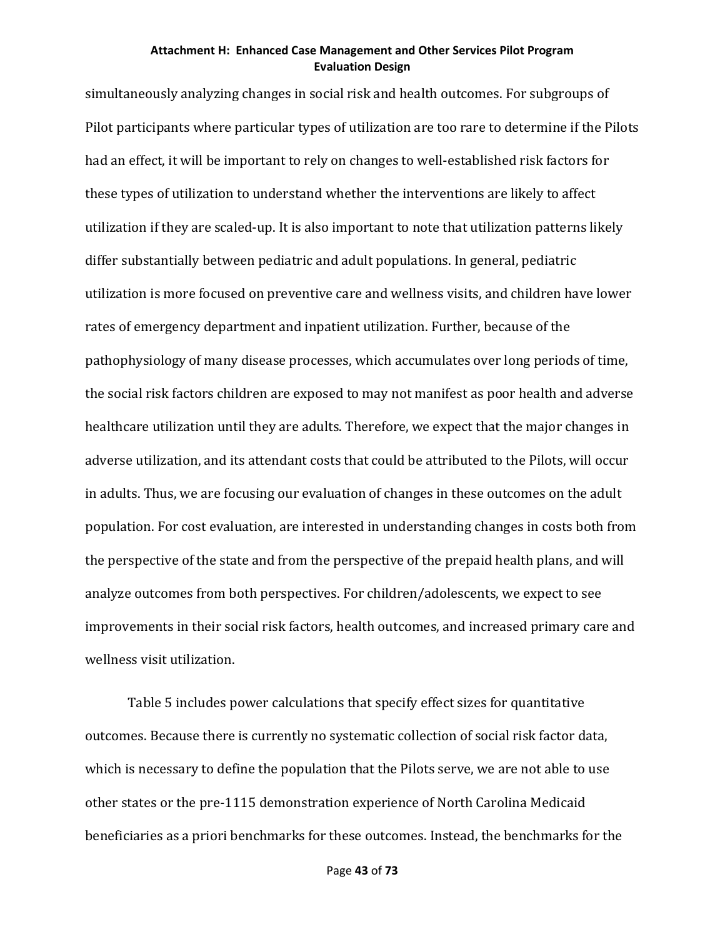simultaneously analyzing changes in social risk and health outcomes. For subgroups of Pilot participants where particular types of utilization are too rare to determine if the Pilots had an effect, it will be important to rely on changes to well-established risk factors for these types of utilization to understand whether the interventions are likely to affect utilization if they are scaled-up. It is also important to note that utilization patterns likely differ substantially between pediatric and adult populations. In general, pediatric utilization is more focused on preventive care and wellness visits, and children have lower rates of emergency department and inpatient utilization. Further, because of the pathophysiology of many disease processes, which accumulates over long periods of time, the social risk factors children are exposed to may not manifest as poor health and adverse healthcare utilization until they are adults. Therefore, we expect that the major changes in adverse utilization, and its attendant costs that could be attributed to the Pilots, will occur in adults. Thus, we are focusing our evaluation of changes in these outcomes on the adult population. For cost evaluation, are interested in understanding changes in costs both from the perspective of the state and from the perspective of the prepaid health plans, and will analyze outcomes from both perspectives. For children/adolescents, we expect to see improvements in their social risk factors, health outcomes, and increased primary care and wellness visit utilization.

Table 5 includes power calculations that specify effect sizes for quantitative outcomes. Because there is currently no systematic collection of social risk factor data, which is necessary to define the population that the Pilots serve, we are not able to use other states or the pre-1115 demonstration experience of North Carolina Medicaid beneficiaries as a priori benchmarks for these outcomes. Instead, the benchmarks for the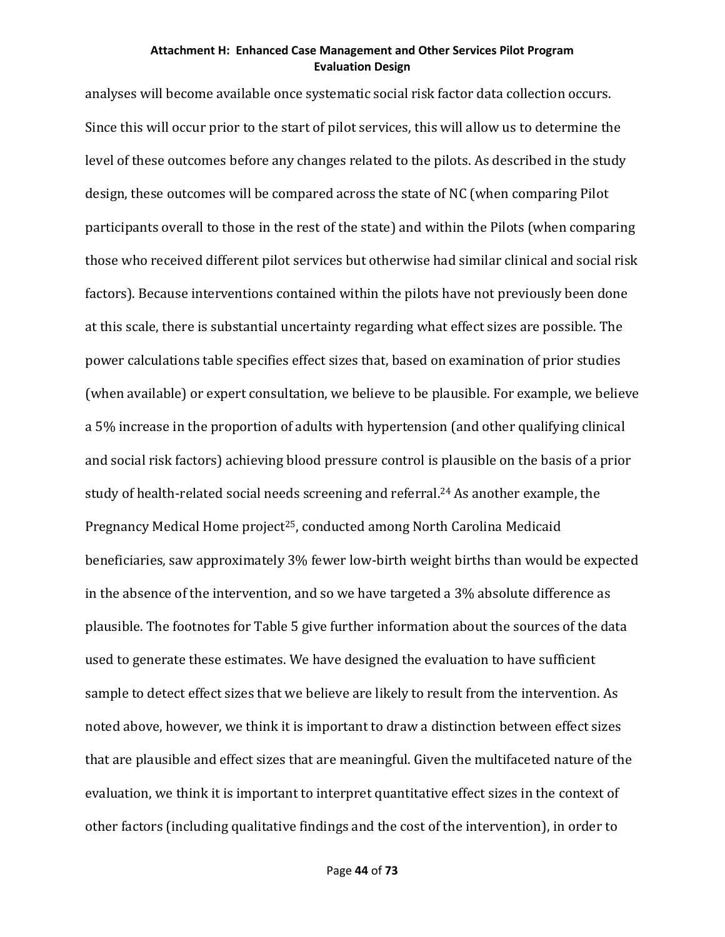analyses will become available once systematic social risk factor data collection occurs. Since this will occur prior to the start of pilot services, this will allow us to determine the level of these outcomes before any changes related to the pilots. As described in the study design, these outcomes will be compared across the state of NC (when comparing Pilot participants overall to those in the rest of the state) and within the Pilots (when comparing those who received different pilot services but otherwise had similar clinical and social risk factors). Because interventions contained within the pilots have not previously been done at this scale, there is substantial uncertainty regarding what effect sizes are possible. The power calculations table specifies effect sizes that, based on examination of prior studies (when available) or expert consultation, we believe to be plausible. For example, we believe a 5% increase in the proportion of adults with hypertension (and other qualifying clinical and social risk factors) achieving blood pressure control is plausible on the basis of a prior study of health-related social needs screening and referral.24 As another example, the Pregnancy Medical Home project<sup>25</sup>, conducted among North Carolina Medicaid beneficiaries, saw approximately 3% fewer low-birth weight births than would be expected in the absence of the intervention, and so we have targeted a 3% absolute difference as plausible. The footnotes for Table 5 give further information about the sources of the data used to generate these estimates. We have designed the evaluation to have sufficient sample to detect effect sizes that we believe are likely to result from the intervention. As noted above, however, we think it is important to draw a distinction between effect sizes that are plausible and effect sizes that are meaningful. Given the multifaceted nature of the evaluation, we think it is important to interpret quantitative effect sizes in the context of other factors (including qualitative findings and the cost of the intervention), in order to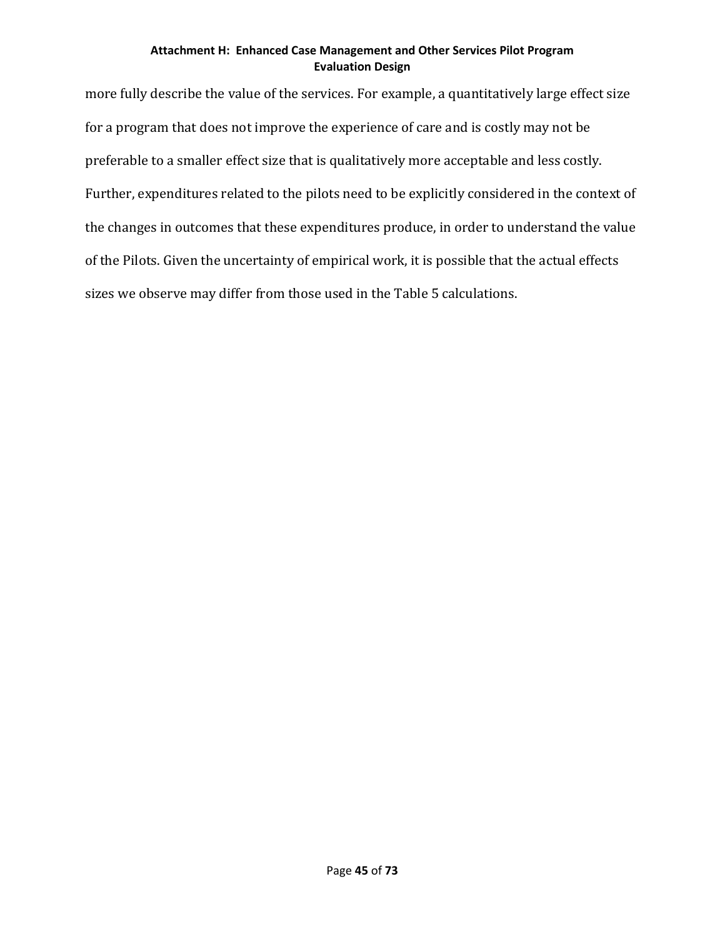more fully describe the value of the services. For example, a quantitatively large effect size for a program that does not improve the experience of care and is costly may not be preferable to a smaller effect size that is qualitatively more acceptable and less costly. Further, expenditures related to the pilots need to be explicitly considered in the context of the changes in outcomes that these expenditures produce, in order to understand the value of the Pilots. Given the uncertainty of empirical work, it is possible that the actual effects sizes we observe may differ from those used in the Table 5 calculations.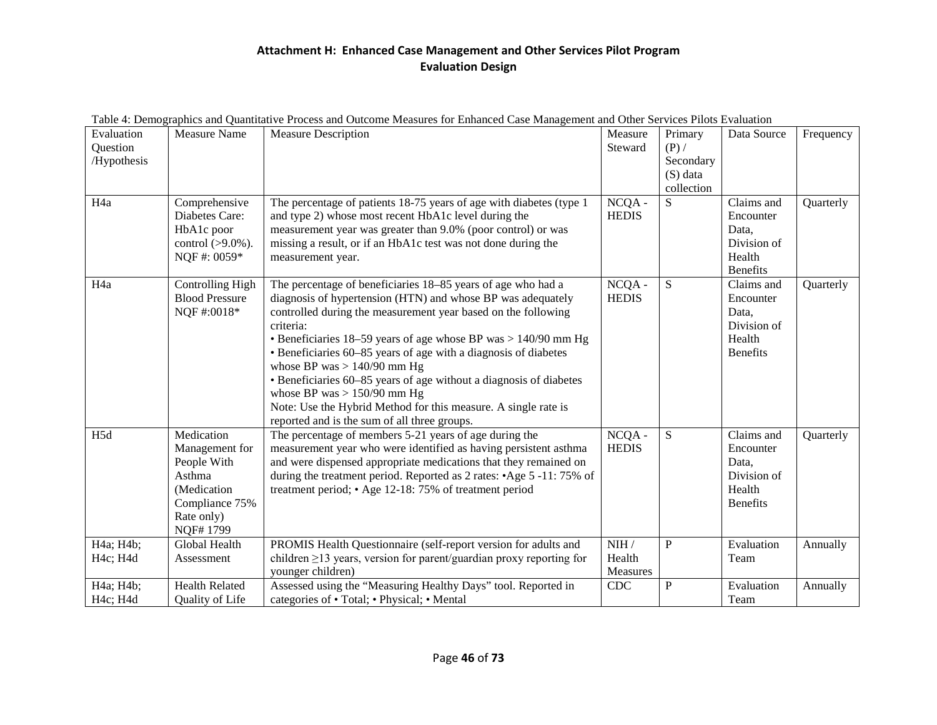| Evaluation<br>Question<br>/Hypothesis          | <b>Measure Name</b>                                                                                              | <b>Measure Description</b>                                                                                                                                                                                                                                                                                                                                                                                                                                                                                                                                                                               | Measure<br>Steward         | Primary<br>$(P)$ /<br>Secondary<br>$(S)$ data<br>collection | Data Source                                                                  | Frequency |
|------------------------------------------------|------------------------------------------------------------------------------------------------------------------|----------------------------------------------------------------------------------------------------------------------------------------------------------------------------------------------------------------------------------------------------------------------------------------------------------------------------------------------------------------------------------------------------------------------------------------------------------------------------------------------------------------------------------------------------------------------------------------------------------|----------------------------|-------------------------------------------------------------|------------------------------------------------------------------------------|-----------|
| H <sub>4a</sub>                                | Comprehensive<br>Diabetes Care:<br>HbA1c poor<br>control $(>9.0\%)$ .<br>NQF#: 0059*                             | The percentage of patients 18-75 years of age with diabetes (type 1<br>and type 2) whose most recent HbA1c level during the<br>measurement year was greater than 9.0% (poor control) or was<br>missing a result, or if an HbA1c test was not done during the<br>measurement year.                                                                                                                                                                                                                                                                                                                        | NCQA -<br><b>HEDIS</b>     | S                                                           | Claims and<br>Encounter<br>Data,<br>Division of<br>Health<br><b>Benefits</b> | Quarterly |
| H <sub>4</sub> a                               | Controlling High<br><b>Blood Pressure</b><br>NQF#:0018*                                                          | The percentage of beneficiaries 18-85 years of age who had a<br>diagnosis of hypertension (HTN) and whose BP was adequately<br>controlled during the measurement year based on the following<br>criteria:<br>• Beneficiaries 18–59 years of age whose BP was > 140/90 mm Hg<br>• Beneficiaries 60–85 years of age with a diagnosis of diabetes<br>whose BP was $> 140/90$ mm Hg<br>• Beneficiaries 60-85 years of age without a diagnosis of diabetes<br>whose BP was $> 150/90$ mm Hg<br>Note: Use the Hybrid Method for this measure. A single rate is<br>reported and is the sum of all three groups. | NCQA -<br><b>HEDIS</b>     | ${\bf S}$                                                   | Claims and<br>Encounter<br>Data,<br>Division of<br>Health<br><b>Benefits</b> | Quarterly |
| H5d                                            | Medication<br>Management for<br>People With<br>Asthma<br>(Medication<br>Compliance 75%<br>Rate only)<br>NQF#1799 | The percentage of members 5-21 years of age during the<br>measurement year who were identified as having persistent asthma<br>and were dispensed appropriate medications that they remained on<br>during the treatment period. Reported as 2 rates: • Age 5 -11: 75% of<br>treatment period; • Age 12-18: 75% of treatment period                                                                                                                                                                                                                                                                        | $NCOA -$<br><b>HEDIS</b>   | ${\bf S}$                                                   | Claims and<br>Encounter<br>Data,<br>Division of<br>Health<br><b>Benefits</b> | Quarterly |
| H4a; H4b;<br>H <sub>4c</sub> ; H <sub>4d</sub> | Global Health<br>Assessment                                                                                      | PROMIS Health Questionnaire (self-report version for adults and<br>children $\geq$ 13 years, version for parent/guardian proxy reporting for<br>younger children)                                                                                                                                                                                                                                                                                                                                                                                                                                        | NIH/<br>Health<br>Measures | $\mathbf{P}$                                                | Evaluation<br>Team                                                           | Annually  |
| H4a; H4b;<br>H <sub>4c</sub> ; H <sub>4d</sub> | <b>Health Related</b><br>Quality of Life                                                                         | Assessed using the "Measuring Healthy Days" tool. Reported in<br>categories of • Total; • Physical; • Mental                                                                                                                                                                                                                                                                                                                                                                                                                                                                                             | CDC                        | ${\bf P}$                                                   | Evaluation<br>Team                                                           | Annually  |

#### Table 4: Demographics and Quantitative Process and Outcome Measures for Enhanced Case Management and Other Services Pilots Evaluation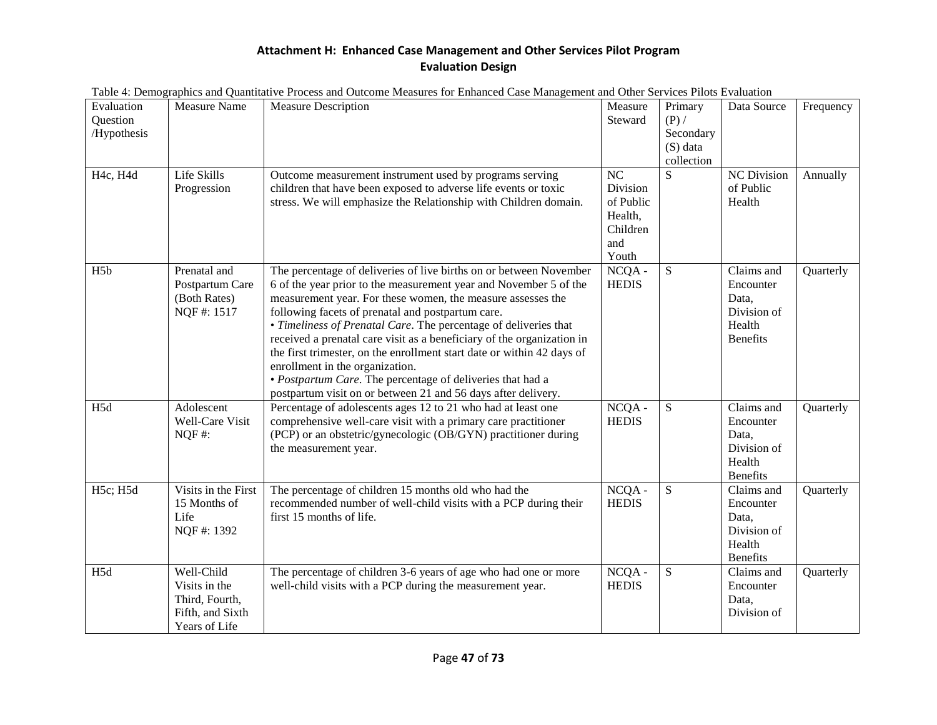|                                       |                                                                                    | rable 4. Demographics and Quantitative Frocess and Outcome Measures for Emianced Case Management and Other Services Fhots Evaluation                                                                                                                                                                                                                                                                                                                                                                                                                                                                                                                  |                                                                    |                                                           |                                                                              |           |
|---------------------------------------|------------------------------------------------------------------------------------|-------------------------------------------------------------------------------------------------------------------------------------------------------------------------------------------------------------------------------------------------------------------------------------------------------------------------------------------------------------------------------------------------------------------------------------------------------------------------------------------------------------------------------------------------------------------------------------------------------------------------------------------------------|--------------------------------------------------------------------|-----------------------------------------------------------|------------------------------------------------------------------------------|-----------|
| Evaluation<br>Question<br>/Hypothesis | <b>Measure Name</b>                                                                | <b>Measure Description</b>                                                                                                                                                                                                                                                                                                                                                                                                                                                                                                                                                                                                                            | Measure<br>Steward                                                 | Primary<br>$(P)$ /<br>Secondary<br>(S) data<br>collection | Data Source                                                                  | Frequency |
| H4c, H4d                              | Life Skills<br>Progression                                                         | Outcome measurement instrument used by programs serving<br>children that have been exposed to adverse life events or toxic<br>stress. We will emphasize the Relationship with Children domain.                                                                                                                                                                                                                                                                                                                                                                                                                                                        | NC<br>Division<br>of Public<br>Health,<br>Children<br>and<br>Youth | S                                                         | <b>NC</b> Division<br>of Public<br>Health                                    | Annually  |
| H <sub>5</sub> b                      | Prenatal and<br>Postpartum Care<br>(Both Rates)<br>NQF#: 1517                      | The percentage of deliveries of live births on or between November<br>6 of the year prior to the measurement year and November 5 of the<br>measurement year. For these women, the measure assesses the<br>following facets of prenatal and postpartum care.<br>• Timeliness of Prenatal Care. The percentage of deliveries that<br>received a prenatal care visit as a beneficiary of the organization in<br>the first trimester, on the enrollment start date or within 42 days of<br>enrollment in the organization.<br>· Postpartum Care. The percentage of deliveries that had a<br>postpartum visit on or between 21 and 56 days after delivery. | $NCOA -$<br><b>HEDIS</b>                                           | S                                                         | Claims and<br>Encounter<br>Data,<br>Division of<br>Health<br><b>Benefits</b> | Quarterly |
| H5d                                   | Adolescent<br>Well-Care Visit<br>NQF#:                                             | Percentage of adolescents ages 12 to 21 who had at least one<br>comprehensive well-care visit with a primary care practitioner<br>(PCP) or an obstetric/gynecologic (OB/GYN) practitioner during<br>the measurement year.                                                                                                                                                                                                                                                                                                                                                                                                                             | $NCQA -$<br><b>HEDIS</b>                                           | S                                                         | Claims and<br>Encounter<br>Data,<br>Division of<br>Health<br>Benefits        | Quarterly |
| H5c; H5d                              | Visits in the First<br>15 Months of<br>Life<br>NQF#: 1392                          | The percentage of children 15 months old who had the<br>recommended number of well-child visits with a PCP during their<br>first 15 months of life.                                                                                                                                                                                                                                                                                                                                                                                                                                                                                                   | $NCQA -$<br><b>HEDIS</b>                                           | ${\bf S}$                                                 | Claims and<br>Encounter<br>Data,<br>Division of<br>Health<br><b>Benefits</b> | Quarterly |
| H5d                                   | Well-Child<br>Visits in the<br>Third, Fourth,<br>Fifth, and Sixth<br>Years of Life | The percentage of children 3-6 years of age who had one or more<br>well-child visits with a PCP during the measurement year.                                                                                                                                                                                                                                                                                                                                                                                                                                                                                                                          | $NCQA -$<br><b>HEDIS</b>                                           | ${\bf S}$                                                 | $\overline{\text{Claims}}$ and<br>Encounter<br>Data,<br>Division of          | Quarterly |

Table 4: Demographics and Quantitative Process and Outcome Measures for Enhanced Case Management and Other Services Pilots Evaluation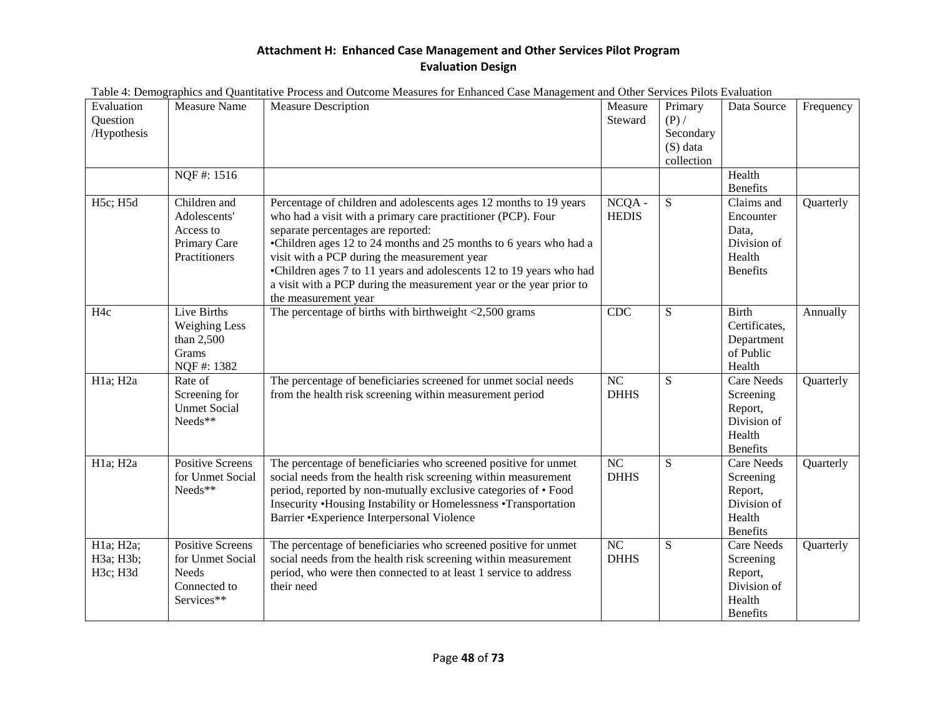|                                       |                                                                                           | Table 4. Demographics and Quantitative Frocess and Outcome Measures for Emianced Case Management and Other Services Friots Evaluation                                                                                                                                                                                                                                                                                                                              |                                |                                                             |                                                                                       |           |
|---------------------------------------|-------------------------------------------------------------------------------------------|--------------------------------------------------------------------------------------------------------------------------------------------------------------------------------------------------------------------------------------------------------------------------------------------------------------------------------------------------------------------------------------------------------------------------------------------------------------------|--------------------------------|-------------------------------------------------------------|---------------------------------------------------------------------------------------|-----------|
| Evaluation<br>Question<br>/Hypothesis | <b>Measure Name</b>                                                                       | <b>Measure Description</b>                                                                                                                                                                                                                                                                                                                                                                                                                                         | Measure<br>Steward             | Primary<br>$(P)$ /<br>Secondary<br>$(S)$ data<br>collection | Data Source                                                                           | Frequency |
|                                       | NQF#: 1516                                                                                |                                                                                                                                                                                                                                                                                                                                                                                                                                                                    |                                |                                                             | Health<br>Benefits                                                                    |           |
| H5c; H5d                              | Children and<br>Adolescents'<br>Access to<br>Primary Care<br>Practitioners                | Percentage of children and adolescents ages 12 months to 19 years<br>who had a visit with a primary care practitioner (PCP). Four<br>separate percentages are reported:<br>•Children ages 12 to 24 months and 25 months to 6 years who had a<br>visit with a PCP during the measurement year<br>•Children ages 7 to 11 years and adolescents 12 to 19 years who had<br>a visit with a PCP during the measurement year or the year prior to<br>the measurement year | $NCOA -$<br><b>HEDIS</b>       | S                                                           | Claims and<br>Encounter<br>Data,<br>Division of<br>Health<br><b>Benefits</b>          | Quarterly |
| H <sub>4c</sub>                       | Live Births<br><b>Weighing Less</b><br>than 2,500<br>Grams<br>NQF#: 1382                  | The percentage of births with birthweight $\langle 2,500 \rangle$ grams                                                                                                                                                                                                                                                                                                                                                                                            | <b>CDC</b>                     | ${\bf S}$                                                   | <b>Birth</b><br>Certificates,<br>Department<br>of Public<br>Health                    | Annually  |
| $H1a$ ; $H2a$                         | Rate of<br>Screening for<br><b>Unmet Social</b><br>Needs**                                | The percentage of beneficiaries screened for unmet social needs<br>from the health risk screening within measurement period                                                                                                                                                                                                                                                                                                                                        | $\overline{NC}$<br><b>DHHS</b> | S                                                           | <b>Care Needs</b><br>Screening<br>Report,<br>Division of<br>Health<br><b>Benefits</b> | Quarterly |
| H1a; H2a                              | <b>Positive Screens</b><br>for Unmet Social<br>Needs**                                    | The percentage of beneficiaries who screened positive for unmet<br>social needs from the health risk screening within measurement<br>period, reported by non-mutually exclusive categories of • Food<br>Insecurity .Housing Instability or Homelessness .Transportation<br>Barrier • Experience Interpersonal Violence                                                                                                                                             | NC<br><b>DHHS</b>              | S                                                           | Care Needs<br>Screening<br>Report,<br>Division of<br>Health<br><b>Benefits</b>        | Quarterly |
| H1a; H2a;<br>H3a; H3b;<br>H3c; H3d    | <b>Positive Screens</b><br>for Unmet Social<br><b>Needs</b><br>Connected to<br>Services** | The percentage of beneficiaries who screened positive for unmet<br>social needs from the health risk screening within measurement<br>period, who were then connected to at least 1 service to address<br>their need                                                                                                                                                                                                                                                | NC<br><b>DHHS</b>              | ${\bf S}$                                                   | Care Needs<br>Screening<br>Report,<br>Division of<br>Health<br><b>Benefits</b>        | Quarterly |

|  | Table 4: Demographics and Quantitative Process and Outcome Measures for Enhanced Case Management and Other Services Pilots Evaluation |  |
|--|---------------------------------------------------------------------------------------------------------------------------------------|--|
|  |                                                                                                                                       |  |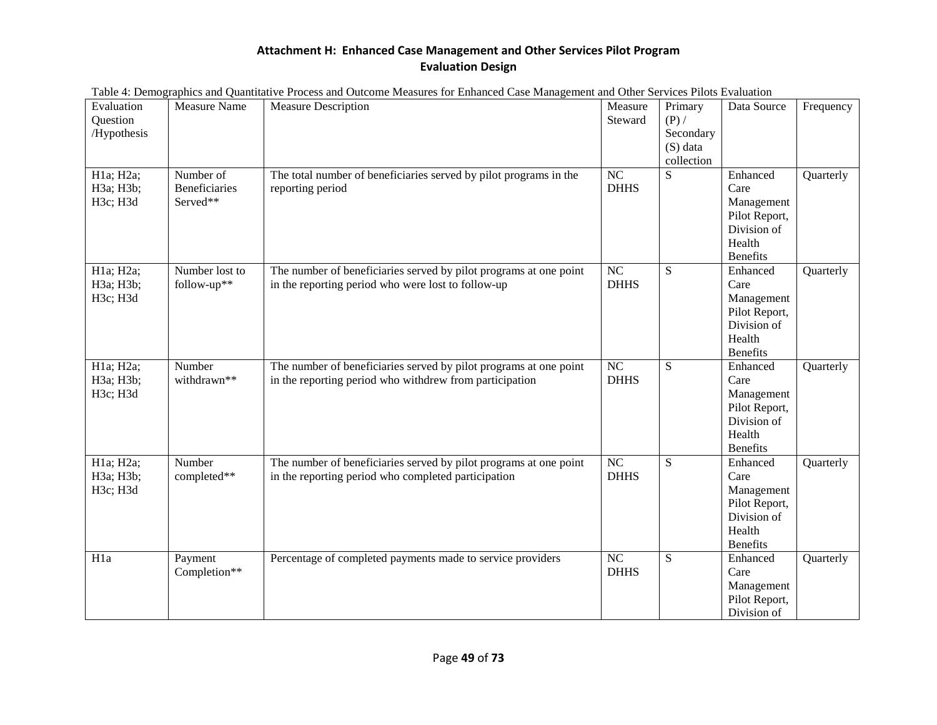|                                       |                                               | Table 4. Demographics and Quantitative Frocess and Outcome Measures for Emianced Case Management and Other Services Friots Evaluation |                                |                                                             |                                                                                             |           |
|---------------------------------------|-----------------------------------------------|---------------------------------------------------------------------------------------------------------------------------------------|--------------------------------|-------------------------------------------------------------|---------------------------------------------------------------------------------------------|-----------|
| Evaluation<br>Question<br>/Hypothesis | Measure Name                                  | <b>Measure Description</b>                                                                                                            | Measure<br>Steward             | Primary<br>$(P)$ /<br>Secondary<br>$(S)$ data<br>collection | Data Source                                                                                 | Frequency |
| H1a; H2a;<br>H3a; H3b;<br>H3c; H3d    | Number of<br><b>Beneficiaries</b><br>Served** | The total number of beneficiaries served by pilot programs in the<br>reporting period                                                 | NC<br><b>DHHS</b>              | S                                                           | Enhanced<br>Care<br>Management<br>Pilot Report,<br>Division of<br>Health<br><b>Benefits</b> | Quarterly |
| H1a; H2a;<br>H3a; H3b;<br>H3c; H3d    | Number lost to<br>follow-up**                 | The number of beneficiaries served by pilot programs at one point<br>in the reporting period who were lost to follow-up               | NC<br><b>DHHS</b>              | ${\bf S}$                                                   | Enhanced<br>Care<br>Management<br>Pilot Report,<br>Division of<br>Health<br>Benefits        | Quarterly |
| H1a; H2a;<br>H3a; H3b;<br>H3c; H3d    | Number<br>withdrawn**                         | The number of beneficiaries served by pilot programs at one point<br>in the reporting period who withdrew from participation          | $\overline{NC}$<br><b>DHHS</b> | ${\bf S}$                                                   | Enhanced<br>Care<br>Management<br>Pilot Report,<br>Division of<br>Health<br><b>Benefits</b> | Quarterly |
| H1a; H2a;<br>H3a; H3b;<br>H3c; H3d    | Number<br>completed**                         | The number of beneficiaries served by pilot programs at one point<br>in the reporting period who completed participation              | NC<br><b>DHHS</b>              | S                                                           | Enhanced<br>Care<br>Management<br>Pilot Report,<br>Division of<br>Health<br><b>Benefits</b> | Quarterly |
| H1a                                   | Payment<br>Completion**                       | Percentage of completed payments made to service providers                                                                            | NC<br><b>DHHS</b>              | ${\bf S}$                                                   | Enhanced<br>Care<br>Management<br>Pilot Report,<br>Division of                              | Quarterly |

|  | Table 4: Demographics and Quantitative Process and Outcome Measures for Enhanced Case Management and Other Services Pilots Evaluation |  |
|--|---------------------------------------------------------------------------------------------------------------------------------------|--|
|  |                                                                                                                                       |  |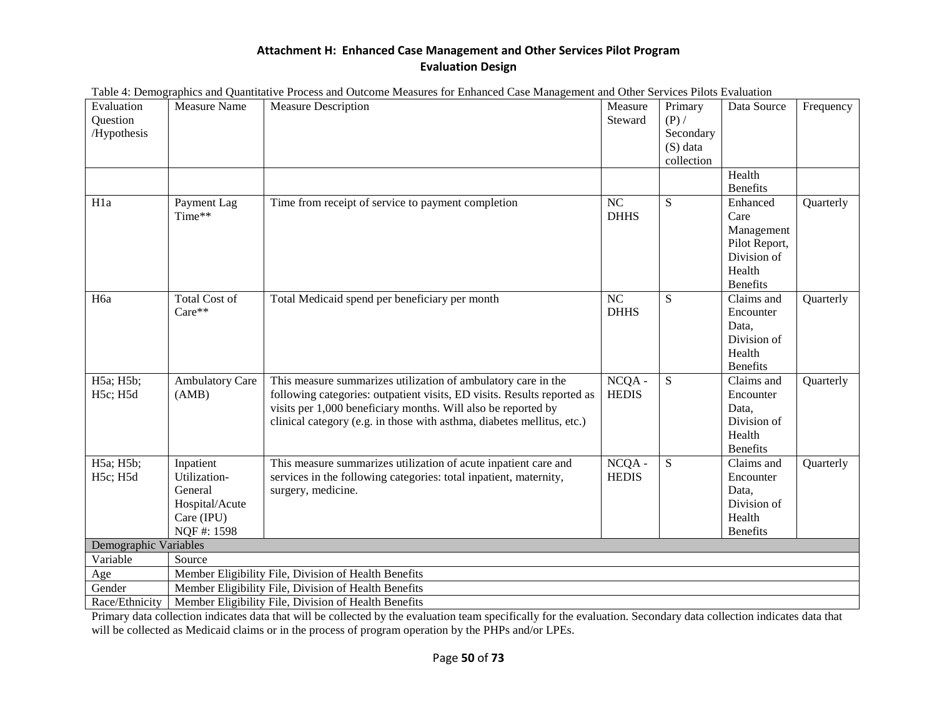|                                       |                                                                                    | I abie 4. Demographics and Quantitative Frocess and Outcome Measures for Emianced Case Management and Other Services Friots Evaluation                                                                                                                                              |                                |                                                             |                                                                                             |           |
|---------------------------------------|------------------------------------------------------------------------------------|-------------------------------------------------------------------------------------------------------------------------------------------------------------------------------------------------------------------------------------------------------------------------------------|--------------------------------|-------------------------------------------------------------|---------------------------------------------------------------------------------------------|-----------|
| Evaluation<br>Question<br>/Hypothesis | <b>Measure Name</b>                                                                | <b>Measure Description</b>                                                                                                                                                                                                                                                          | Measure<br>Steward             | Primary<br>$(P)$ /<br>Secondary<br>$(S)$ data<br>collection | Data Source                                                                                 | Frequency |
|                                       |                                                                                    |                                                                                                                                                                                                                                                                                     |                                |                                                             | Health<br><b>Benefits</b>                                                                   |           |
| H <sub>1</sub> a                      | Payment Lag<br>Time**                                                              | Time from receipt of service to payment completion                                                                                                                                                                                                                                  | $\overline{NC}$<br><b>DHHS</b> | S                                                           | Enhanced<br>Care<br>Management<br>Pilot Report,<br>Division of<br>Health<br><b>Benefits</b> | Quarterly |
| H <sub>6</sub> a                      | <b>Total Cost of</b><br>Care**                                                     | Total Medicaid spend per beneficiary per month                                                                                                                                                                                                                                      | $\overline{NC}$<br><b>DHHS</b> | S                                                           | Claims and<br>Encounter<br>Data,<br>Division of<br>Health<br><b>Benefits</b>                | Quarterly |
| H5a; H5b;<br>H5c; H5d                 | <b>Ambulatory Care</b><br>(AMB)                                                    | This measure summarizes utilization of ambulatory care in the<br>following categories: outpatient visits, ED visits. Results reported as<br>visits per 1,000 beneficiary months. Will also be reported by<br>clinical category (e.g. in those with asthma, diabetes mellitus, etc.) | $NCQA -$<br><b>HEDIS</b>       | ${\bf S}$                                                   | Claims and<br>Encounter<br>Data,<br>Division of<br>Health<br><b>Benefits</b>                | Quarterly |
| H5a; H5b;<br>H5c; H5d                 | Inpatient<br>Utilization-<br>General<br>Hospital/Acute<br>Care (IPU)<br>NQF#: 1598 | This measure summarizes utilization of acute inpatient care and<br>services in the following categories: total inpatient, maternity,<br>surgery, medicine.                                                                                                                          | $NCOA -$<br><b>HEDIS</b>       | ${\bf S}$                                                   | Claims and<br>Encounter<br>Data,<br>Division of<br>Health<br><b>Benefits</b>                | Quarterly |
| Demographic Variables                 |                                                                                    |                                                                                                                                                                                                                                                                                     |                                |                                                             |                                                                                             |           |
| Variable                              | Source                                                                             |                                                                                                                                                                                                                                                                                     |                                |                                                             |                                                                                             |           |
| Age                                   |                                                                                    | Member Eligibility File, Division of Health Benefits                                                                                                                                                                                                                                |                                |                                                             |                                                                                             |           |
| Gender                                |                                                                                    | Member Eligibility File, Division of Health Benefits                                                                                                                                                                                                                                |                                |                                                             |                                                                                             |           |
| Race/Ethnicity                        |                                                                                    | Member Eligibility File, Division of Health Benefits                                                                                                                                                                                                                                |                                |                                                             |                                                                                             |           |

|  | Table 4: Demographics and Quantitative Process and Outcome Measures for Enhanced Case Management and Other Services Pilots Evaluation |  |
|--|---------------------------------------------------------------------------------------------------------------------------------------|--|
|  |                                                                                                                                       |  |

Primary data collection indicates data that will be collected by the evaluation team specifically for the evaluation. Secondary data collection indicates data that will be collected as Medicaid claims or in the process of program operation by the PHPs and/or LPEs.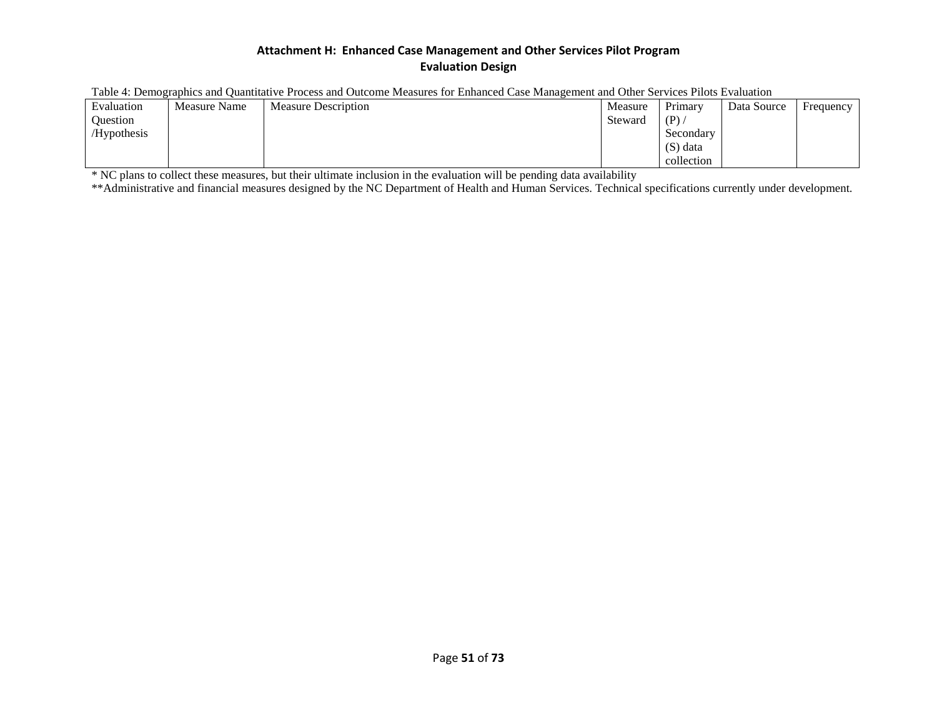| гаотел. Demozratmes and Ouantitative i rocess and Outcome measures for Emianced Case manazement and Outer bei vices i nots Evaluation |              |                            |         |            |             |           |  |  |  |
|---------------------------------------------------------------------------------------------------------------------------------------|--------------|----------------------------|---------|------------|-------------|-----------|--|--|--|
| Evaluation                                                                                                                            | Measure Name | <b>Measure Description</b> | Measure | Primarv    | Data Source | Frequency |  |  |  |
| <b>Ouestion</b>                                                                                                                       |              |                            | Steward | (P)        |             |           |  |  |  |
| /Hypothesis                                                                                                                           |              |                            |         | Secondary  |             |           |  |  |  |
|                                                                                                                                       |              |                            |         | (S) data   |             |           |  |  |  |
|                                                                                                                                       |              |                            |         | collection |             |           |  |  |  |

Table 4: Demographics and Quantitative Process and Outcome Measures for Enhanced Case Management and Other Services Pilots Evaluation

\* NC plans to collect these measures, but their ultimate inclusion in the evaluation will be pending data availability

\*\*Administrative and financial measures designed by the NC Department of Health and Human Services. Technical specifications currently under development.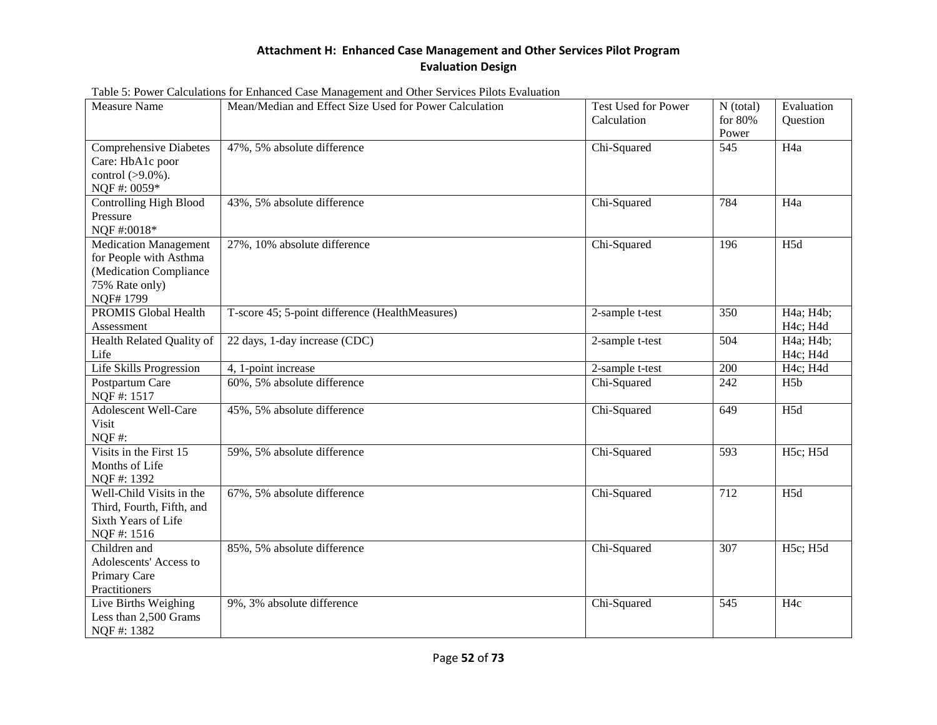| <b>Measure Name</b>                                                                                            | Mean/Median and Effect Size Used for Power Calculation<br><b>Test Used for Power</b><br>Calculation |                 | $N$ (total)<br>for $80%$<br>Power | Evaluation<br>Question |
|----------------------------------------------------------------------------------------------------------------|-----------------------------------------------------------------------------------------------------|-----------------|-----------------------------------|------------------------|
| <b>Comprehensive Diabetes</b><br>Care: HbA1c poor<br>control (>9.0%).<br>NQF#: 0059*                           | 47%, 5% absolute difference                                                                         | Chi-Squared     | 545                               | H <sub>4a</sub>        |
| <b>Controlling High Blood</b><br>Pressure<br>NQF#:0018*                                                        | 43%, 5% absolute difference                                                                         | Chi-Squared     | 784                               | H <sub>4a</sub>        |
| <b>Medication Management</b><br>for People with Asthma<br>(Medication Compliance<br>75% Rate only)<br>NQF#1799 | 27%, 10% absolute difference                                                                        | Chi-Squared     | 196                               | H <sub>5d</sub>        |
| <b>PROMIS Global Health</b><br>Assessment                                                                      | T-score 45; 5-point difference (HealthMeasures)                                                     | 2-sample t-test | 350                               | H4a; H4b;<br>H4c; H4d  |
| Health Related Quality of<br>Life                                                                              | 22 days, 1-day increase (CDC)                                                                       | 2-sample t-test | 504                               | H4a; H4b;<br>H4c; H4d  |
| <b>Life Skills Progression</b>                                                                                 | 4, 1-point increase                                                                                 | 2-sample t-test | 200                               | H4c; H4d               |
| Postpartum Care<br>NQF#: 1517                                                                                  | 60%, 5% absolute difference                                                                         | Chi-Squared     | 242                               | H5b                    |
| <b>Adolescent Well-Care</b><br>Visit<br>$NQF#$ :                                                               | 45%, 5% absolute difference                                                                         | Chi-Squared     | 649                               | H <sub>5d</sub>        |
| Visits in the First 15<br>Months of Life<br>NQF#: 1392                                                         | 59%, 5% absolute difference                                                                         | Chi-Squared     | 593                               | H5c; H5d               |
| Well-Child Visits in the<br>Third, Fourth, Fifth, and<br>Sixth Years of Life<br>NQF#: 1516                     | 67%, 5% absolute difference                                                                         | Chi-Squared     | 712                               | H <sub>5d</sub>        |
| Children and<br>Adolescents' Access to<br>Primary Care<br>Practitioners                                        | 85%, 5% absolute difference                                                                         | Chi-Squared     | 307                               | H5c; H5d               |
| Live Births Weighing<br>Less than 2,500 Grams<br>NQF#: 1382                                                    | 9%, 3% absolute difference                                                                          | Chi-Squared     | 545                               | H <sub>4c</sub>        |

Table 5: Power Calculations for Enhanced Case Management and Other Services Pilots Evaluation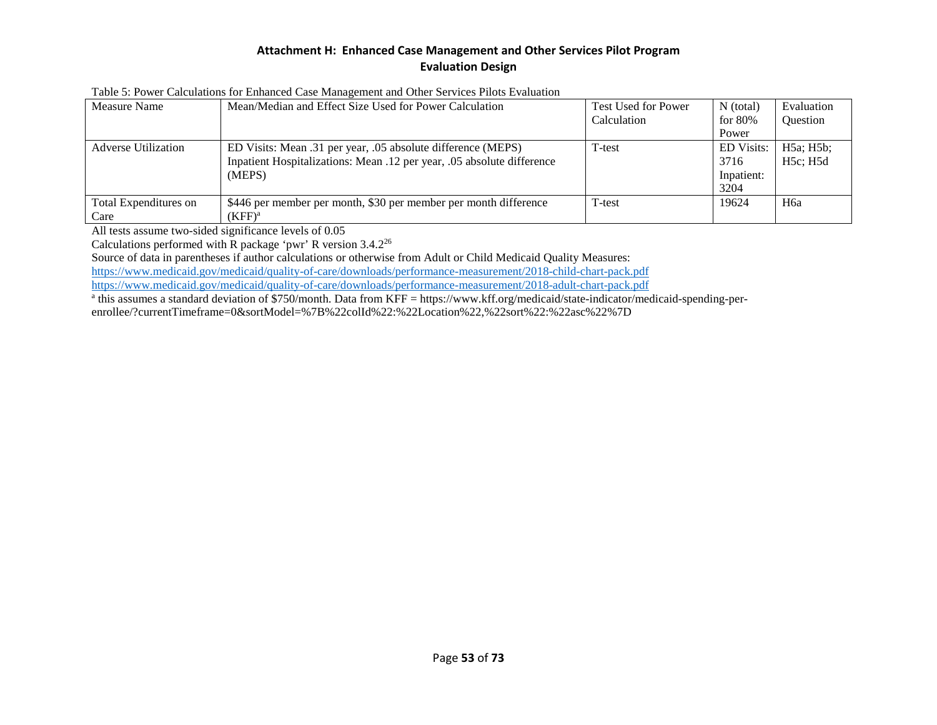| Measure Name                  | Mean/Median and Effect Size Used for Power Calculation                                                                                           | Test Used for Power | $N$ (total)                             | Evaluation            |
|-------------------------------|--------------------------------------------------------------------------------------------------------------------------------------------------|---------------------|-----------------------------------------|-----------------------|
|                               |                                                                                                                                                  | Calculation         | for 80%                                 | Question              |
|                               |                                                                                                                                                  |                     | Power                                   |                       |
| <b>Adverse Utilization</b>    | ED Visits: Mean .31 per year, .05 absolute difference (MEPS)<br>Inpatient Hospitalizations: Mean .12 per year, .05 absolute difference<br>(MEPS) | T-test              | <b>ED</b> Visits:<br>3716<br>Inpatient: | H5a; H5b;<br>H5c: H5d |
|                               |                                                                                                                                                  |                     | 3204                                    |                       |
| Total Expenditures on<br>Care | \$446 per member per month, \$30 per member per month difference<br>$(KFF)^a$                                                                    | T-test              | 19624                                   | H <sub>6a</sub>       |

Table 5: Power Calculations for Enhanced Case Management and Other Services Pilots Evaluation

All tests assume two-sided significance levels of 0.05

Calculations performed with R package 'pwr' R version 3.4.226

Source of data in parentheses if author calculations or otherwise from Adult or Child Medicaid Quality Measures:

<https://www.medicaid.gov/medicaid/quality-of-care/downloads/performance-measurement/2018-child-chart-pack.pdf>

<https://www.medicaid.gov/medicaid/quality-of-care/downloads/performance-measurement/2018-adult-chart-pack.pdf>

<sup>a</sup> this assumes a standard deviation of \$750/month. Data from KFF = https://www.kff.org/medicaid/state-indicator/medicaid-spending-perenrollee/?currentTimeframe=0&sortModel=%7B%22colId%22:%22Location%22,%22sort%22:%22asc%22%7D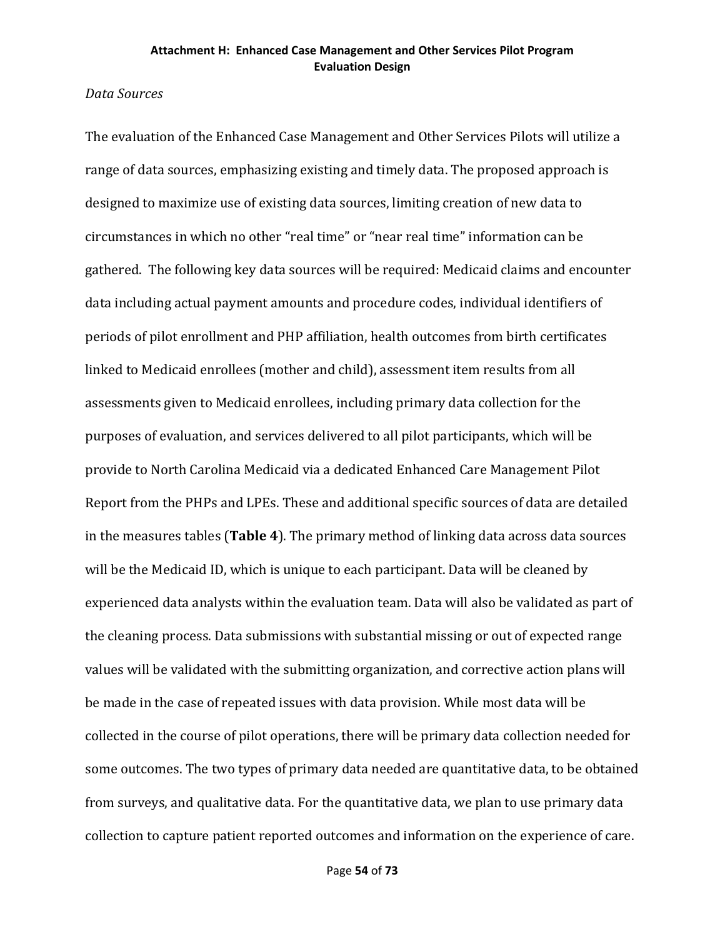## *Data Sources*

The evaluation of the Enhanced Case Management and Other Services Pilots will utilize a range of data sources, emphasizing existing and timely data. The proposed approach is designed to maximize use of existing data sources, limiting creation of new data to circumstances in which no other "real time" or "near real time" information can be gathered. The following key data sources will be required: Medicaid claims and encounter data including actual payment amounts and procedure codes, individual identifiers of periods of pilot enrollment and PHP affiliation, health outcomes from birth certificates linked to Medicaid enrollees (mother and child), assessment item results from all assessments given to Medicaid enrollees, including primary data collection for the purposes of evaluation, and services delivered to all pilot participants, which will be provide to North Carolina Medicaid via a dedicated Enhanced Care Management Pilot Report from the PHPs and LPEs. These and additional specific sources of data are detailed in the measures tables (**Table 4**). The primary method of linking data across data sources will be the Medicaid ID, which is unique to each participant. Data will be cleaned by experienced data analysts within the evaluation team. Data will also be validated as part of the cleaning process. Data submissions with substantial missing or out of expected range values will be validated with the submitting organization, and corrective action plans will be made in the case of repeated issues with data provision. While most data will be collected in the course of pilot operations, there will be primary data collection needed for some outcomes. The two types of primary data needed are quantitative data, to be obtained from surveys, and qualitative data. For the quantitative data, we plan to use primary data collection to capture patient reported outcomes and information on the experience of care.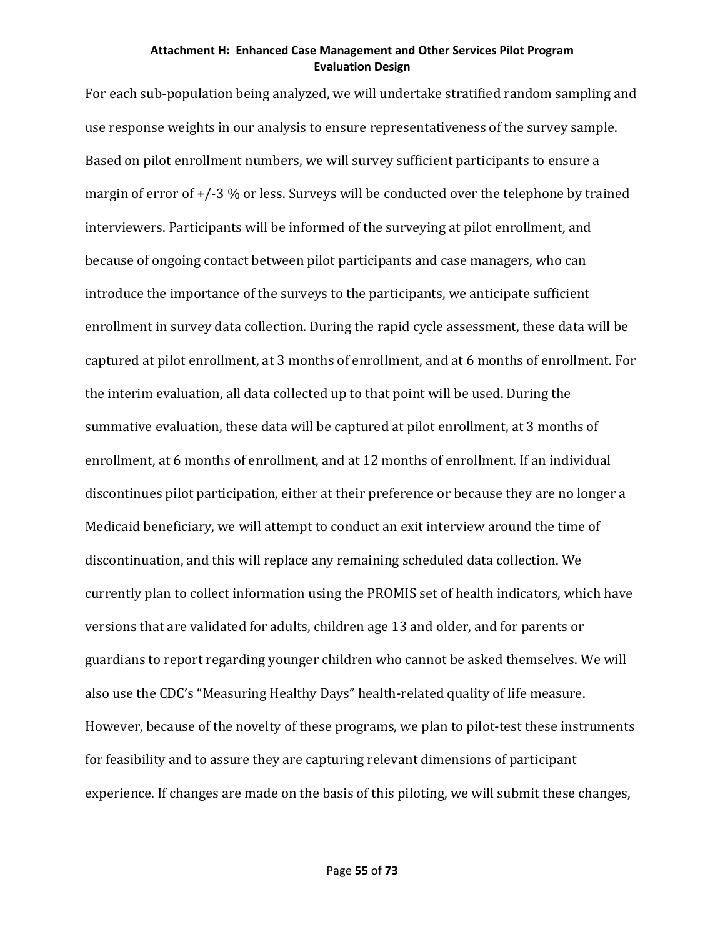For each sub-population being analyzed, we will undertake stratified random sampling and use response weights in our analysis to ensure representativeness of the survey sample. Based on pilot enrollment numbers, we will survey sufficient participants to ensure a margin of error of  $+/-3$  % or less. Surveys will be conducted over the telephone by trained interviewers. Participants will be informed of the surveying at pilot enrollment, and because of ongoing contact between pilot participants and case managers, who can introduce the importance of the surveys to the participants, we anticipate sufficient enrollment in survey data collection. During the rapid cycle assessment, these data will be captured at pilot enrollment, at 3 months of enrollment, and at 6 months of enrollment. For the interim evaluation, all data collected up to that point will be used. During the summative evaluation, these data will be captured at pilot enrollment, at 3 months of enrollment, at 6 months of enrollment, and at 12 months of enrollment. If an individual discontinues pilot participation, either at their preference or because they are no longer a Medicaid beneficiary, we will attempt to conduct an exit interview around the time of discontinuation, and this will replace any remaining scheduled data collection. We currently plan to collect information using the PROMIS set of health indicators, which have versions that are validated for adults, children age 13 and older, and for parents or guardians to report regarding younger children who cannot be asked themselves. We will also use the CDC's "Measuring Healthy Days" health-related quality of life measure. However, because of the novelty of these programs, we plan to pilot-test these instruments for feasibility and to assure they are capturing relevant dimensions of participant experience. If changes are made on the basis of this piloting, we will submit these changes,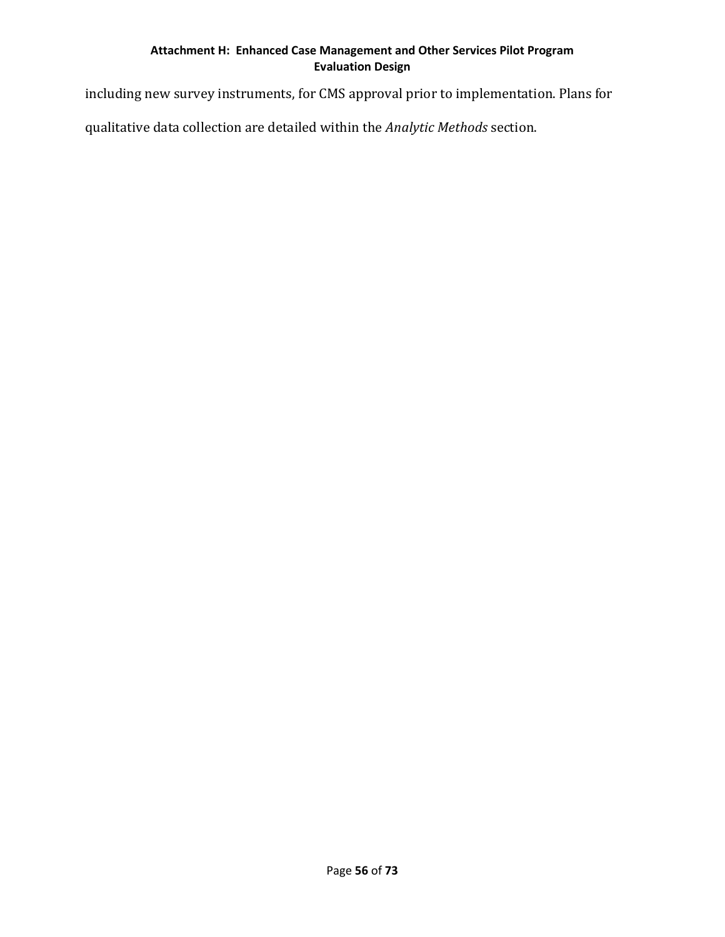including new survey instruments, for CMS approval prior to implementation. Plans for

qualitative data collection are detailed within the *Analytic Methods* section.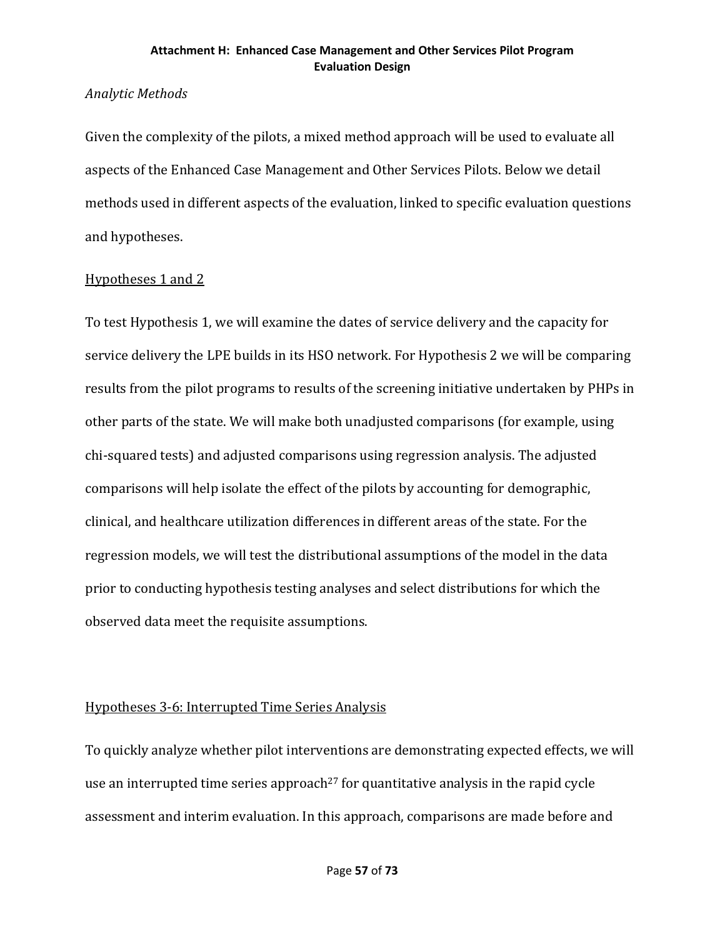## *Analytic Methods*

Given the complexity of the pilots, a mixed method approach will be used to evaluate all aspects of the Enhanced Case Management and Other Services Pilots. Below we detail methods used in different aspects of the evaluation, linked to specific evaluation questions and hypotheses.

## Hypotheses 1 and 2

To test Hypothesis 1, we will examine the dates of service delivery and the capacity for service delivery the LPE builds in its HSO network. For Hypothesis 2 we will be comparing results from the pilot programs to results of the screening initiative undertaken by PHPs in other parts of the state. We will make both unadjusted comparisons (for example, using chi-squared tests) and adjusted comparisons using regression analysis. The adjusted comparisons will help isolate the effect of the pilots by accounting for demographic, clinical, and healthcare utilization differences in different areas of the state. For the regression models, we will test the distributional assumptions of the model in the data prior to conducting hypothesis testing analyses and select distributions for which the observed data meet the requisite assumptions.

## Hypotheses 3-6: Interrupted Time Series Analysis

To quickly analyze whether pilot interventions are demonstrating expected effects, we will use an interrupted time series approach<sup>27</sup> for quantitative analysis in the rapid cycle assessment and interim evaluation. In this approach, comparisons are made before and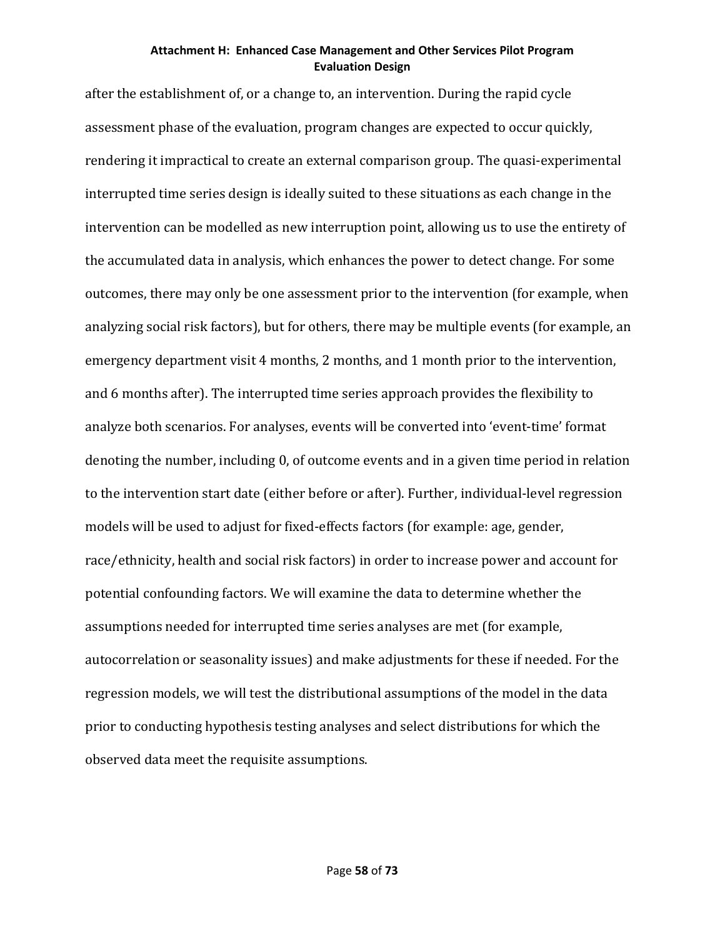after the establishment of, or a change to, an intervention. During the rapid cycle assessment phase of the evaluation, program changes are expected to occur quickly, rendering it impractical to create an external comparison group. The quasi-experimental interrupted time series design is ideally suited to these situations as each change in the intervention can be modelled as new interruption point, allowing us to use the entirety of the accumulated data in analysis, which enhances the power to detect change. For some outcomes, there may only be one assessment prior to the intervention (for example, when analyzing social risk factors), but for others, there may be multiple events (for example, an emergency department visit 4 months, 2 months, and 1 month prior to the intervention, and 6 months after). The interrupted time series approach provides the flexibility to analyze both scenarios. For analyses, events will be converted into 'event-time' format denoting the number, including 0, of outcome events and in a given time period in relation to the intervention start date (either before or after). Further, individual-level regression models will be used to adjust for fixed-effects factors (for example: age, gender, race/ethnicity, health and social risk factors) in order to increase power and account for potential confounding factors. We will examine the data to determine whether the assumptions needed for interrupted time series analyses are met (for example, autocorrelation or seasonality issues) and make adjustments for these if needed. For the regression models, we will test the distributional assumptions of the model in the data prior to conducting hypothesis testing analyses and select distributions for which the observed data meet the requisite assumptions.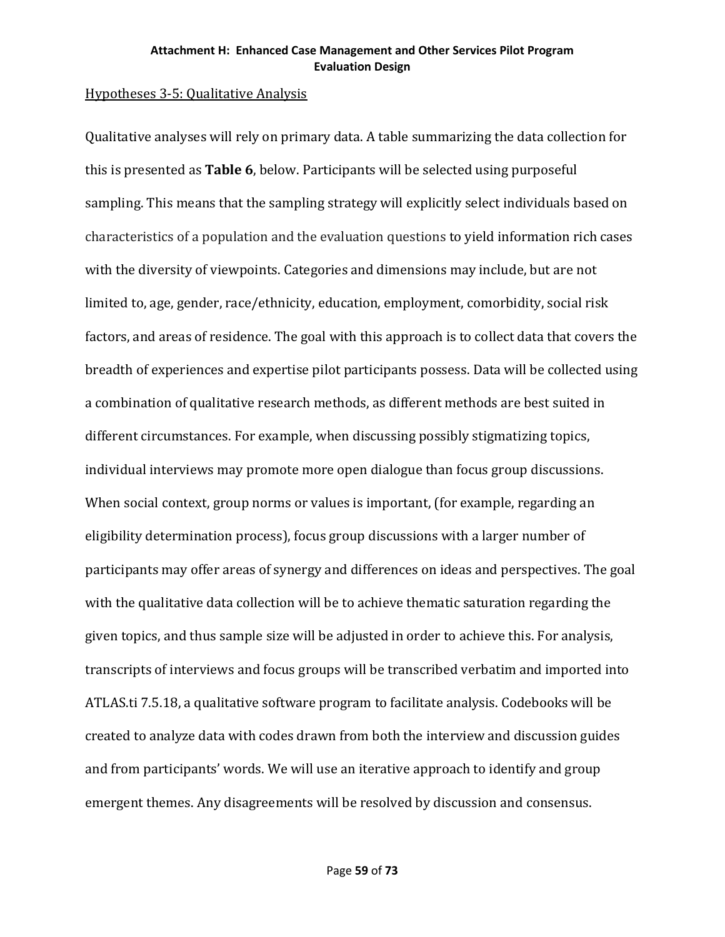## Hypotheses 3-5: Qualitative Analysis

Qualitative analyses will rely on primary data. A table summarizing the data collection for this is presented as **Table 6**, below. Participants will be selected using purposeful sampling. This means that the sampling strategy will explicitly select individuals based on characteristics of a population and the evaluation questions to yield information rich cases with the diversity of viewpoints. Categories and dimensions may include, but are not limited to, age, gender, race/ethnicity, education, employment, comorbidity, social risk factors, and areas of residence. The goal with this approach is to collect data that covers the breadth of experiences and expertise pilot participants possess. Data will be collected using a combination of qualitative research methods, as different methods are best suited in different circumstances. For example, when discussing possibly stigmatizing topics, individual interviews may promote more open dialogue than focus group discussions. When social context, group norms or values is important, (for example, regarding an eligibility determination process), focus group discussions with a larger number of participants may offer areas of synergy and differences on ideas and perspectives. The goal with the qualitative data collection will be to achieve thematic saturation regarding the given topics, and thus sample size will be adjusted in order to achieve this. For analysis, transcripts of interviews and focus groups will be transcribed verbatim and imported into ATLAS.ti 7.5.18, a qualitative software program to facilitate analysis. Codebooks will be created to analyze data with codes drawn from both the interview and discussion guides and from participants' words. We will use an iterative approach to identify and group emergent themes. Any disagreements will be resolved by discussion and consensus.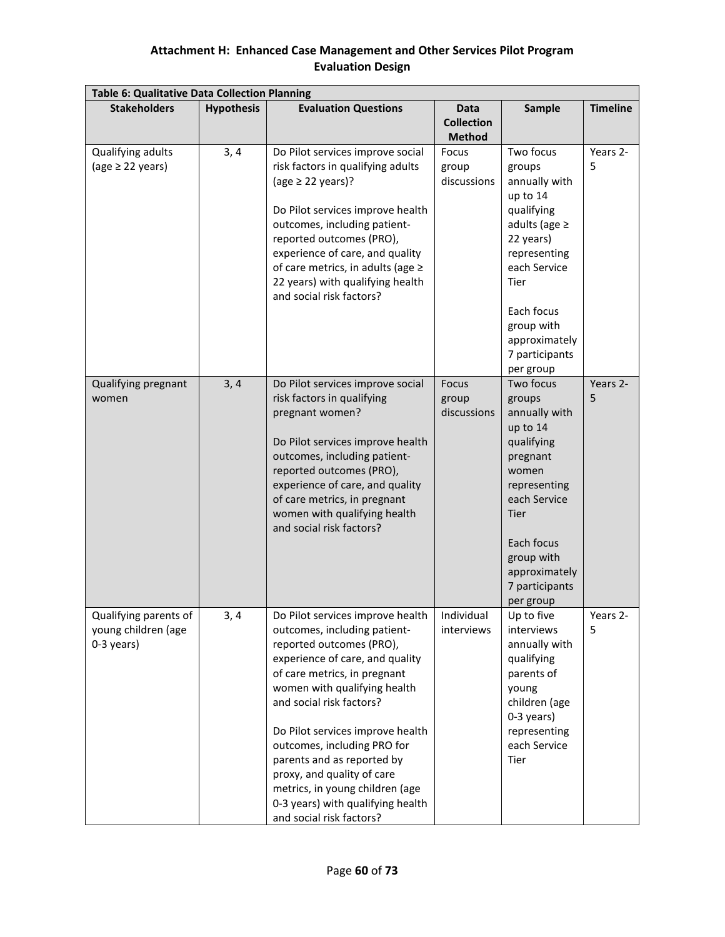| <b>Table 6: Qualitative Data Collection Planning</b>       |                   |                                                                                                                                                                                                                                                                                                                                                                                                                                                                |                                                   |                                                                                                                                                                                                                              |                 |  |  |  |  |
|------------------------------------------------------------|-------------------|----------------------------------------------------------------------------------------------------------------------------------------------------------------------------------------------------------------------------------------------------------------------------------------------------------------------------------------------------------------------------------------------------------------------------------------------------------------|---------------------------------------------------|------------------------------------------------------------------------------------------------------------------------------------------------------------------------------------------------------------------------------|-----------------|--|--|--|--|
| <b>Stakeholders</b>                                        | <b>Hypothesis</b> | <b>Evaluation Questions</b>                                                                                                                                                                                                                                                                                                                                                                                                                                    | <b>Data</b><br><b>Collection</b><br><b>Method</b> | Sample                                                                                                                                                                                                                       | <b>Timeline</b> |  |  |  |  |
| Qualifying adults<br>(age $\geq$ 22 years)                 | 3, 4              | Do Pilot services improve social<br>risk factors in qualifying adults<br>(age $\geq$ 22 years)?<br>Do Pilot services improve health<br>outcomes, including patient-<br>reported outcomes (PRO),<br>experience of care, and quality<br>of care metrics, in adults (age $\ge$<br>22 years) with qualifying health<br>and social risk factors?                                                                                                                    | Focus<br>group<br>discussions                     | Two focus<br>groups<br>annually with<br>up to 14<br>qualifying<br>adults (age $\geq$<br>22 years)<br>representing<br>each Service<br><b>Tier</b><br>Each focus<br>group with<br>approximately<br>7 participants<br>per group | Years 2-<br>5   |  |  |  |  |
| Qualifying pregnant<br>women                               | 3, 4              | Do Pilot services improve social<br>risk factors in qualifying<br>pregnant women?<br>Do Pilot services improve health<br>outcomes, including patient-<br>reported outcomes (PRO),<br>experience of care, and quality<br>of care metrics, in pregnant<br>women with qualifying health<br>and social risk factors?                                                                                                                                               | Focus<br>group<br>discussions                     | Two focus<br>groups<br>annually with<br>up to 14<br>qualifying<br>pregnant<br>women<br>representing<br>each Service<br><b>Tier</b><br>Each focus<br>group with<br>approximately<br>7 participants<br>per group               | Years 2-<br>5   |  |  |  |  |
| Qualifying parents of<br>young children (age<br>0-3 years) | 3,4               | Do Pilot services improve health<br>outcomes, including patient-<br>reported outcomes (PRO),<br>experience of care, and quality<br>of care metrics, in pregnant<br>women with qualifying health<br>and social risk factors?<br>Do Pilot services improve health<br>outcomes, including PRO for<br>parents and as reported by<br>proxy, and quality of care<br>metrics, in young children (age<br>0-3 years) with qualifying health<br>and social risk factors? | Individual<br>interviews                          | Up to five<br>interviews<br>annually with<br>qualifying<br>parents of<br>young<br>children (age<br>0-3 years)<br>representing<br>each Service<br>Tier                                                                        | Years 2-<br>5   |  |  |  |  |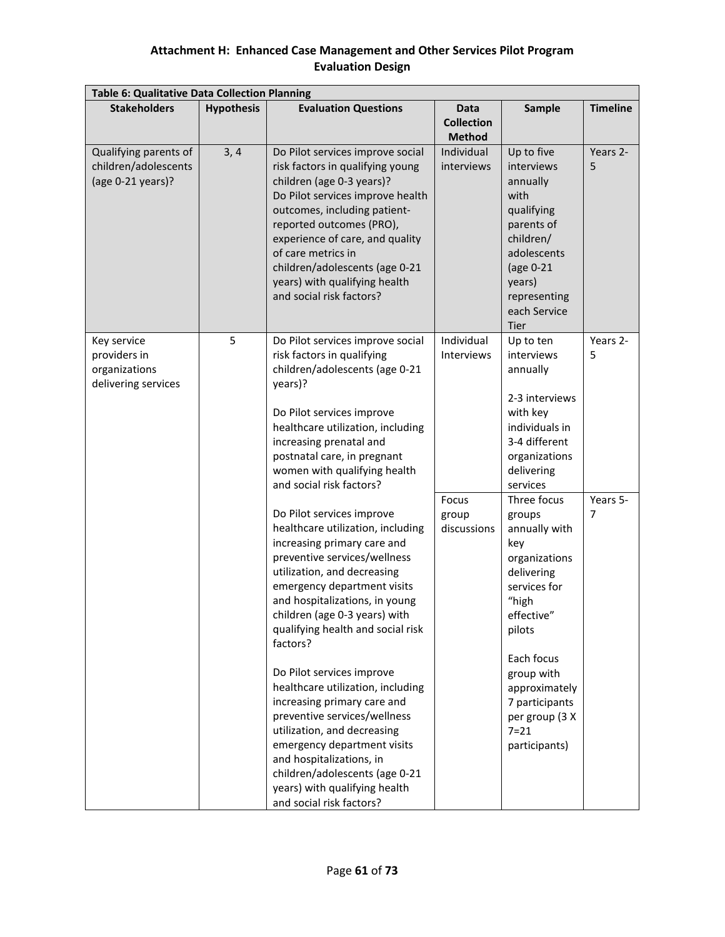| <b>Table 6: Qualitative Data Collection Planning</b>                |                   |                                                                                                                                                                                                                                                                                                                                                                                                                                                                                                                                                                                                                                                                       |                                                   |                                                                                                                                                                                                                                                         |                 |  |  |  |  |  |  |
|---------------------------------------------------------------------|-------------------|-----------------------------------------------------------------------------------------------------------------------------------------------------------------------------------------------------------------------------------------------------------------------------------------------------------------------------------------------------------------------------------------------------------------------------------------------------------------------------------------------------------------------------------------------------------------------------------------------------------------------------------------------------------------------|---------------------------------------------------|---------------------------------------------------------------------------------------------------------------------------------------------------------------------------------------------------------------------------------------------------------|-----------------|--|--|--|--|--|--|
| <b>Stakeholders</b>                                                 | <b>Hypothesis</b> | <b>Evaluation Questions</b>                                                                                                                                                                                                                                                                                                                                                                                                                                                                                                                                                                                                                                           | <b>Data</b><br><b>Collection</b><br><b>Method</b> | Sample                                                                                                                                                                                                                                                  | <b>Timeline</b> |  |  |  |  |  |  |
| Qualifying parents of<br>children/adolescents<br>(age 0-21 years)?  | 3, 4              | Do Pilot services improve social<br>risk factors in qualifying young<br>children (age 0-3 years)?<br>Do Pilot services improve health<br>outcomes, including patient-<br>reported outcomes (PRO),<br>experience of care, and quality<br>of care metrics in<br>children/adolescents (age 0-21<br>years) with qualifying health<br>and social risk factors?                                                                                                                                                                                                                                                                                                             | Individual<br>interviews                          | Up to five<br>interviews<br>annually<br>with<br>qualifying<br>parents of<br>children/<br>adolescents<br>(age 0-21<br>years)<br>representing<br>each Service<br><b>Tier</b>                                                                              | Years 2-<br>5   |  |  |  |  |  |  |
| Key service<br>providers in<br>organizations<br>delivering services | 5                 | Do Pilot services improve social<br>risk factors in qualifying<br>children/adolescents (age 0-21<br>years)?<br>Do Pilot services improve<br>healthcare utilization, including<br>increasing prenatal and<br>postnatal care, in pregnant<br>women with qualifying health                                                                                                                                                                                                                                                                                                                                                                                               | Individual<br>Interviews                          | Up to ten<br>interviews<br>annually<br>2-3 interviews<br>with key<br>individuals in<br>3-4 different<br>organizations<br>delivering                                                                                                                     | Years 2-<br>5   |  |  |  |  |  |  |
|                                                                     |                   | and social risk factors?<br>Do Pilot services improve<br>healthcare utilization, including<br>increasing primary care and<br>preventive services/wellness<br>utilization, and decreasing<br>emergency department visits<br>and hospitalizations, in young<br>children (age 0-3 years) with<br>qualifying health and social risk<br>factors?<br>Do Pilot services improve<br>healthcare utilization, including<br>increasing primary care and<br>preventive services/wellness<br>utilization, and decreasing<br>emergency department visits<br>and hospitalizations, in<br>children/adolescents (age 0-21<br>years) with qualifying health<br>and social risk factors? | Focus<br>group<br>discussions                     | services<br>Three focus<br>groups<br>annually with<br>key<br>organizations<br>delivering<br>services for<br>"high<br>effective"<br>pilots<br>Each focus<br>group with<br>approximately<br>7 participants<br>per group (3 X<br>$7 = 21$<br>participants) | Years 5-<br>7   |  |  |  |  |  |  |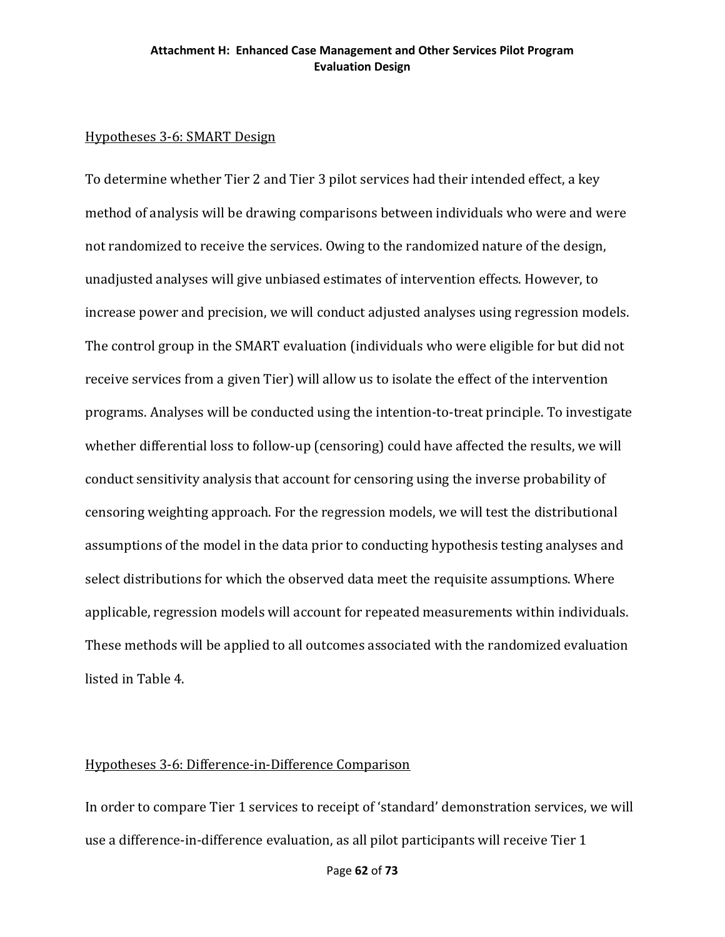## Hypotheses 3-6: SMART Design

To determine whether Tier 2 and Tier 3 pilot services had their intended effect, a key method of analysis will be drawing comparisons between individuals who were and were not randomized to receive the services. Owing to the randomized nature of the design, unadjusted analyses will give unbiased estimates of intervention effects. However, to increase power and precision, we will conduct adjusted analyses using regression models. The control group in the SMART evaluation (individuals who were eligible for but did not receive services from a given Tier) will allow us to isolate the effect of the intervention programs. Analyses will be conducted using the intention-to-treat principle. To investigate whether differential loss to follow-up (censoring) could have affected the results, we will conduct sensitivity analysis that account for censoring using the inverse probability of censoring weighting approach. For the regression models, we will test the distributional assumptions of the model in the data prior to conducting hypothesis testing analyses and select distributions for which the observed data meet the requisite assumptions. Where applicable, regression models will account for repeated measurements within individuals. These methods will be applied to all outcomes associated with the randomized evaluation listed in Table 4.

### Hypotheses 3-6: Difference-in-Difference Comparison

In order to compare Tier 1 services to receipt of 'standard' demonstration services, we will use a difference-in-difference evaluation, as all pilot participants will receive Tier 1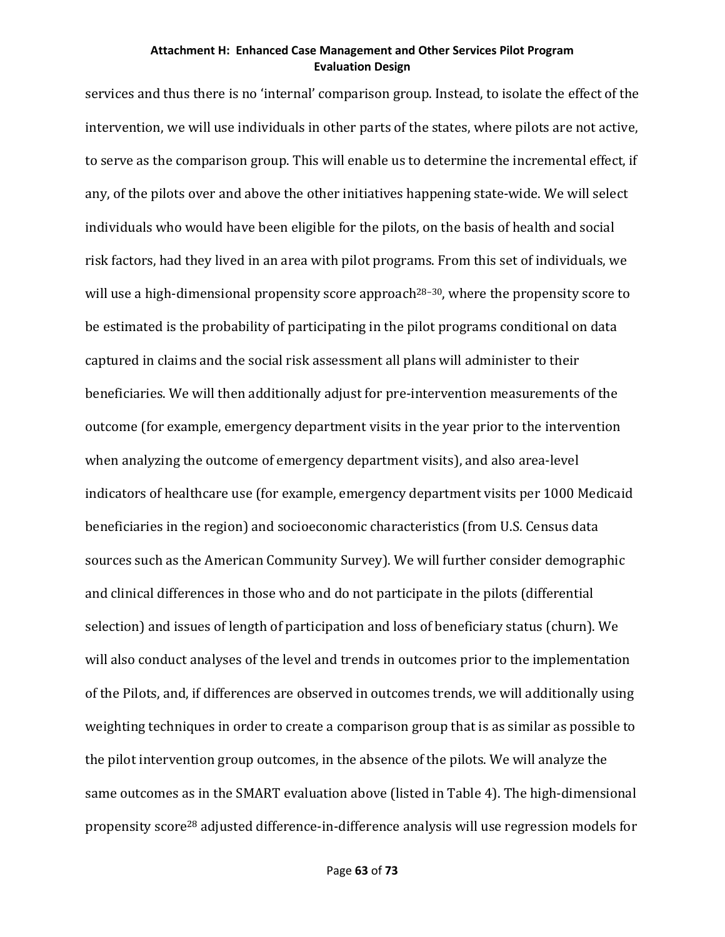services and thus there is no 'internal' comparison group. Instead, to isolate the effect of the intervention, we will use individuals in other parts of the states, where pilots are not active, to serve as the comparison group. This will enable us to determine the incremental effect, if any, of the pilots over and above the other initiatives happening state-wide. We will select individuals who would have been eligible for the pilots, on the basis of health and social risk factors, had they lived in an area with pilot programs. From this set of individuals, we will use a high-dimensional propensity score approach<sup>28–30</sup>, where the propensity score to be estimated is the probability of participating in the pilot programs conditional on data captured in claims and the social risk assessment all plans will administer to their beneficiaries. We will then additionally adjust for pre-intervention measurements of the outcome (for example, emergency department visits in the year prior to the intervention when analyzing the outcome of emergency department visits), and also area-level indicators of healthcare use (for example, emergency department visits per 1000 Medicaid beneficiaries in the region) and socioeconomic characteristics (from U.S. Census data sources such as the American Community Survey). We will further consider demographic and clinical differences in those who and do not participate in the pilots (differential selection) and issues of length of participation and loss of beneficiary status (churn). We will also conduct analyses of the level and trends in outcomes prior to the implementation of the Pilots, and, if differences are observed in outcomes trends, we will additionally using weighting techniques in order to create a comparison group that is as similar as possible to the pilot intervention group outcomes, in the absence of the pilots. We will analyze the same outcomes as in the SMART evaluation above (listed in Table 4). The high-dimensional propensity score28 adjusted difference-in-difference analysis will use regression models for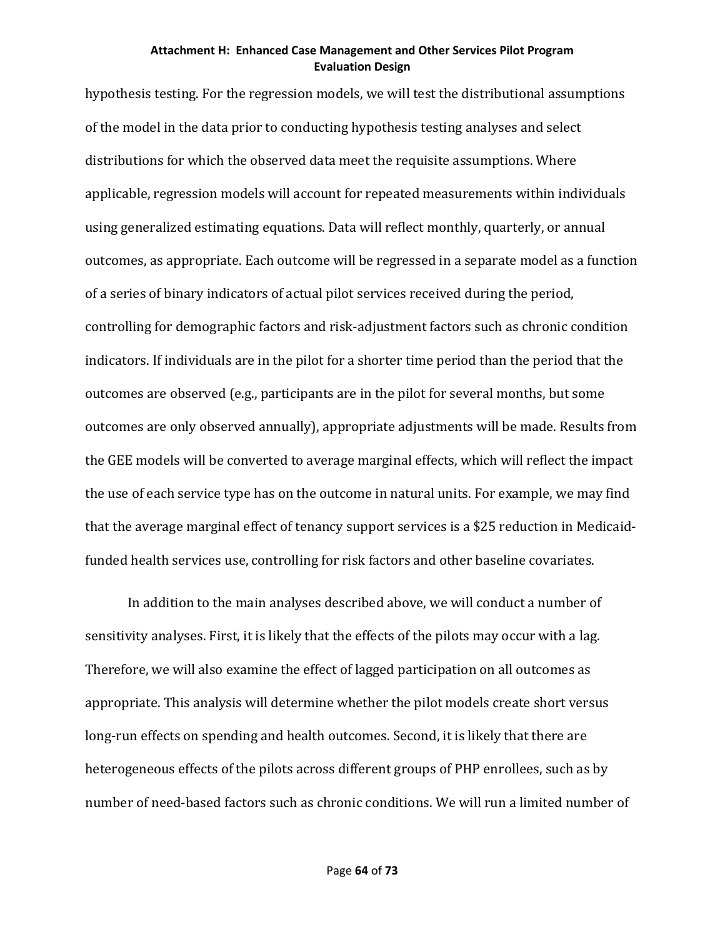hypothesis testing. For the regression models, we will test the distributional assumptions of the model in the data prior to conducting hypothesis testing analyses and select distributions for which the observed data meet the requisite assumptions. Where applicable, regression models will account for repeated measurements within individuals using generalized estimating equations. Data will reflect monthly, quarterly, or annual outcomes, as appropriate. Each outcome will be regressed in a separate model as a function of a series of binary indicators of actual pilot services received during the period, controlling for demographic factors and risk-adjustment factors such as chronic condition indicators. If individuals are in the pilot for a shorter time period than the period that the outcomes are observed (e.g., participants are in the pilot for several months, but some outcomes are only observed annually), appropriate adjustments will be made. Results from the GEE models will be converted to average marginal effects, which will reflect the impact the use of each service type has on the outcome in natural units. For example, we may find that the average marginal effect of tenancy support services is a \$25 reduction in Medicaidfunded health services use, controlling for risk factors and other baseline covariates.

In addition to the main analyses described above, we will conduct a number of sensitivity analyses. First, it is likely that the effects of the pilots may occur with a lag. Therefore, we will also examine the effect of lagged participation on all outcomes as appropriate. This analysis will determine whether the pilot models create short versus long-run effects on spending and health outcomes. Second, it is likely that there are heterogeneous effects of the pilots across different groups of PHP enrollees, such as by number of need-based factors such as chronic conditions. We will run a limited number of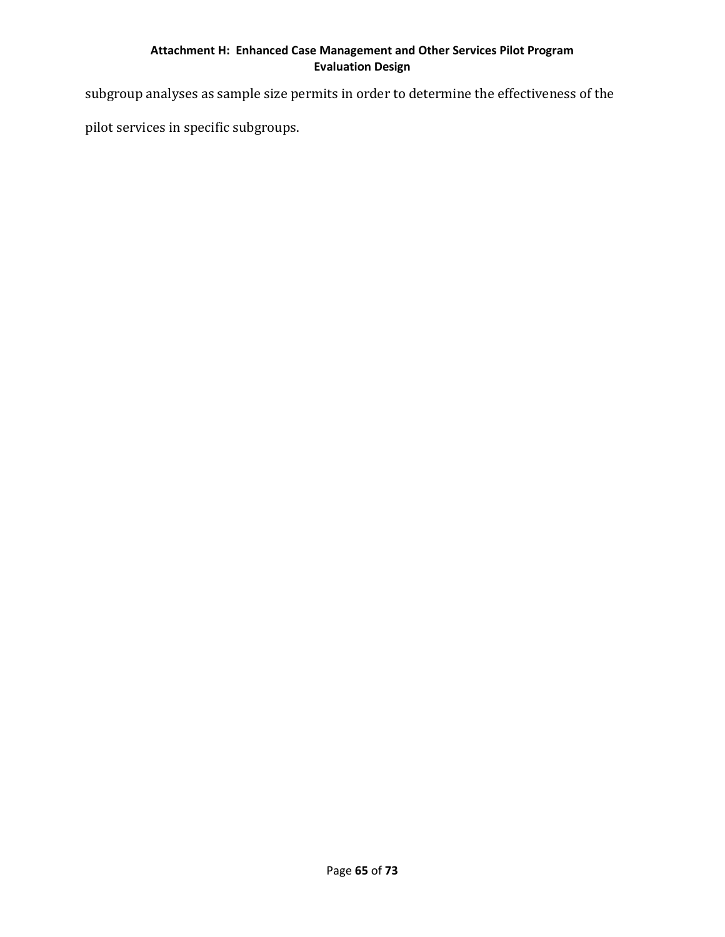subgroup analyses as sample size permits in order to determine the effectiveness of the

pilot services in specific subgroups.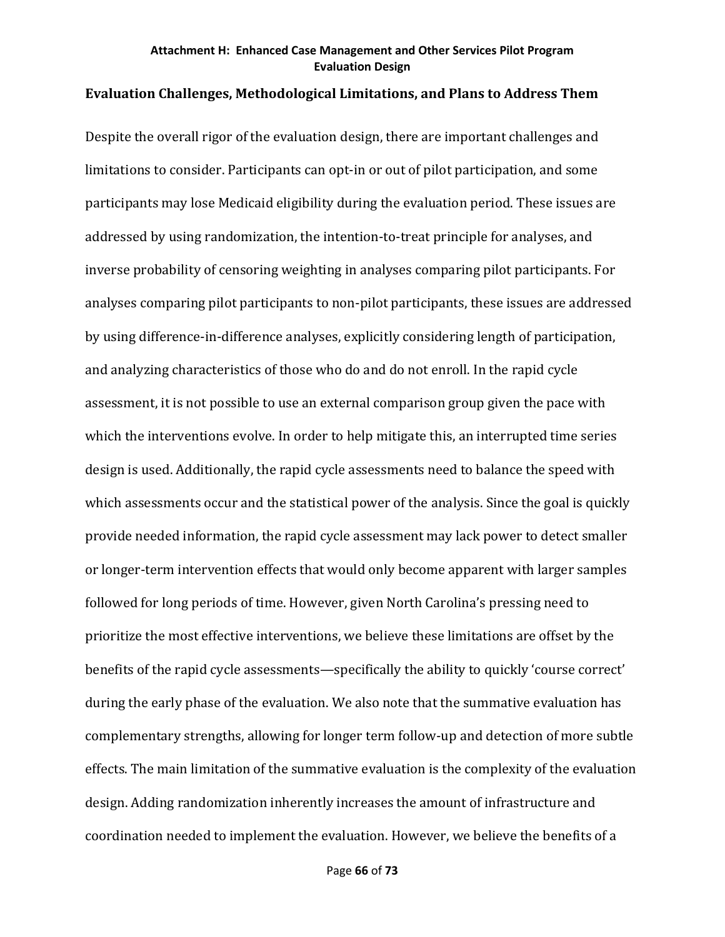## **Evaluation Challenges, Methodological Limitations, and Plans to Address Them**

Despite the overall rigor of the evaluation design, there are important challenges and limitations to consider. Participants can opt-in or out of pilot participation, and some participants may lose Medicaid eligibility during the evaluation period. These issues are addressed by using randomization, the intention-to-treat principle for analyses, and inverse probability of censoring weighting in analyses comparing pilot participants. For analyses comparing pilot participants to non-pilot participants, these issues are addressed by using difference-in-difference analyses, explicitly considering length of participation, and analyzing characteristics of those who do and do not enroll. In the rapid cycle assessment, it is not possible to use an external comparison group given the pace with which the interventions evolve. In order to help mitigate this, an interrupted time series design is used. Additionally, the rapid cycle assessments need to balance the speed with which assessments occur and the statistical power of the analysis. Since the goal is quickly provide needed information, the rapid cycle assessment may lack power to detect smaller or longer-term intervention effects that would only become apparent with larger samples followed for long periods of time. However, given North Carolina's pressing need to prioritize the most effective interventions, we believe these limitations are offset by the benefits of the rapid cycle assessments—specifically the ability to quickly 'course correct' during the early phase of the evaluation. We also note that the summative evaluation has complementary strengths, allowing for longer term follow-up and detection of more subtle effects. The main limitation of the summative evaluation is the complexity of the evaluation design. Adding randomization inherently increases the amount of infrastructure and coordination needed to implement the evaluation. However, we believe the benefits of a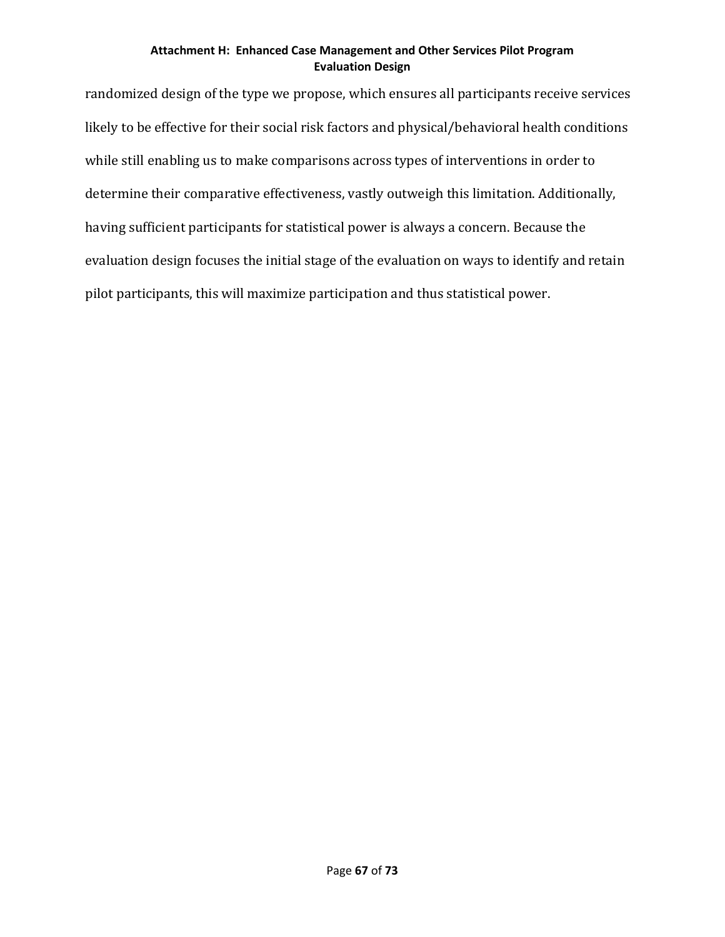randomized design of the type we propose, which ensures all participants receive services likely to be effective for their social risk factors and physical/behavioral health conditions while still enabling us to make comparisons across types of interventions in order to determine their comparative effectiveness, vastly outweigh this limitation. Additionally, having sufficient participants for statistical power is always a concern. Because the evaluation design focuses the initial stage of the evaluation on ways to identify and retain pilot participants, this will maximize participation and thus statistical power.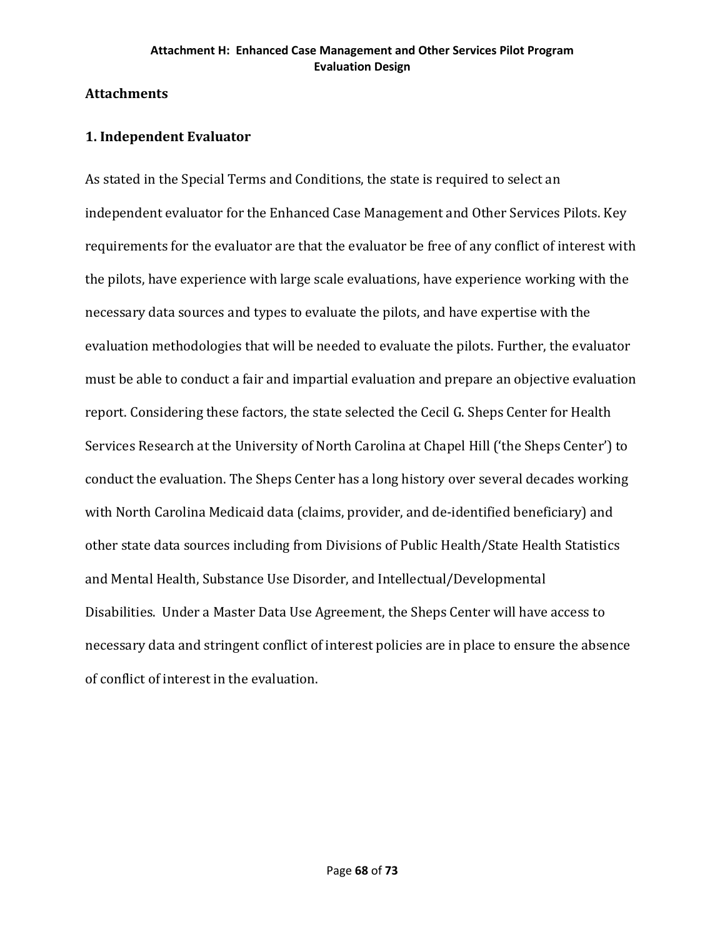## **Attachments**

## **1. Independent Evaluator**

As stated in the Special Terms and Conditions, the state is required to select an independent evaluator for the Enhanced Case Management and Other Services Pilots. Key requirements for the evaluator are that the evaluator be free of any conflict of interest with the pilots, have experience with large scale evaluations, have experience working with the necessary data sources and types to evaluate the pilots, and have expertise with the evaluation methodologies that will be needed to evaluate the pilots. Further, the evaluator must be able to conduct a fair and impartial evaluation and prepare an objective evaluation report. Considering these factors, the state selected the Cecil G. Sheps Center for Health Services Research at the University of North Carolina at Chapel Hill ('the Sheps Center') to conduct the evaluation. The Sheps Center has a long history over several decades working with North Carolina Medicaid data (claims, provider, and de-identified beneficiary) and other state data sources including from Divisions of Public Health/State Health Statistics and Mental Health, Substance Use Disorder, and Intellectual/Developmental Disabilities. Under a Master Data Use Agreement, the Sheps Center will have access to necessary data and stringent conflict of interest policies are in place to ensure the absence of conflict of interest in the evaluation.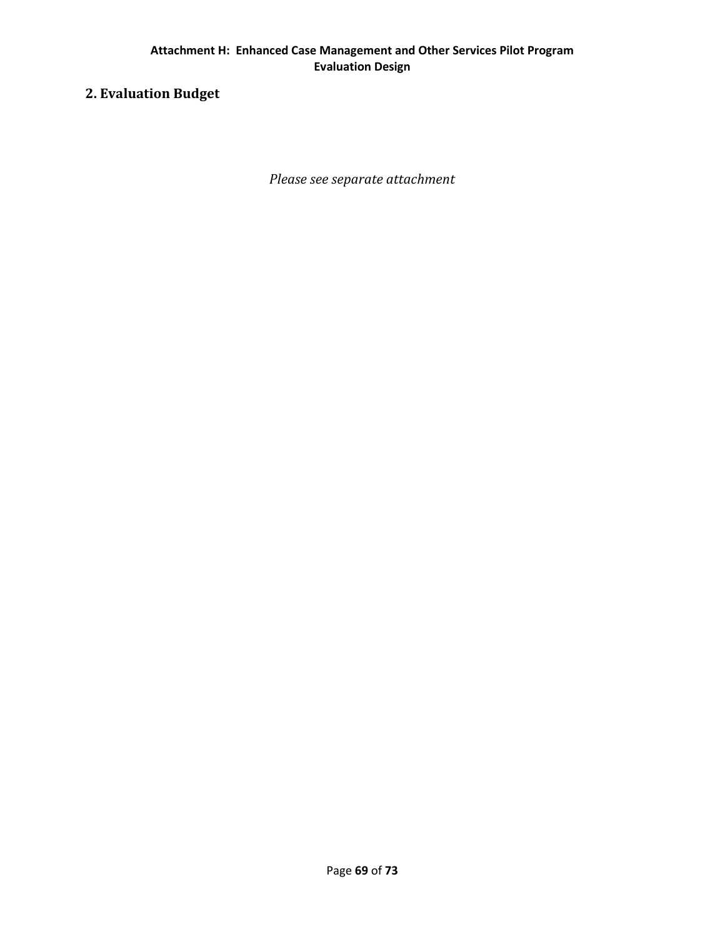# **2. Evaluation Budget**

*Please see separate attachment*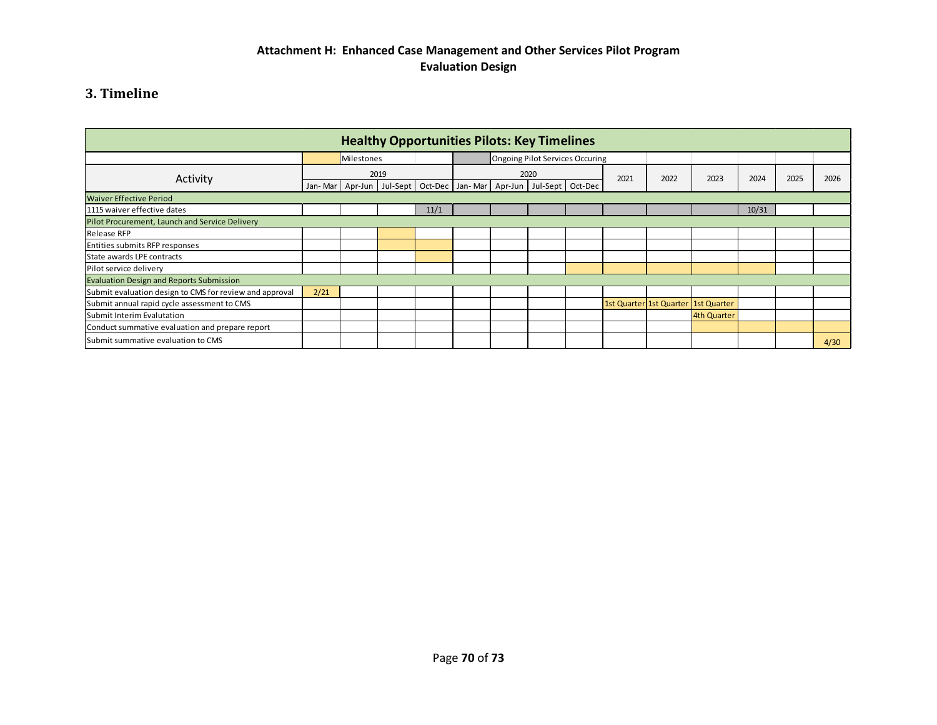# **3. Timeline**

| <b>Healthy Opportunities Pilots: Key Timelines</b>      |            |  |                                                                       |      |                                 |  |      |      |      |                                     |             |       |  |      |
|---------------------------------------------------------|------------|--|-----------------------------------------------------------------------|------|---------------------------------|--|------|------|------|-------------------------------------|-------------|-------|--|------|
|                                                         | Milestones |  |                                                                       |      | Ongoing Pilot Services Occuring |  |      |      |      |                                     |             |       |  |      |
| Activity                                                | 2019       |  |                                                                       | 2020 |                                 |  | 2021 | 2022 | 2023 | 2024                                | 2025        | 2026  |  |      |
|                                                         | Jan-Mar    |  | Apr-Jun   Jul-Sept   Oct-Dec   Jan-Mar   Apr-Jun   Jul-Sept   Oct-Dec |      |                                 |  |      |      |      |                                     |             |       |  |      |
| <b>Waiver Effective Period</b>                          |            |  |                                                                       |      |                                 |  |      |      |      |                                     |             |       |  |      |
| 1115 waiver effective dates                             |            |  |                                                                       | 11/1 |                                 |  |      |      |      |                                     |             | 10/31 |  |      |
| Pilot Procurement, Launch and Service Delivery          |            |  |                                                                       |      |                                 |  |      |      |      |                                     |             |       |  |      |
| Release RFP                                             |            |  |                                                                       |      |                                 |  |      |      |      |                                     |             |       |  |      |
| Entities submits RFP responses                          |            |  |                                                                       |      |                                 |  |      |      |      |                                     |             |       |  |      |
| State awards LPE contracts                              |            |  |                                                                       |      |                                 |  |      |      |      |                                     |             |       |  |      |
| Pilot service delivery                                  |            |  |                                                                       |      |                                 |  |      |      |      |                                     |             |       |  |      |
| <b>Evaluation Design and Reports Submission</b>         |            |  |                                                                       |      |                                 |  |      |      |      |                                     |             |       |  |      |
| Submit evaluation design to CMS for review and approval | 2/21       |  |                                                                       |      |                                 |  |      |      |      |                                     |             |       |  |      |
| Submit annual rapid cycle assessment to CMS             |            |  |                                                                       |      |                                 |  |      |      |      | 1st Quarter 1st Quarter 1st Quarter |             |       |  |      |
| Submit Interim Evalutation                              |            |  |                                                                       |      |                                 |  |      |      |      |                                     | 4th Quarter |       |  |      |
| Conduct summative evaluation and prepare report         |            |  |                                                                       |      |                                 |  |      |      |      |                                     |             |       |  |      |
| Submit summative evaluation to CMS                      |            |  |                                                                       |      |                                 |  |      |      |      |                                     |             |       |  | 4/30 |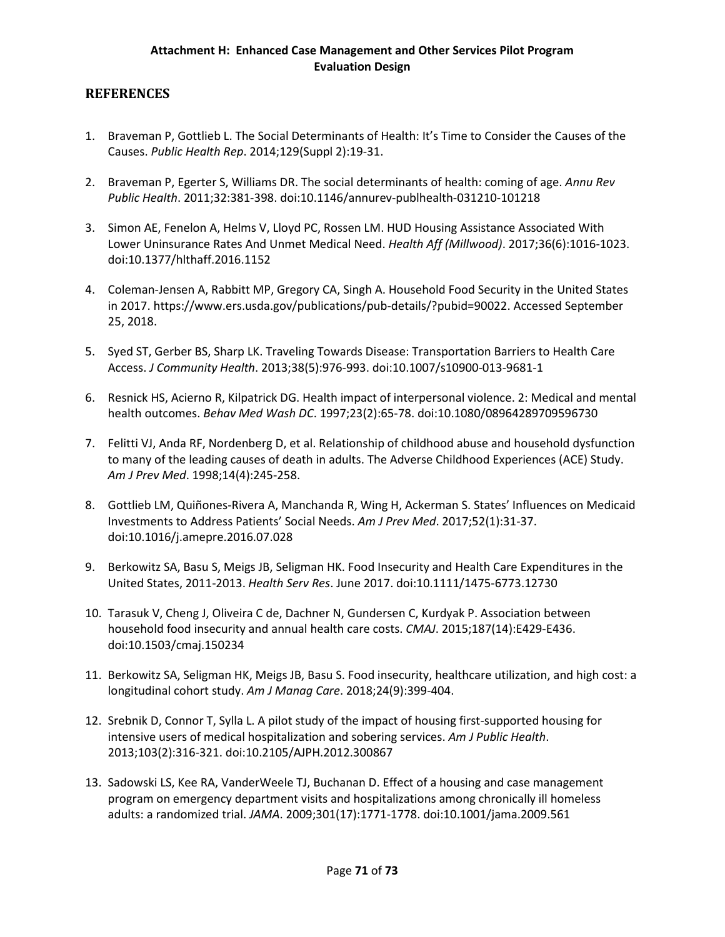## **REFERENCES**

- 1. Braveman P, Gottlieb L. The Social Determinants of Health: It's Time to Consider the Causes of the Causes. *Public Health Rep*. 2014;129(Suppl 2):19-31.
- 2. Braveman P, Egerter S, Williams DR. The social determinants of health: coming of age. *Annu Rev Public Health*. 2011;32:381-398. doi:10.1146/annurev-publhealth-031210-101218
- 3. Simon AE, Fenelon A, Helms V, Lloyd PC, Rossen LM. HUD Housing Assistance Associated With Lower Uninsurance Rates And Unmet Medical Need. *Health Aff (Millwood)*. 2017;36(6):1016-1023. doi:10.1377/hlthaff.2016.1152
- 4. Coleman-Jensen A, Rabbitt MP, Gregory CA, Singh A. Household Food Security in the United States in 2017. https://www.ers.usda.gov/publications/pub-details/?pubid=90022. Accessed September 25, 2018.
- 5. Syed ST, Gerber BS, Sharp LK. Traveling Towards Disease: Transportation Barriers to Health Care Access. *J Community Health*. 2013;38(5):976-993. doi:10.1007/s10900-013-9681-1
- 6. Resnick HS, Acierno R, Kilpatrick DG. Health impact of interpersonal violence. 2: Medical and mental health outcomes. *Behav Med Wash DC*. 1997;23(2):65-78. doi:10.1080/08964289709596730
- 7. Felitti VJ, Anda RF, Nordenberg D, et al. Relationship of childhood abuse and household dysfunction to many of the leading causes of death in adults. The Adverse Childhood Experiences (ACE) Study. *Am J Prev Med*. 1998;14(4):245-258.
- 8. Gottlieb LM, Quiñones-Rivera A, Manchanda R, Wing H, Ackerman S. States' Influences on Medicaid Investments to Address Patients' Social Needs. *Am J Prev Med*. 2017;52(1):31-37. doi:10.1016/j.amepre.2016.07.028
- 9. Berkowitz SA, Basu S, Meigs JB, Seligman HK. Food Insecurity and Health Care Expenditures in the United States, 2011-2013. *Health Serv Res*. June 2017. doi:10.1111/1475-6773.12730
- 10. Tarasuk V, Cheng J, Oliveira C de, Dachner N, Gundersen C, Kurdyak P. Association between household food insecurity and annual health care costs. *CMAJ*. 2015;187(14):E429-E436. doi:10.1503/cmaj.150234
- 11. Berkowitz SA, Seligman HK, Meigs JB, Basu S. Food insecurity, healthcare utilization, and high cost: a longitudinal cohort study. *Am J Manag Care*. 2018;24(9):399-404.
- 12. Srebnik D, Connor T, Sylla L. A pilot study of the impact of housing first-supported housing for intensive users of medical hospitalization and sobering services. *Am J Public Health*. 2013;103(2):316-321. doi:10.2105/AJPH.2012.300867
- 13. Sadowski LS, Kee RA, VanderWeele TJ, Buchanan D. Effect of a housing and case management program on emergency department visits and hospitalizations among chronically ill homeless adults: a randomized trial. *JAMA*. 2009;301(17):1771-1778. doi:10.1001/jama.2009.561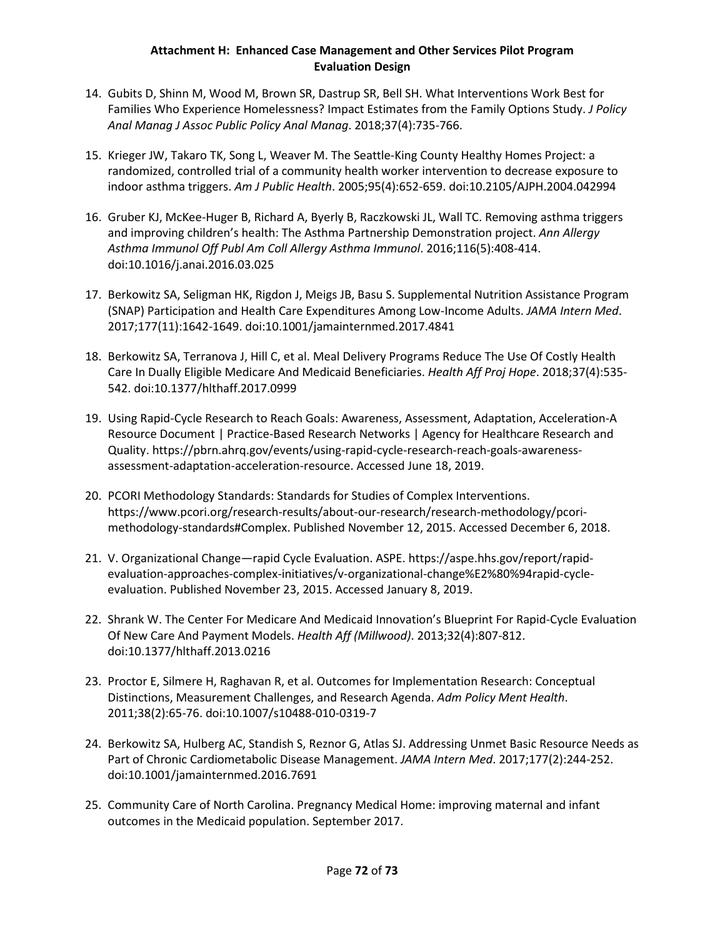## **Attachment H: Enhanced Case Management and Other Services Pilot Program Evaluation Design**

- 14. Gubits D, Shinn M, Wood M, Brown SR, Dastrup SR, Bell SH. What Interventions Work Best for Families Who Experience Homelessness? Impact Estimates from the Family Options Study. *J Policy Anal Manag J Assoc Public Policy Anal Manag*. 2018;37(4):735-766.
- 15. Krieger JW, Takaro TK, Song L, Weaver M. The Seattle-King County Healthy Homes Project: a randomized, controlled trial of a community health worker intervention to decrease exposure to indoor asthma triggers. *Am J Public Health*. 2005;95(4):652-659. doi:10.2105/AJPH.2004.042994
- 16. Gruber KJ, McKee-Huger B, Richard A, Byerly B, Raczkowski JL, Wall TC. Removing asthma triggers and improving children's health: The Asthma Partnership Demonstration project. *Ann Allergy Asthma Immunol Off Publ Am Coll Allergy Asthma Immunol*. 2016;116(5):408-414. doi:10.1016/j.anai.2016.03.025
- 17. Berkowitz SA, Seligman HK, Rigdon J, Meigs JB, Basu S. Supplemental Nutrition Assistance Program (SNAP) Participation and Health Care Expenditures Among Low-Income Adults. *JAMA Intern Med*. 2017;177(11):1642-1649. doi:10.1001/jamainternmed.2017.4841
- 18. Berkowitz SA, Terranova J, Hill C, et al. Meal Delivery Programs Reduce The Use Of Costly Health Care In Dually Eligible Medicare And Medicaid Beneficiaries. *Health Aff Proj Hope*. 2018;37(4):535- 542. doi:10.1377/hlthaff.2017.0999
- 19. Using Rapid-Cycle Research to Reach Goals: Awareness, Assessment, Adaptation, Acceleration-A Resource Document | Practice-Based Research Networks | Agency for Healthcare Research and Quality. https://pbrn.ahrq.gov/events/using-rapid-cycle-research-reach-goals-awarenessassessment-adaptation-acceleration-resource. Accessed June 18, 2019.
- 20. PCORI Methodology Standards: Standards for Studies of Complex Interventions. https://www.pcori.org/research-results/about-our-research/research-methodology/pcorimethodology-standards#Complex. Published November 12, 2015. Accessed December 6, 2018.
- 21. V. Organizational Change—rapid Cycle Evaluation. ASPE. https://aspe.hhs.gov/report/rapidevaluation-approaches-complex-initiatives/v-organizational-change%E2%80%94rapid-cycleevaluation. Published November 23, 2015. Accessed January 8, 2019.
- 22. Shrank W. The Center For Medicare And Medicaid Innovation's Blueprint For Rapid-Cycle Evaluation Of New Care And Payment Models. *Health Aff (Millwood)*. 2013;32(4):807-812. doi:10.1377/hlthaff.2013.0216
- 23. Proctor E, Silmere H, Raghavan R, et al. Outcomes for Implementation Research: Conceptual Distinctions, Measurement Challenges, and Research Agenda. *Adm Policy Ment Health*. 2011;38(2):65-76. doi:10.1007/s10488-010-0319-7
- 24. Berkowitz SA, Hulberg AC, Standish S, Reznor G, Atlas SJ. Addressing Unmet Basic Resource Needs as Part of Chronic Cardiometabolic Disease Management. *JAMA Intern Med*. 2017;177(2):244-252. doi:10.1001/jamainternmed.2016.7691
- 25. Community Care of North Carolina. Pregnancy Medical Home: improving maternal and infant outcomes in the Medicaid population. September 2017.